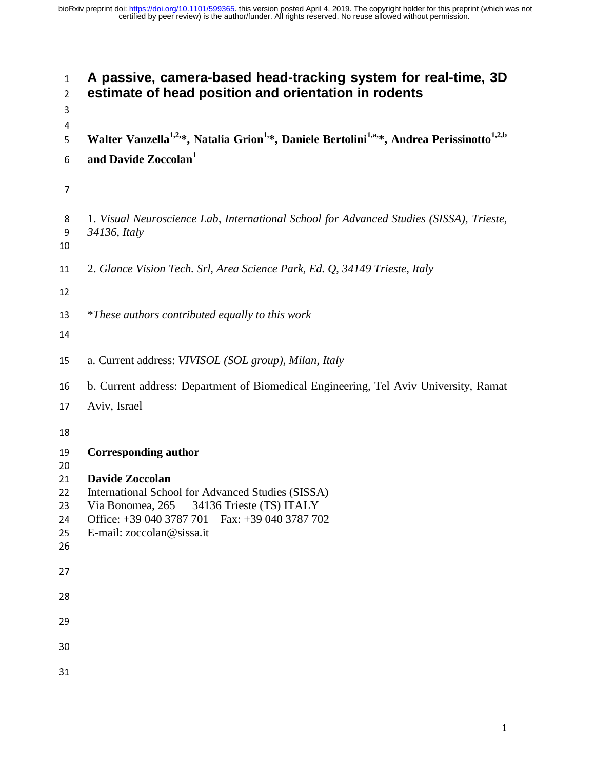# **A passive, camera-based head-tracking system for real-time, 3D estimate of head position and orientation in rodents**  Walter Vanzella<sup>1,2,\*</sup>, Natalia Grion<sup>1,\*</sup>, Daniele Bertolini<sup>1,a,\*</sup>, Andrea Perissinotto<sup>1,2,b</sup> **6** and Davide Zoccolan<sup>1</sup> 1. *Visual Neuroscience Lab, International School for Advanced Studies (SISSA), Trieste, 34136, Italy*  2. *Glance Vision Tech. Srl, Area Science Park, Ed. Q, 34149 Trieste, Italy*  \**These authors contributed equally to this work* a. Current address: *VIVISOL (SOL group), Milan, Italy*  b. Current address: Department of Biomedical Engineering, Tel Aviv University, Ramat 17 Aviv, Israel **Corresponding author Davide Zoccolan**  22 International School for Advanced Studies (SISSA)<br>23 Via Bonomea, 265 34136 Trieste (TS) ITALY 23 Via Bonomea, 265 34136 Trieste (TS) ITALY<br>24 Office: 139,040,3787,701 Fax: 139,040,3787,70 24 Office: +39 040 3787 701 Fax: +39 040 3787 702 25 E-mail: zoccolan@sissa.it<br>26  $\overline{a}$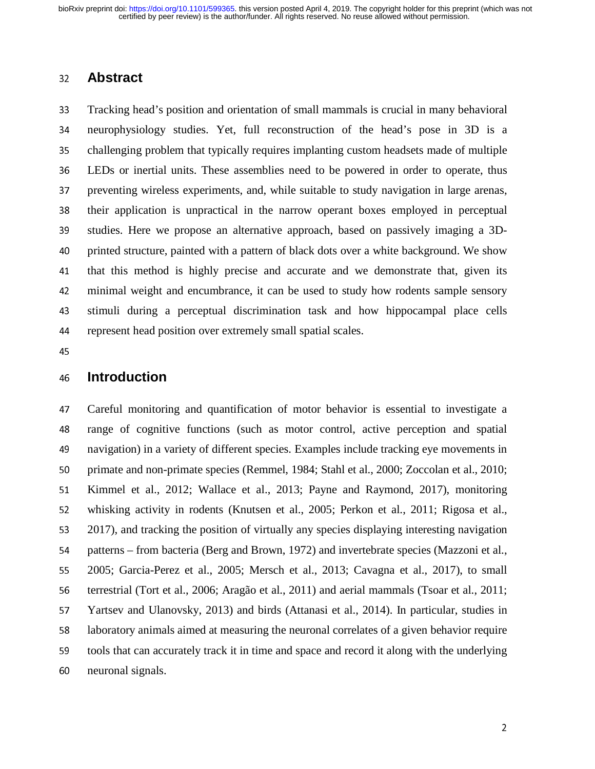## <sup>32</sup>**Abstract**

<sup>33</sup>Tracking head's position and orientation of small mammals is crucial in many behavioral <sup>34</sup>neurophysiology studies. Yet, full reconstruction of the head's pose in 3D is a 35 challenging problem that typically requires implanting custom headsets made of multiple<br>36 LEDs or inertial units. These assemblies need to be powered in order to operate, thus LEDs or inertial units. These assemblies need to be powered in order to operate, thus 37 preventing wireless experiments, and, while suitable to study navigation in large arenas, 38 their application is unpractical in the narrow operant boxes employed in perceptual 39 studies. Here we propose an alternative approach, based on passively imaging a 3D-40 printed structure, painted with a pattern of black dots over a white background. We show 41 that this method is highly precise and accurate and we demonstrate that, given its 42 minimal weight and encumbrance, it can be used to study how rodents sample sensory 43 stimuli during a perceptual discrimination task and how hippocampal place cells 44 represent head position over extremely small spatial scales.

## <sup>46</sup>**Introduction**

<sup>47</sup>Careful monitoring and quantification of motor behavior is essential to investigate a the 48 range of cognitive functions (such as motor control, active perception and spatial<br>49 navigation) in a variety of different species. Examples include tracking eve movements in navigation) in a variety of different species. Examples include tracking eye movements in 50 primate and non-primate species (Remmel, 1984; Stahl et al., 2000; Zoccolan et al., 2010; <sup>51</sup>Kimmel et al., 2012; Wallace et al., 2013; Payne and Raymond, 2017), monitoring 52 whisking activity in rodents (Knutsen et al., 2005; Perkon et al., 2011; Rigosa et al., 53 2017), and tracking the position of virtually any species displaying interesting navigation<br>54 patterns – from bacteria (Berg and Brown, 1972) and invertebrate species (Mazzoni et al., patterns – from bacteria (Berg and Brown, 1972) and invertebrate species (Mazzoni et al., <sup>55</sup>2005; Garcia-Perez et al., 2005; Mersch et al., 2013; Cavagna et al., 2017), to small 56 terrestrial (Tort et al., 2006; Aragão et al., 2011) and aerial mammals (Tsoar et al., 2011; 57 Yartsev and Ulanovsky, 2013) and birds (Attanasi et al., 2014). In particular, studies in <sup>58</sup>laboratory animals aimed at measuring the neuronal correlates of a given behavior require 59 tools that can accurately track it in time and space and record it along with the underlying 60 neuronal signals.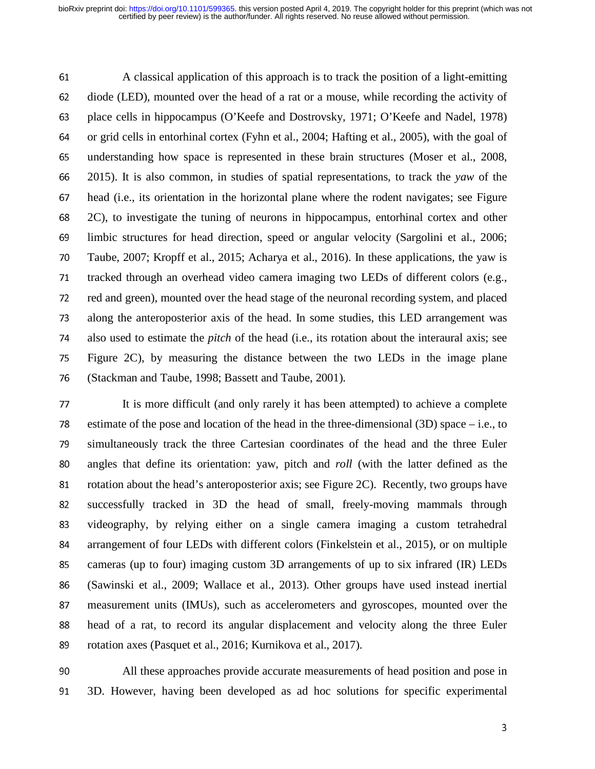<sup>61</sup>A classical application of this approach is to track the position of a light-emitting 62 diode (LED), mounted over the head of a rat or a mouse, while recording the activity of 63 place cells in hippocampus (O'Keefe and Dostrovsky, 1971; O'Keefe and Nadel, 1978) 64 or grid cells in entorhinal cortex (Fyhn et al., 2004; Hafting et al., 2005), with the goal of 65 understanding how space is represented in these brain structures (Moser et al., 2008, 66 2015). It is also common, in studies of spatial representations, to track the *vaw* of the <sup>66</sup>2015). It is also common, in studies of spatial representations, to track the *yaw* of the 67 head (i.e., its orientation in the horizontal plane where the rodent navigates; see Figure <sup>68</sup>2C), to investigate the tuning of neurons in hippocampus, entorhinal cortex and other <sup>69</sup>limbic structures for head direction, speed or angular velocity (Sargolini et al., 2006; 70 Taube, 2007; Kropff et al., 2015; Acharya et al., 2016). In these applications, the yaw is<br>71 tracked through an overhead video camera imaging two LEDs of different colors (e.g., tracked through an overhead video camera imaging two LEDs of different colors (e.g., 72 red and green), mounted over the head stage of the neuronal recording system, and placed 73 along the anteroposterior axis of the head. In some studies, this LED arrangement was <sup>74</sup>also used to estimate the *pitch* of the head (i.e., its rotation about the interaural axis; see <sup>75</sup>Figure 2C), by measuring the distance between the two LEDs in the image plane 76 (Stackman and Taube, 1998; Bassett and Taube, 2001).

<sup>77</sup>It is more difficult (and only rarely it has been attempted) to achieve a complete 78 estimate of the pose and location of the head in the three-dimensional  $(3D)$  space – i.e., to <sup>79</sup>simultaneously track the three Cartesian coordinates of the head and the three Euler 80 angles that define its orientation: yaw, pitch and *roll* (with the latter defined as the 81 rotation about the head's anteroposterior axis; see Figure 2C). Recently, two groups have <sup>82</sup>successfully tracked in 3D the head of small, freely-moving mammals through 83 videography, by relying either on a single camera imaging a custom tetrahedral 84 arrangement of four LEDs with different colors (Finkelstein et al., 2015), or on multiple 85 cameras (up to four) imaging custom 3D arrangements of up to six infrared (IR) LEDs<br>86 (Sawinski et al., 2009: Wallace et al., 2013). Other groups have used instead inertial <sup>86</sup>(Sawinski et al., 2009; Wallace et al., 2013). Other groups have used instead inertial 87 measurement units (IMUs), such as accelerometers and gyroscopes, mounted over the 88 head of a rat, to record its angular displacement and velocity along the three Euler 89 rotation axes (Pasquet et al., 2016; Kurnikova et al., 2017).

90 All these approaches provide accurate measurements of head position and pose in<br>91 3D. However, having been developed as ad hoc solutions for specific experimental <sup>91</sup>3D. However, having been developed as ad hoc solutions for specific experimental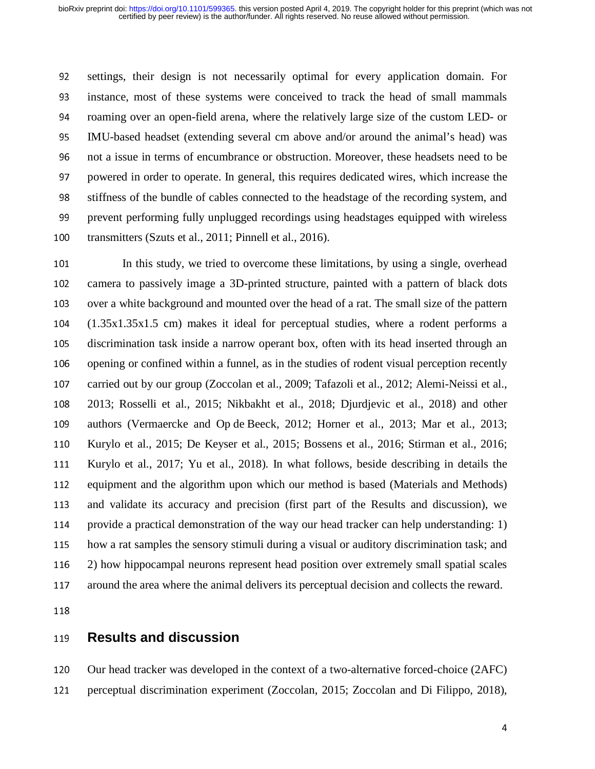92 settings, their design is not necessarily optimal for every application domain. For<br>93 instance, most of these systems were conceived to track the head of small mammals instance, most of these systems were conceived to track the head of small mammals 94 roaming over an open-field arena, where the relatively large size of the custom LED- or <sup>95</sup>IMU-based headset (extending several cm above and/or around the animal's head) was 96 not a issue in terms of encumbrance or obstruction. Moreover, these headsets need to be<br>97 powered in order to operate. In general, this requires dedicated wires, which increase the <sup>97</sup>powered in order to operate. In general, this requires dedicated wires, which increase the 98 stiffness of the bundle of cables connected to the headstage of the recording system, and 99 prevent performing fully unplugged recordings using headstages equipped with wireless 100 transmitters (Szuts et al., 2011; Pinnell et al., 2016).

101 In this study, we tried to overcome these limitations, by using a single, overhead<br>102 camera to passively image a 3D-printed structure, painted with a pattern of black dots camera to passively image a 3D-printed structure, painted with a pattern of black dots 103 over a white background and mounted over the head of a rat. The small size of the pattern <sup>104</sup>(1.35x1.35x1.5 cm) makes it ideal for perceptual studies, where a rodent performs a 105 discrimination task inside a narrow operant box, often with its head inserted through an 106 opening or confined within a funnel, as in the studies of rodent visual perception recently<br>107 carried out by our group (Zoccolan et al., 2009; Tafazoli et al., 2012; Alemi-Neissi et al., carried out by our group (Zoccolan et al., 2009; Tafazoli et al., 2012; Alemi-Neissi et al., <sup>108</sup>2013; Rosselli et al., 2015; Nikbakht et al., 2018; Djurdjevic et al., 2018) and other 109 authors (Vermaercke and Op de Beeck, 2012; Horner et al., 2013; Mar et al., 2013; <sup>110</sup>Kurylo et al., 2015; De Keyser et al., 2015; Bossens et al., 2016; Stirman et al., 2016; <sup>111</sup>Kurylo et al., 2017; Yu et al., 2018). In what follows, beside describing in details the 112 equipment and the algorithm upon which our method is based (Materials and Methods) <sup>113</sup>and validate its accuracy and precision (first part of the Results and discussion), we 114 provide a practical demonstration of the way our head tracker can help understanding: 1) 115 how a rat samples the sensory stimuli during a visual or auditory discrimination task; and <sup>116</sup>2) how hippocampal neurons represent head position over extremely small spatial scales 117 around the area where the animal delivers its perceptual decision and collects the reward.

## <sup>119</sup>**Results and discussion**

120 Our head tracker was developed in the context of a two-alternative forced-choice (2AFC)

121 perceptual discrimination experiment (Zoccolan, 2015; Zoccolan and Di Filippo, 2018),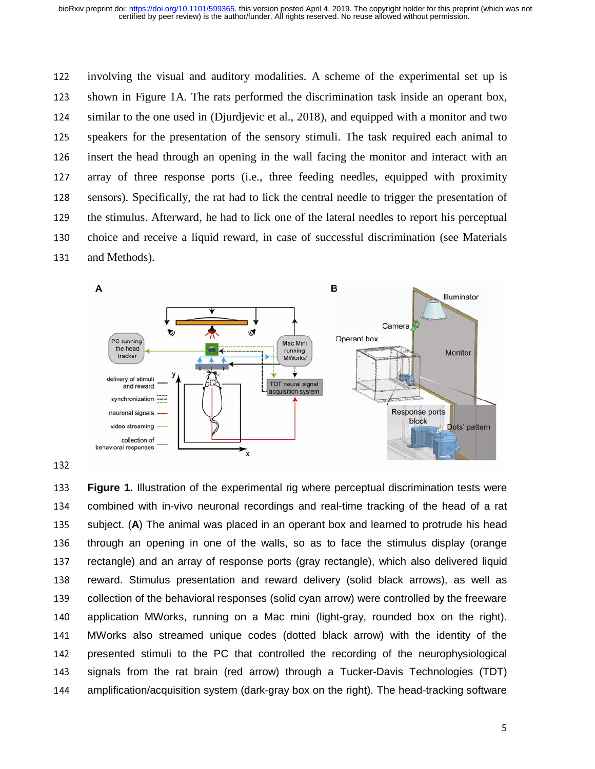122 involving the visual and auditory modalities. A scheme of the experimental set up is 123 shown in Figure 1A. The rats performed the discrimination task inside an operant box, 124 similar to the one used in (Djurdjevic et al., 2018), and equipped with a monitor and two 125 speakers for the presentation of the sensory stimuli. The task required each animal to 126 insert the head through an opening in the wall facing the monitor and interact with an <sup>127</sup>array of three response ports (i.e., three feeding needles, equipped with proximity 128 sensors). Specifically, the rat had to lick the central needle to trigger the presentation of 129 the stimulus. Afterward, he had to lick one of the lateral needles to report his perceptual 130 choice and receive a liquid reward, in case of successful discrimination (see Materials 131 and Methods).



133 **Figure 1.** Illustration of the experimental rig where perceptual discrimination tests were<br>134 combined with in-vivo neuronal recordings and real-time tracking of the head of a rat 134 combined with in-vivo neuronal recordings and real-time tracking of the head of a rat<br>135 subject. (A) The animal was placed in an operant box and learned to protrude his head 135 subject. (**A**) The animal was placed in an operant box and learned to protrude his head<br>136 through an opening in one of the walls, so as to face the stimulus display (orange 136 through an opening in one of the walls, so as to face the stimulus display (orange<br>137 tectangle) and an array of response ports (gray rectangle), which also delivered liquid 137 rectangle) and an array of response ports (gray rectangle), which also delivered liquid<br>138 reward. Stimulus presentation and reward delivery (solid black arrows), as well as 138 reward. Stimulus presentation and reward delivery (solid black arrows), as well as<br>139 collection of the behavioral responses (solid cyan arrow) were controlled by the freeware 139 collection of the behavioral responses (solid cyan arrow) were controlled by the freeware<br>140 application MWorks, running on a Mac mini (light-grav, rounded box on the right). 140 application MWorks, running on a Mac mini (light-gray, rounded box on the right).<br>141 MWorks also streamed unique codes (dotted black arrow) with the identity of the 141 MWorks also streamed unique codes (dotted black arrow) with the identity of the<br>142 presented stimuli to the PC that controlled the recording of the neurophysiological 142 presented stimuli to the PC that controlled the recording of the neurophysiological<br>143 signals from the rat brain (red arrow) through a Tucker-Davis Technologies (TDT) 143 signals from the rat brain (red arrow) through a Tucker-Davis Technologies (TDT)<br>144 amplification/acquisition system (dark-gray box on the right). The head-tracking software amplification/acquisition system (dark-gray box on the right). The head-tracking software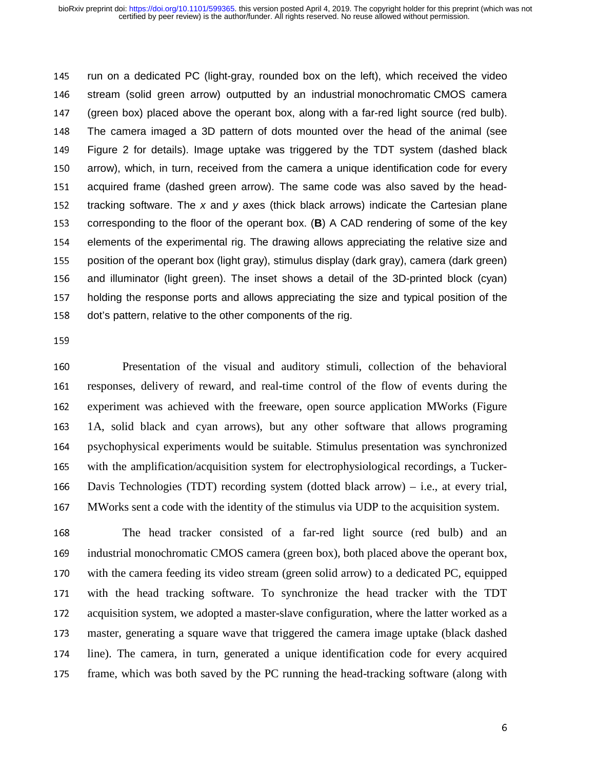145 Trun on a dedicated PC (light-gray, rounded box on the left), which received the video<br>146 Tstream (solid green arrow) outputted by an industrial monochromatic CMOS camera 146 stream (solid green arrow) outputted by an industrial monochromatic CMOS camera<br>147 (green box) placed above the operant box, along with a far-red light source (red bulb). 147 (green box) placed above the operant box, along with a far-red light source (red bulb).<br>148 The camera imaged a 3D pattern of dots mounted over the head of the animal (see 148 The camera imaged a 3D pattern of dots mounted over the head of the animal (see<br>149 Figure 2 for details). Image uptake was triggered by the TDT system (dashed black 149 Figure 2 for details). Image uptake was triggered by the TDT system (dashed black<br>150 arrow), which, in turn, received from the camera a unique identification code for every 150 arrow), which, in turn, received from the camera a unique identification code for every<br>151 acquired frame (dashed green arrow). The same code was also saved by the head-151 acquired frame (dashed green arrow). The same code was also saved by the head-<br>152 tracking software. The x and y axes (thick black arrows) indicate the Cartesian plane 152 tracking software. The *x* and *y* axes (thick black arrows) indicate the Cartesian plane<br>153 corresponding to the floor of the operant box. (**B**) A CAD rendering of some of the key 153 corresponding to the floor of the operant box. (**B**) A CAD rendering of some of the key<br>154 elements of the experimental rig. The drawing allows appreciating the relative size and 154 elements of the experimental rig. The drawing allows appreciating the relative size and<br>155 position of the operant box (light gray), stimulus display (dark gray), camera (dark green) 155 position of the operant box (light gray), stimulus display (dark gray), camera (dark green)<br>156 and illuminator (light green). The inset shows a detail of the 3D-printed block (cvan) 156 and illuminator (light green). The inset shows a detail of the 3D-printed block (cyan)<br>157 holding the response ports and allows appreciating the size and typical position of the 157 holding the response ports and allows appreciating the size and typical position of the 158 dot's pattern, relative to the other components of the rig. dot's pattern, relative to the other components of the rig.

159

<sup>160</sup>Presentation of the visual and auditory stimuli, collection of the behavioral 161 responses, delivery of reward, and real-time control of the flow of events during the 162 experiment was achieved with the freeware, open source application MWorks (Figure <sup>163</sup>1A, solid black and cyan arrows), but any other software that allows programing 164 psychophysical experiments would be suitable. Stimulus presentation was synchronized 165 with the amplification/acquisition system for electrophysiological recordings, a Tucker-166 Davis Technologies (TDT) recording system (dotted black arrow) – i.e., at every trial, <sup>167</sup>MWorks sent a code with the identity of the stimulus via UDP to the acquisition system.

168 The head tracker consisted of a far-red light source (red bulb) and an 169 industrial monochromatic CMOS camera (green box), both placed above the operant box, 170 with the camera feeding its video stream (green solid arrow) to a dedicated PC, equipped<br>171 with the head tracking software. To synchronize the head tracker with the TDT with the head tracking software. To synchronize the head tracker with the TDT 172 acquisition system, we adopted a master-slave configuration, where the latter worked as a 173 master, generating a square wave that triggered the camera image uptake (black dashed 174 line). The camera, in turn, generated a unique identification code for every acquired 175 frame, which was both saved by the PC running the head-tracking software (along with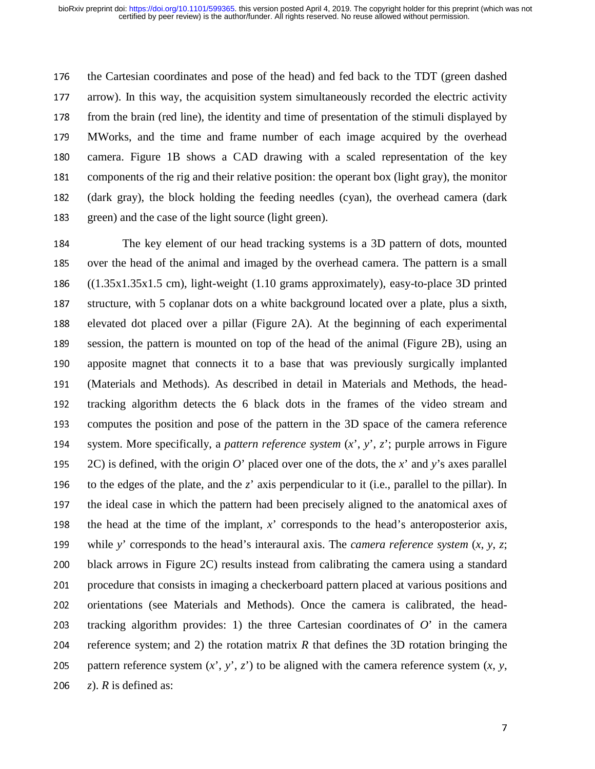176 the Cartesian coordinates and pose of the head) and fed back to the TDT (green dashed 177 arrow). In this way, the acquisition system simultaneously recorded the electric activity 178 from the brain (red line), the identity and time of presentation of the stimuli displayed by <sup>179</sup>MWorks, and the time and frame number of each image acquired by the overhead 180 camera. Figure 1B shows a CAD drawing with a scaled representation of the key <sup>181</sup>components of the rig and their relative position: the operant box (light gray), the monitor 182 (dark gray), the block holding the feeding needles (cyan), the overhead camera (dark 183 green) and the case of the light source (light green).

<sup>184</sup>The key element of our head tracking systems is a 3D pattern of dots, mounted 185 over the head of the animal and imaged by the overhead camera. The pattern is a small<br>186  $((1.35 \times 1.35 \times 1.5 \text{ cm})$ , light-weight  $(1.10 \text{ grams approximately})$ , easy-to-place 3D printed  $((1.35x1.35x1.5 cm)$ , light-weight  $(1.10$  grams approximately), easy-to-place 3D printed 187 structure, with 5 coplanar dots on a white background located over a plate, plus a sixth, 188 elevated dot placed over a pillar (Figure 2A). At the beginning of each experimental 189 session, the pattern is mounted on top of the head of the animal (Figure 2B), using an 190 apposite magnet that connects it to a base that was previously surgically implanted<br>191 (Materials and Methods). As described in detail in Materials and Methods, the head-(Materials and Methods). As described in detail in Materials and Methods, the head-192 tracking algorithm detects the 6 black dots in the frames of the video stream and 193 computes the position and pose of the pattern in the 3D space of the camera reference 194 system. More specifically, a *pattern reference system*  $(x^{\prime}, y^{\prime}, z^{\prime})$ ; purple arrows in Figure 195 2C) is defined, with the origin *O*' placed over one of the dots, the *x*' and *y*'s axes parallel 196 to the edges of the plate, and the  $z'$  axis perpendicular to it (i.e., parallel to the pillar). In 197 the ideal case in which the pattern had been precisely aligned to the anatomical axes of 198 the head at the time of the implant,  $x'$  corresponds to the head's anteroposterior axis, 199 while *y*' corresponds to the head's interaural axis. The *camera reference system*  $(x, y, z;$ 200 black arrows in Figure 2C) results instead from calibrating the camera using a standard<br>201 procedure that consists in imaging a checkerboard pattern placed at various positions and procedure that consists in imaging a checkerboard pattern placed at various positions and 202 orientations (see Materials and Methods). Once the camera is calibrated, the head-<br>203 tracking algorithm provides: 1) the three Cartesian coordinates of  $O'$  in the camera tracking algorithm provides: 1) the three Cartesian coordinates of  $O'$  in the camera 204 reference system; and 2) the rotation matrix  $R$  that defines the 3D rotation bringing the 205 pattern reference system  $(x^2, y^2, z^2)$  to be aligned with the camera reference system  $(x, y, z^2)$ . *R* is defined as:  $(z)$ . *R* is defined as: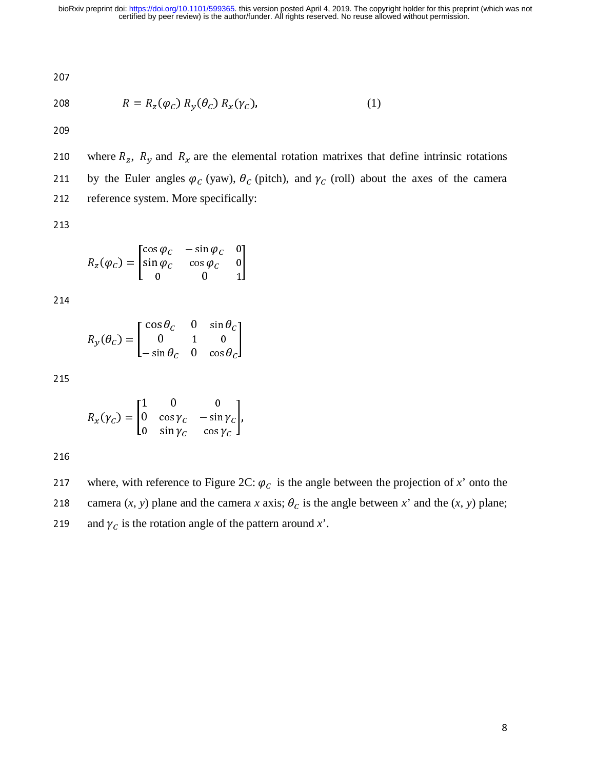207

$$
R = R_z(\varphi_c) R_y(\theta_c) R_x(\gamma_c), \tag{1}
$$

where  $R_z$ ,  $R_y$  and  $R_x$  are the elemental rotation matrixes that define intrinsic rotations<br>211 by the Euler angles  $\varphi_c$  (yaw),  $\theta_c$  (pitch), and  $\gamma_c$  (roll) about the axes of the camera 211 by the Euler angles  $\varphi_c$  (yaw),  $\theta_c$  (pitch), and  $\gamma_c$  (roll) about the axes of the camera<br>212 reference system More specifically: 212 reference system. More specifically:

213

$$
R_z(\varphi_C) = \begin{bmatrix} \cos \varphi_C & -\sin \varphi_C & 0 \\ \sin \varphi_C & \cos \varphi_C & 0 \\ 0 & 0 & 1 \end{bmatrix}
$$

$$
R_{y}(\theta_{C}) = \begin{bmatrix} \cos \theta_{C} & 0 & \sin \theta_{C} \\ 0 & 1 & 0 \\ -\sin \theta_{C} & 0 & \cos \theta_{C} \end{bmatrix}
$$

215

$$
R_x(\gamma_c) = \begin{bmatrix} 1 & 0 & 0 \\ 0 & \cos \gamma_c & -\sin \gamma_c \\ 0 & \sin \gamma_c & \cos \gamma_c \end{bmatrix},
$$

216

217 where, with reference to Figure 2C:  $\varphi_c$  is the angle between the projection of *x*' onto the<br>218 camera (*x y*) plane and the camera *x* axis:  $\theta_c$  is the angle between *x*' and the (*x y*) plane: camera  $(x, y)$  plane and the camera *x* axis;  $\theta_c$  is the angle between *x*' and the  $(x, y)$  plane;<br>219 and  $\chi_c$  is the rotation angle of the pattern around *x*' 219 and  $\gamma_c$  is the rotation angle of the pattern around *x*'.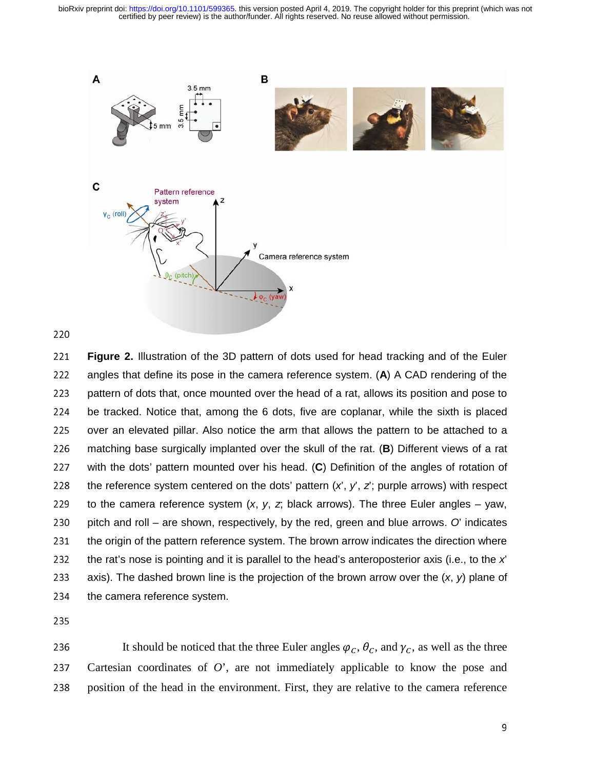certified by peer review) is the author/funder. All rights reserved. No reuse allowed without permission. bioRxiv preprint doi: [https://doi.org/10.1101/599365.](https://doi.org/10.1101/599365) this version posted April 4, 2019. The copyright holder for this preprint (which was not



<sup>221</sup>**Figure 2.** Illustration of the 3D pattern of dots used for head tracking and of the Euler 222 angles that define its pose in the camera reference system. (A) A CAD rendering of the<br>223 pattern of dots that, once mounted over the head of a rat, allows its position and pose to pattern of dots that, once mounted over the head of a rat, allows its position and pose to<br>224 be tracked. Notice that, among the 6 dots, five are coplanar, while the sixth is placed 224 be tracked. Notice that, among the 6 dots, five are coplanar, while the sixth is placed<br>225 over an elevated pillar. Also notice the arm that allows the pattern to be attached to a 225 over an elevated pillar. Also notice the arm that allows the pattern to be attached to a<br>226 matching base surgically implanted over the skull of the rat. (B) Different views of a rat 226 matching base surgically implanted over the skull of the rat. (**B**) Different views of a rat<br>227 with the dots' pattern mounted over his head. (**C**) Definition of the angles of rotation of 227 with the dots' pattern mounted over his head. (C) Definition of the angles of rotation of 228 the reference system centered on the dots' pattern  $(x', y', z')$ ; purple arrows) with respect 228 the reference system centered on the dots' pattern  $(x', y', z')$ ; purple arrows) with respect<br>229 to the camera reference system  $(x, y, z)$  black arrows). The three Euler angles – yaw, 229 to the camera reference system  $(x, y, z, b$  lack arrows). The three Euler angles – yaw,<br>230 pitch and roll – are shown, respectively, by the red, green and blue arrows. O' indicates 230 pitch and roll – are shown, respectively, by the red, green and blue arrows. *O*' indicates<br>231 the origin of the pattern reference system. The brown arrow indicates the direction where 231 the origin of the pattern reference system. The brown arrow indicates the direction where<br>232 the rat's nose is pointing and it is parallel to the head's anteroposterior axis (i.e., to the x' 232 the rat's nose is pointing and it is parallel to the head's anteroposterior axis (i.e., to the *x*'  $\overline{a}$ ) axis). The dashed brown line is the projection of the brown arrow over the  $(x, y)$  plane of 233 axis). The dashed brown line is the projection of the brown arrow over the  $(x, y)$  plane of 234 the camera reference system. the camera reference system.

236 It should be noticed that the three Euler angles  $\varphi_c$ ,  $\theta_c$ , and  $\gamma_c$ , as well as the three<br>237 Cartesian coordinates of O' are not immediately applicable to know the pose and 237 Cartesian coordinates of  $O'$ , are not immediately applicable to know the pose and 238 position of the head in the environment. First, they are relative to the camera reference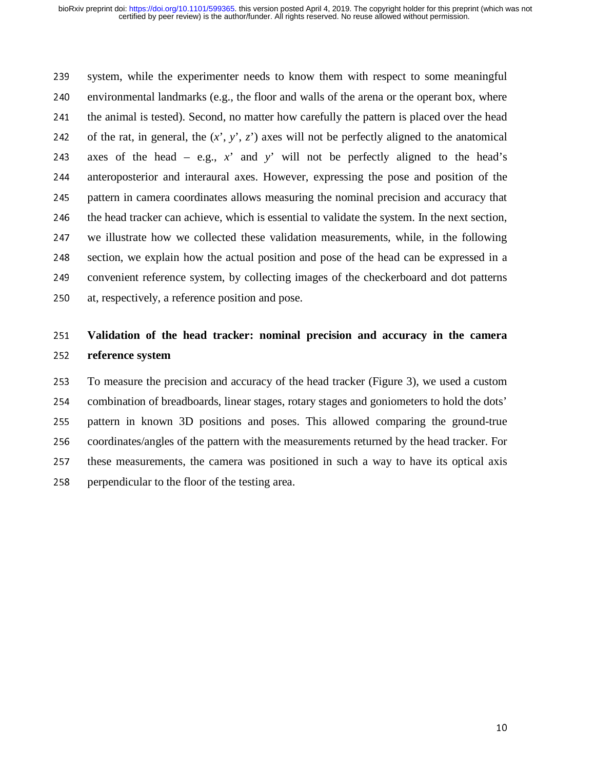239 system, while the experimenter needs to know them with respect to some meaningful<br>240 environmental landmarks (e.g., the floor and walls of the arena or the operant box, where environmental landmarks (e.g., the floor and walls of the arena or the operant box, where 241 the animal is tested). Second, no matter how carefully the pattern is placed over the head 242 of the rat, in general, the  $(x^{\prime}, y^{\prime}, z^{\prime})$  axes will not be perfectly aligned to the anatomical 243 axes of the head – e.g.,  $x'$  and  $y'$  will not be perfectly aligned to the head's anteroposterior and interaural axes. However, expressing the pose and position of the <sup>244</sup>anteroposterior and interaural axes. However, expressing the pose and position of the 245 pattern in camera coordinates allows measuring the nominal precision and accuracy that 246 the head tracker can achieve, which is essential to validate the system. In the next section, <sup>247</sup>we illustrate how we collected these validation measurements, while, in the following 248 section, we explain how the actual position and pose of the head can be expressed in a<br>249 convenient reference system, by collecting images of the checkerboard and dot patterns convenient reference system, by collecting images of the checkerboard and dot patterns 250 at, respectively, a reference position and pose.

# <sup>251</sup>**Validation of the head tracker: nominal precision and accuracy in the camera**  <sup>252</sup>**reference system**

253 To measure the precision and accuracy of the head tracker (Figure 3), we used a custom<br>254 combination of breadboards, linear stages, rotary stages and goniometers to hold the dots' <sup>254</sup>combination of breadboards, linear stages, rotary stages and goniometers to hold the dots' 255 pattern in known 3D positions and poses. This allowed comparing the ground-true 256 coordinates/angles of the pattern with the measurements returned by the head tracker. For 257 these measurements, the camera was positioned in such a way to have its optical axis 258 perpendicular to the floor of the testing area.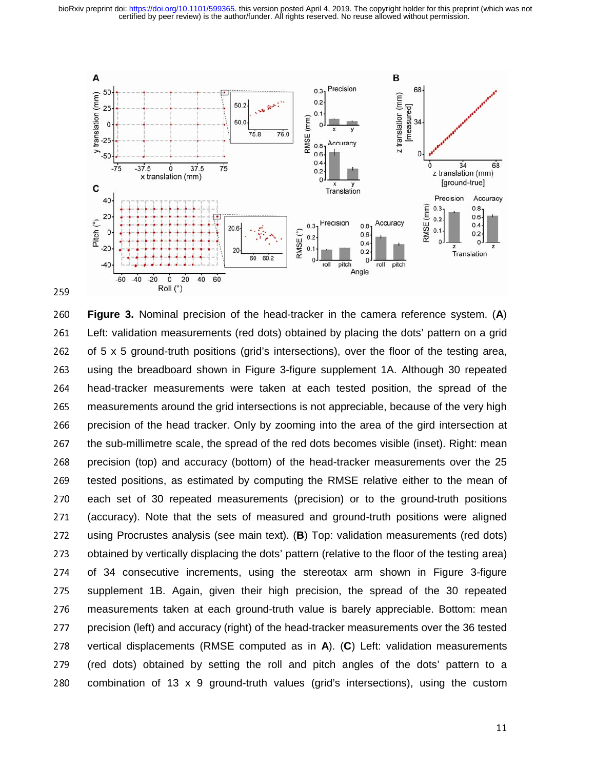

<sup>260</sup>**Figure 3.** Nominal precision of the head-tracker in the camera reference system. (**A**) 261 Left: validation measurements (red dots) obtained by placing the dots' pattern on a grid<br>262 of 5 x 5 ground-truth positions (grid's intersections), over the floor of the testing area, 262 of 5 x 5 ground-truth positions (grid's intersections), over the floor of the testing area,<br>263 using the breadboard shown in Figure 3-figure supplement 1A. Although 30 repeated 263 using the breadboard shown in Figure 3-figure supplement 1A. Although 30 repeated<br>264 bead-tracker measurements were taken at each tested position, the spread of the 264 head-tracker measurements were taken at each tested position, the spread of the<br>265 measurements around the grid intersections is not appreciable, because of the very high 265 measurements around the grid intersections is not appreciable, because of the very high<br>266 precision of the head tracker. Only by zooming into the area of the gird intersection at 266 precision of the head tracker. Only by zooming into the area of the gird intersection at<br>267 the sub-millimetre scale, the spread of the red dots becomes visible (inset). Right: mean 267 the sub-millimetre scale, the spread of the red dots becomes visible (inset). Right: mean<br>268 precision (top) and accuracy (bottom) of the head-tracker measurements over the 25 268 precision (top) and accuracy (bottom) of the head-tracker measurements over the 25<br>269 tested positions, as estimated by computing the RMSE relative either to the mean of 269 tested positions, as estimated by computing the RMSE relative either to the mean of<br>270 each set of 30 repeated measurements (precision) or to the ground-truth positions 270 each set of 30 repeated measurements (precision) or to the ground-truth positions<br>271 (accuracy). Note that the sets of measured and ground-truth positions were aligned 271 (accuracy). Note that the sets of measured and ground-truth positions were aligned<br>272 using Procrustes analysis (see main text). (B) Top: validation measurements (red dots) 272 using Procrustes analysis (see main text). (**B**) Top: validation measurements (red dots)<br>273 obtained by vertically displacing the dots' pattern (relative to the floor of the testing area) 273 obtained by vertically displacing the dots' pattern (relative to the floor of the testing area)<br>274 of 34 consecutive increments, using the stereotax arm shown in Figure 3-figure 274 of 34 consecutive increments, using the stereotax arm shown in Figure 3-figure<br>275 supplement 1B. Again, given their high precision, the spread of the 30 repeated 275 supplement 1B. Again, given their high precision, the spread of the 30 repeated<br>276 measurements taken at each ground-truth value is barely appreciable. Bottom: mean 276 measurements taken at each ground-truth value is barely appreciable. Bottom: mean<br>277 precision (left) and accuracy (right) of the head-tracker measurements over the 36 tested 277 precision (left) and accuracy (right) of the head-tracker measurements over the 36 tested<br>278 vertical displacements (RMSE computed as in A). (C) Left: validation measurements 278 vertical displacements (RMSE computed as in **A**). (C) Left: validation measurements<br>279 (red dots) obtained by setting the roll and pitch angles of the dots' pattern to a 279 (red dots) obtained by setting the roll and pitch angles of the dots' pattern to a<br>280 combination of 13 x 9 ground-truth values (grid's intersections), using the custom combination of 13 x 9 ground-truth values (grid's intersections), using the custom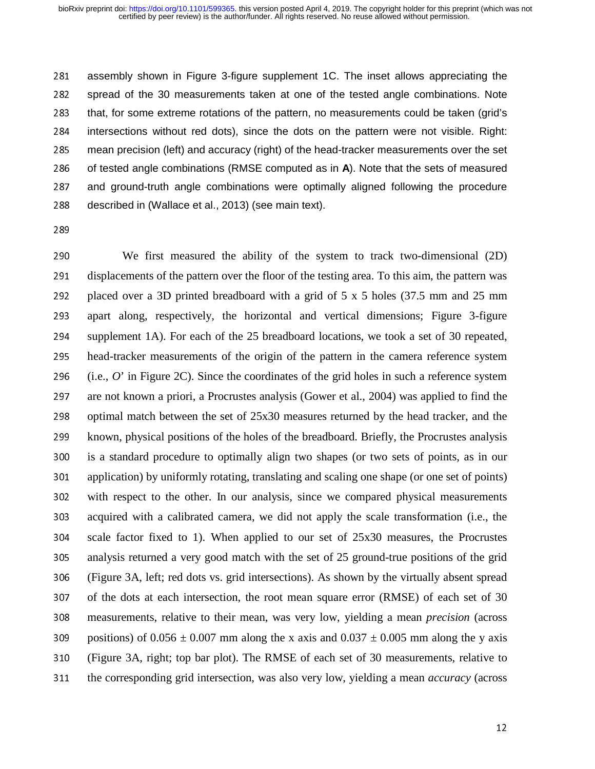281 assembly shown in Figure 3-figure supplement 1C. The inset allows appreciating the<br>282 spread of the 30 measurements taken at one of the tested angle combinations. Note 282 spread of the 30 measurements taken at one of the tested angle combinations. Note<br>283 that, for some extreme rotations of the pattern, no measurements could be taken (grid's 283 that, for some extreme rotations of the pattern, no measurements could be taken (grid's 284 intersections without red dots), since the dots on the pattern were not visible. Right: 284 intersections without red dots), since the dots on the pattern were not visible. Right:<br>285 mean precision (left) and accuracy (right) of the head-tracker measurements over the set 285 mean precision (left) and accuracy (right) of the head-tracker measurements over the set<br>286 of tested angle combinations (RMSE computed as in A). Note that the sets of measured 286 of tested angle combinations (RMSE computed as in **A**). Note that the sets of measured<br>287 and ground-truth angle combinations were optimally aligned following the procedure 287 and ground-truth angle combinations were optimally aligned following the procedure 288 described in (Wallace et al., 2013) (see main text). described in (Wallace et al., 2013) (see main text).

<sup>290</sup>We first measured the ability of the system to track two-dimensional (2D) 291 displacements of the pattern over the floor of the testing area. To this aim, the pattern was 292 placed over a 3D printed breadboard with a grid of  $5 \times 5$  holes (37.5 mm and 25 mm 293 apart along, respectively, the horizontal and vertical dimensions; Figure 3-figure 294 supplement 1A). For each of the 25 breadboard locations, we took a set of 30 repeated,<br>295 head-tracker measurements of the origin of the pattern in the camera reference system head-tracker measurements of the origin of the pattern in the camera reference system 296 (i.e.,  $O'$  in Figure 2C). Since the coordinates of the grid holes in such a reference system<br>297 are not known a priori, a Procrustes analysis (Gower et al., 2004) was applied to find the are not known a priori, a Procrustes analysis (Gower et al., 2004) was applied to find the 298 optimal match between the set of  $25x30$  measures returned by the head tracker, and the 299 known, physical positions of the holes of the breadboard. Briefly, the Procrustes analysis<br>200 is a standard procedure to optimally align two shapes (or two sets of points, as in our is a standard procedure to optimally align two shapes (or two sets of points, as in our 301 application) by uniformly rotating, translating and scaling one shape (or one set of points) 302 with respect to the other. In our analysis, since we compared physical measurements 303 acquired with a calibrated camera, we did not apply the scale transformation (i.e., the scale factor fixed to 1). When applied to our set of 25x30 measures, the Procrustes<br>305 analysis returned a very good match with the set of 25 ground-true positions of the grid analysis returned a very good match with the set of 25 ground-true positions of the grid <sup>306</sup>(Figure 3A, left; red dots vs. grid intersections). As shown by the virtually absent spread 307 of the dots at each intersection, the root mean square error (RMSE) of each set of 30 <sup>308</sup>measurements, relative to their mean, was very low, yielding a mean *precision* (across 309 positions) of  $0.056 \pm 0.007$  mm along the x axis and  $0.037 \pm 0.005$  mm along the y axis<br>310 (Figure 3A, right; top bar plot). The RMSE of each set of 30 measurements, relative to <sup>310</sup>(Figure 3A, right; top bar plot). The RMSE of each set of 30 measurements, relative to 311 the corresponding grid intersection, was also very low, yielding a mean *accuracy* (across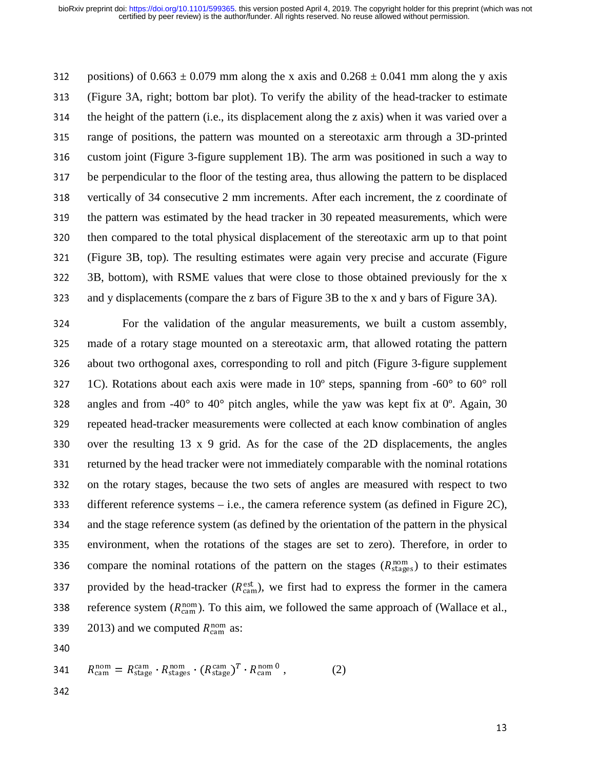312 positions) of  $0.663 \pm 0.079$  mm along the x axis and  $0.268 \pm 0.041$  mm along the y axis<br>313 (Figure 3A, right; bottom bar plot). To verify the ability of the head-tracker to estimate <sup>313</sup>(Figure 3A, right; bottom bar plot). To verify the ability of the head-tracker to estimate  $314$  the height of the pattern (i.e., its displacement along the z axis) when it was varied over a 315 range of positions, the pattern was mounted on a stereotaxic arm through a 3D-printed 316 custom joint (Figure 3-figure supplement 1B). The arm was positioned in such a way to<br>317 be perpendicular to the floor of the testing area, thus allowing the pattern to be displaced be perpendicular to the floor of the testing area, thus allowing the pattern to be displaced 318 vertically of 34 consecutive 2 mm increments. After each increment, the z coordinate of 319 the pattern was estimated by the head tracker in 30 repeated measurements, which were 320 then compared to the total physical displacement of the stereotaxic arm up to that point 321 (Figure 3B, top). The resulting estimates were again very precise and accurate (Figure 322 3B, bottom), with RSME values that were close to those obtained previously for the x 3B, bottom), with RSME values that were close to those obtained previously for the x 323 and y displacements (compare the z bars of Figure 3B to the x and y bars of Figure 3A).

324 For the validation of the angular measurements, we built a custom assembly,<br>325 made of a rotary stage mounted on a stereotaxic arm, that allowed rotating the pattern made of a rotary stage mounted on a stereotaxic arm, that allowed rotating the pattern 326 about two orthogonal axes, corresponding to roll and pitch (Figure 3-figure supplement 327 1C). Rotations about each axis were made in  $10^{\circ}$  steps, spanning from -60 $^{\circ}$  to 60 $^{\circ}$  roll 1C). Rotations about each axis were made in  $10^{\circ}$  steps, spanning from -60 $^{\circ}$  to 60 $^{\circ}$  roll 328 angles and from -40 $\degree$  to 40 $\degree$  pitch angles, while the yaw was kept fix at 0 $\degree$ . Again, 30 329 repeated head-tracker measurements were collected at each know combination of angles 330 over the resulting  $13 \times 9$  grid. As for the case of the 2D displacements, the angles 331 returned by the head tracker were not immediately comparable with the nominal rotations 332 on the rotary stages, because the two sets of angles are measured with respect to two 333 different reference systems  $-$  i.e., the camera reference system (as defined in Figure 2C), <sup>334</sup>and the stage reference system (as defined by the orientation of the pattern in the physical 335 environment, when the rotations of the stages are set to zero). Therefore, in order to compare the nominal rotations of the pattern on the stages ( $R_{\text{stages}}^{\text{nom}}$ ) to their estimates<br>237 expected by the bood tracker ( $R_{\text{est}}^{\text{est}}$ ) we first had to express the former in the compreprovided by the head-tracker ( $R_{\text{cam}}^{\text{est}}$ ), we first had to express the former in the camera<br>338 a reference system ( $R_{\text{nom}}^{\text{nom}}$ ). To this aim we followed the same approach of (Wallace et al reference system ( $R_{\text{cam}}^{\text{nom}}$ ). To this aim, we followed the same approach of (Wallace et al., 239). 2013) and we computed  $R_{\text{nom}}$  as: 339 2013) and we computed  $R_{\text{cam}}^{\text{nom}}$  as:<br>340

340

$$
341 \t Rcamnom = Rstagecam \cdot Rstagenom \cdot (RstageT \cdot Rcamnom 0 , \t(2)
$$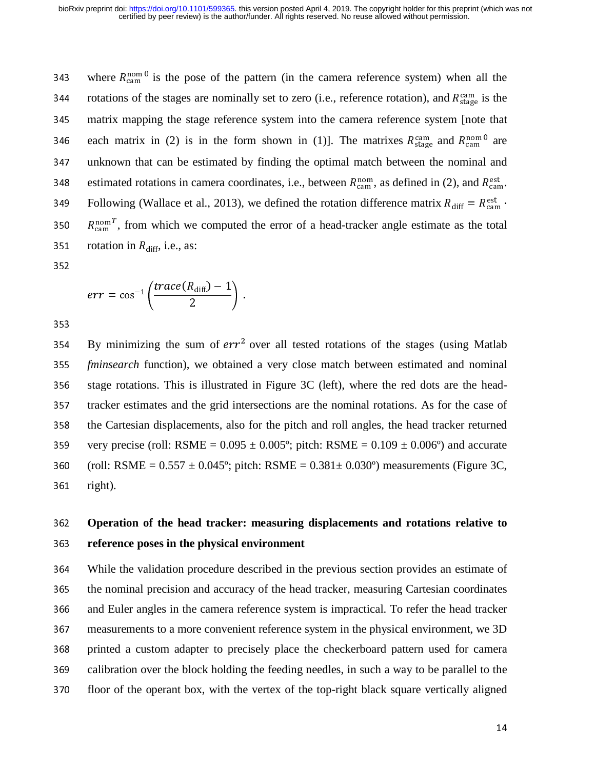where  $R_{\text{cam}}^{\text{nom 0}}$  is the pose of the pattern (in the camera reference system) when all the<br>344 is the stages are nominally set to zero (i.e., reference rotation), and  $R^{\text{cam}}$  is the rotations of the stages are nominally set to zero (i.e., reference rotation), and  $R_{\text{stage}}^{\text{cam}}$  is the<br>245 in matrix manning the stage reference system into the camera reference system Inote that 345 matrix mapping the stage reference system into the camera reference system [note that each matrix in (2) is in the form shown in (1)]. The matrixes  $R_{\text{stage}}^{\text{cam}}$  and  $R_{\text{cam}}^{\text{nom}}$  are<br>347 and unknown that can be estimated by finding the optimal match between the nominal and 347 unknown that can be estimated by finding the optimal match between the nominal and estimated rotations in camera coordinates, i.e., between  $R_{\text{cam}}^{\text{nom}}$ , as defined in (2), and  $R_{\text{cam}}^{\text{est}}$ .<br>349. Following (Wallace et al. 2013), we defined the rotation difference matrix  $R_{\text{tot}} = R^{\text{est}}$ . Following (Wallace et al., 2013), we defined the rotation difference matrix  $R_{\text{diff}} = R_{\text{cam}}^{\text{est}}$ .<br>250  $R_{\text{nom}}^{\text{nom}}$  from which we computed the error of a head tracker angle estimate as the total cam<br>a tote <sub>cam</sub><br>rotat 350  $R_{\text{cam}}^{\text{nom}}$ , from which we computed the error of a head-tracker angle estimate as the total 351 rotation in  $R_{\text{diff}}$ , i.e., as:<br>352

$$
err = \cos^{-1}\left(\frac{trace(R_{\text{diff}})-1}{2}\right).
$$

By minimizing the sum of  $err^2$  over all tested rotations of the stages (using Matlab<br>355 *fininsearch* function) we obtained a very close match between estimated and nominal <sup>355</sup>*fminsearch* function), we obtained a very close match between estimated and nominal 356 stage rotations. This is illustrated in Figure 3C (left), where the red dots are the head-357 tracker estimates and the grid intersections are the nominal rotations. As for the case of 358 the Cartesian displacements, also for the pitch and roll angles, the head tracker returned 359 very precise (roll: RSME =  $0.095 \pm 0.005^{\circ}$ ; pitch: RSME =  $0.109 \pm 0.006^{\circ}$ ) and accurate 360 (roll: RSME =  $0.557 \pm 0.045^{\circ}$ ; pitch: RSME =  $0.381 \pm 0.030^{\circ}$ ) measurements (Figure 3C,  $361$  right).

# <sup>362</sup>**Operation of the head tracker: measuring displacements and rotations relative to**  <sup>363</sup>**reference poses in the physical environment**

364 While the validation procedure described in the previous section provides an estimate of<br>365 the nominal precision and accuracy of the head tracker, measuring Cartesian coordinates <sup>365</sup>the nominal precision and accuracy of the head tracker, measuring Cartesian coordinates 366 and Euler angles in the camera reference system is impractical. To refer the head tracker 367 measurements to a more convenient reference system in the physical environment, we 3D 368 printed a custom adapter to precisely place the checkerboard pattern used for camera 369 calibration over the block holding the feeding needles, in such a way to be parallel to the 370 floor of the operant box, with the vertex of the top-right black square vertically aligned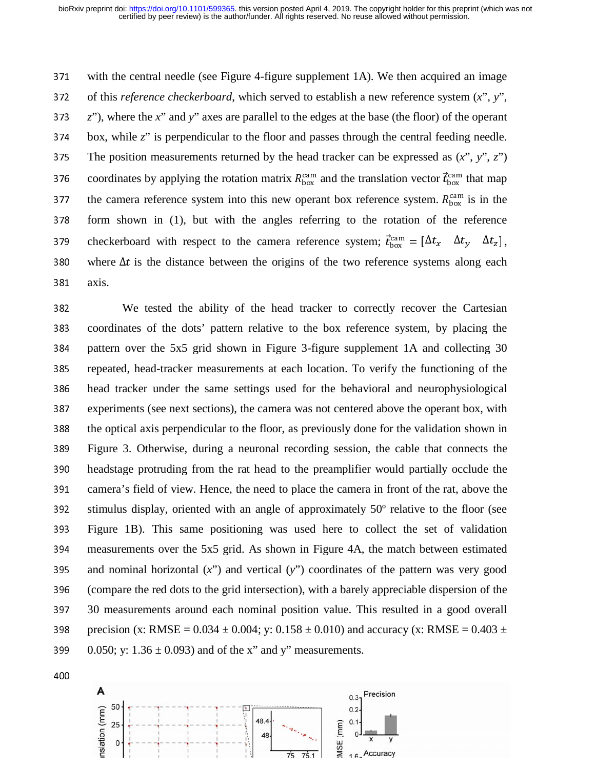371 with the central needle (see Figure 4-figure supplement 1A). We then acquired an image 372 of this *reference checkerboard*, which served to establish a new reference system  $(x^{\prime\prime}, y^{\prime\prime})$ , <sup>373</sup>*z*"), where the *x*" and *y*" axes are parallel to the edges at the base (the floor) of the operant  $374$  box, while  $z$ " is perpendicular to the floor and passes through the central feeding needle. 375 The position measurements returned by the head tracker can be expressed as  $(x^{\prime\prime}, y^{\prime\prime}, z^{\prime\prime})$ 376 coordinates by applying the rotation matrix  $R_{\text{box}}^{\text{cam}}$  and the translation vector  $\vec{t}_{\text{box}}^{\text{cam}}$  that map<br>377 the camera reference system into this new operant box reference system.  $R_{\text{cam}}^{\text{cam}}$  is in the  $\frac{1}{R}$ the camera reference system into this new operant box reference system.  $R_{\text{box}}^{\text{cam}}$  is in the<br>378 form shown in (1) but with the angles referring to the rotation of the reference  $378$  form shown in (1), but with the angles referring to the rotation of the reference checkerboard with respect to the camera reference system;  $\vec{t}_{box} = [\Delta t_x \Delta t_y \Delta t_z]$ ,<br>380 where At is the distance between the origins of the two reference systems along each 380 where  $\Delta t$  is the distance between the origins of the two reference systems along each axis box 381 axis.

<sup>382</sup>We tested the ability of the head tracker to correctly recover the Cartesian 383 coordinates of the dots' pattern relative to the box reference system, by placing the 384 pattern over the 5x5 grid shown in Figure 3-figure supplement 1A and collecting 30<br>385 repeated, head-tracker measurements at each location. To verify the functioning of the repeated, head-tracker measurements at each location. To verify the functioning of the 386 head tracker under the same settings used for the behavioral and neurophysiological<br>387 experiments (see next sections), the camera was not centered above the operant box, with experiments (see next sections), the camera was not centered above the operant box, with 388 the optical axis perpendicular to the floor, as previously done for the validation shown in <sup>389</sup>Figure 3. Otherwise, during a neuronal recording session, the cable that connects the 390 headstage protruding from the rat head to the preamplifier would partially occlude the 391 camera's field of view. Hence, the need to place the camera in front of the rat, above the stimulus display, oriented with an angle of approximately  $50^{\circ}$  relative to the floor (see stimulus display, oriented with an angle of approximately  $50^\circ$  relative to the floor (see <sup>393</sup>Figure 1B). This same positioning was used here to collect the set of validation 394 measurements over the 5x5 grid. As shown in Figure 4A, the match between estimated 395 and nominal horizontal  $(x<sup>''</sup>)$  and vertical  $(y<sup>''</sup>)$  coordinates of the pattern was very good 396 (compare the red dots to the grid intersection), with a barely appreciable dispersion of the<br>397 30 measurements around each nominal position value. This resulted in a good overall 30 measurements around each nominal position value. This resulted in a good overall 398 precision (x: RMSE = 0.034  $\pm$  0.004; y: 0.158  $\pm$  0.010) and accuracy (x: RMSE = 0.403  $\pm$ 399 0.050; y:  $1.36 \pm 0.093$  and of the x" and y" measurements.

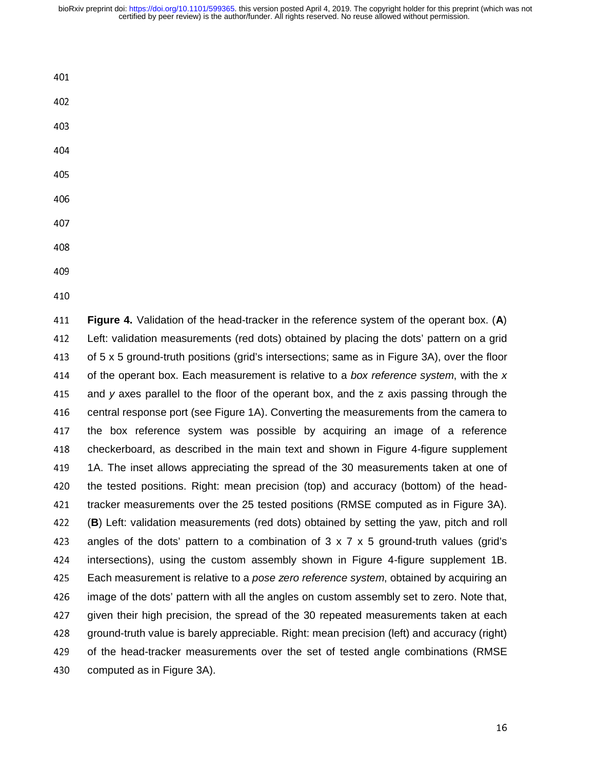certified by peer review) is the author/funder. All rights reserved. No reuse allowed without permission. bioRxiv preprint doi: [https://doi.org/10.1101/599365.](https://doi.org/10.1101/599365) this version posted April 4, 2019. The copyright holder for this preprint (which was not

- 401
- 
- 
- 
- 405
- 
- 
- 407
- 408
- 
- 410

<sup>411</sup>**Figure 4.** Validation of the head-tracker in the reference system of the operant box. (**A**) 412 Left: validation measurements (red dots) obtained by placing the dots' pattern on a grid<br>413 of 5 x 5 ground-truth positions (grid's intersections; same as in Figure 3A), over the floor 413 of 5 x 5 ground-truth positions (grid's intersections; same as in Figure 3A), over the floor<br>414 of the operant box. Each measurement is relative to a *box reference system*, with the x of the operant box. Each measurement is relative to a *box reference system*, with the *x*<br>415 and *y* axes parallel to the floor of the operant box, and the *z* axis passing through the and *y* axes parallel to the floor of the operant box, and the z axis passing through the<br>416 central response port (see Figure 1A). Converting the measurements from the camera to 416 central response port (see Figure 1A). Converting the measurements from the camera to<br>417 the box reference system was possible by acquiring an image of a reference 417 the box reference system was possible by acquiring an image of a reference<br>418 checkerboard, as described in the main text and shown in Figure 4-figure supplement 418 checkerboard, as described in the main text and shown in Figure 4-figure supplement<br>419 1A. The inset allows appreciating the spread of the 30 measurements taken at one of 1419 1A. The inset allows appreciating the spread of the 30 measurements taken at one of 420 the tested positions. Right: mean precision (top) and accuracy (bottom) of the head-420 the tested positions. Right: mean precision (top) and accuracy (bottom) of the head-<br>421 tracker measurements over the 25 tested positions (RMSE computed as in Figure 3A). tracker measurements over the 25 tested positions (RMSE computed as in Figure 3A).<br>422 (B) Left: validation measurements (red dots) obtained by setting the yaw, pitch and roll 422 (B) Left: validation measurements (red dots) obtained by setting the yaw, pitch and roll<br>423 angles of the dots' pattern to a combination of 3 x 7 x 5 ground-truth values (grid's 423 angles of the dots' pattern to a combination of  $3 \times 7 \times 5$  ground-truth values (grid's 424 intersections), using the custom assembly shown in Figure 4-figure supplement 1B. 424 intersections), using the custom assembly shown in Figure 4-figure supplement 1B.<br>425 Each measurement is relative to a *pose zero reference svstem*, obtained by acquiring an Each measurement is relative to a *pose zero reference system*, obtained by acquiring an<br>426 image of the dots' pattern with all the angles on custom assembly set to zero. Note that, 426 image of the dots' pattern with all the angles on custom assembly set to zero. Note that,<br>427 oriven their high precision, the spread of the 30 repeated measurements taken at each 427 given their high precision, the spread of the 30 repeated measurements taken at each<br>428 ground-truth value is barely appreciable. Right: mean precision (left) and accuracy (right) 428 ground-truth value is barely appreciable. Right: mean precision (left) and accuracy (right)<br>429 of the head-tracker measurements over the set of tested angle combinations (RMSE 429 of the head-tracker measurements over the set of tested angle combinations (RMSE<br>430 computed as in Figure 3A). computed as in Figure 3A).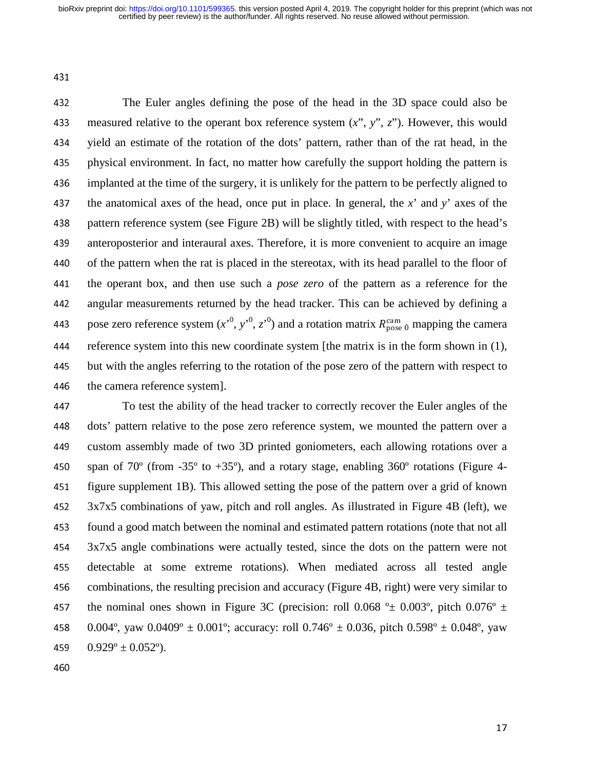431

<sup>432</sup>The Euler angles defining the pose of the head in the 3D space could also be 433 measured relative to the operant box reference system  $(x^{\prime\prime}, y^{\prime\prime}, z^{\prime\prime})$ . However, this would 434 yield an estimate of the rotation of the dots' pattern, rather than of the rat head, in the 435 physical environment. In fact, no matter how carefully the support holding the pattern is<br>436 implanted at the time of the surgery, it is unlikely for the pattern to be perfectly aligned to implanted at the time of the surgery, it is unlikely for the pattern to be perfectly aligned to 437 the anatomical axes of the head, once put in place. In general, the  $x'$  and  $y'$  axes of the 438 pattern reference system (see Figure 2B) will be slightly titled, with respect to the head's 439 anteroposterior and interaural axes. Therefore, it is more convenient to acquire an image 440 of the pattern when the rat is placed in the stereotax, with its head parallel to the floor of<br>441 the operant box, and then use such a *pose zero* of the pattern as a reference for the the operant box, and then use such a *pose zero* of the pattern as a reference for the 442 angular measurements returned by the head tracker. This can be achieved by defining a pose zero reference system  $(x^0, y^0, z^0)$  and a rotation matrix  $R_{\text{pose 0}}^{\text{cam}}$  mapping the camera<br>444 reference system into this new coordinate system Ithe matrix is in the form shown in (1) 444 reference system into this new coordinate system [the matrix is in the form shown in (1), 445 but with the angles referring to the rotation of the pose zero of the pattern with respect to<br>446 the camera reference system. the camera reference system].

<sup>447</sup>To test the ability of the head tracker to correctly recover the Euler angles of the 448 dots' pattern relative to the pose zero reference system, we mounted the pattern over a 449 custom assembly made of two 3D printed goniometers, each allowing rotations over a 450 span of 70<sup>o</sup> (from -35<sup>o</sup> to +35<sup>o</sup>), and a rotary stage, enabling 360<sup>o</sup> rotations (Figure 4-<br>451 figure supplement 1B). This allowed setting the pose of the pattern over a grid of known figure supplement 1B). This allowed setting the pose of the pattern over a grid of known <sup>452</sup>3x7x5 combinations of yaw, pitch and roll angles. As illustrated in Figure 4B (left), we found a good match between the nominal and estimated pattern rotations (note that not all<br>454 3x7x5 angle combinations were actually tested, since the dots on the pattern were not 3x7x5 angle combinations were actually tested, since the dots on the pattern were not 455 detectable at some extreme rotations). When mediated across all tested angle 456 combinations, the resulting precision and accuracy (Figure 4B, right) were very similar to 457 the nominal ones shown in Figure 3C (precision: roll 0.068  $^{\circ}$  ± 0.003°, pitch 0.076°  $\pm$ 458 0.004°, yaw 0.0409°  $\pm$  0.001°; accuracy: roll 0.746°  $\pm$  0.036, pitch 0.598°  $\pm$  0.048°, yaw 459  $0.929^{\circ} \pm 0.052^{\circ}$ .

460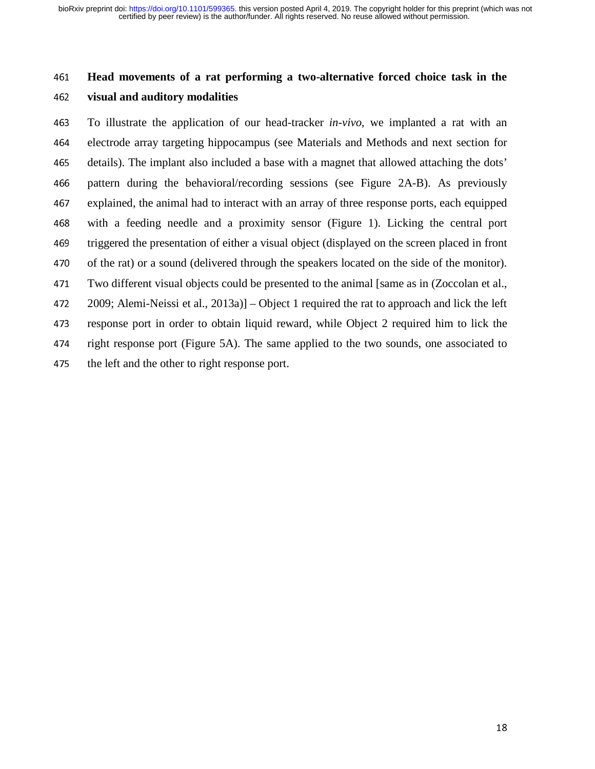# <sup>461</sup>**Head movements of a rat performing a two-alternative forced choice task in the**  <sup>462</sup>**visual and auditory modalities**

<sup>463</sup>To illustrate the application of our head-tracker *in-vivo*, we implanted a rat with an 464 electrode array targeting hippocampus (see Materials and Methods and next section for 465 details). The implant also included a base with a magnet that allowed attaching the dots' 466 pattern during the behavioral/recording sessions (see Figure 2A-B). As previously 467 explained, the animal had to interact with an array of three response ports, each equipped 468 with a feeding needle and a proximity sensor (Figure 1). Licking the central port <sup>469</sup>triggered the presentation of either a visual object (displayed on the screen placed in front 470 of the rat) or a sound (delivered through the speakers located on the side of the monitor).<br>471 Two different visual objects could be presented to the animal [same as in (Zoccolan et al., Two different visual objects could be presented to the animal [same as in (Zoccolan et al., <sup>472</sup>2009; Alemi-Neissi et al., 2013a)] – Object 1 required the rat to approach and lick the left 473 response port in order to obtain liquid reward, while Object 2 required him to lick the 474 right response port (Figure 5A). The same applied to the two sounds, one associated to 475 the left and the other to right response port.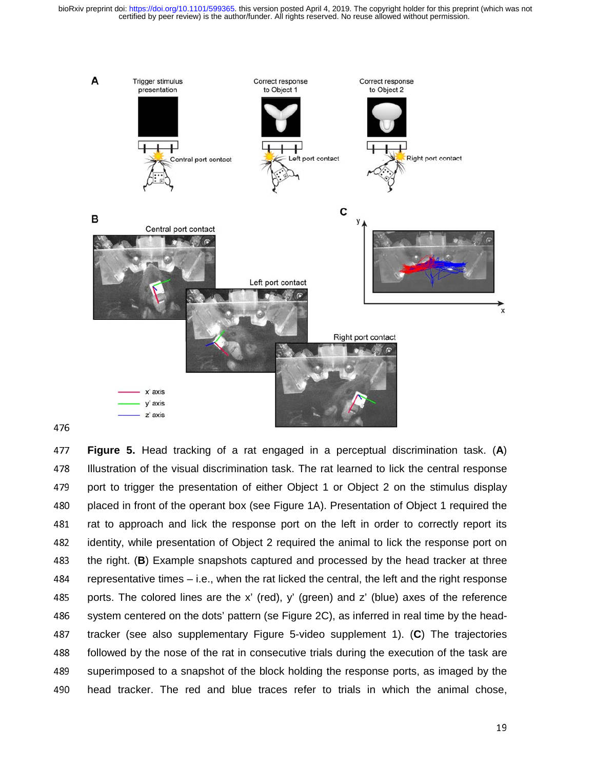certified by peer review) is the author/funder. All rights reserved. No reuse allowed without permission. bioRxiv preprint doi: [https://doi.org/10.1101/599365.](https://doi.org/10.1101/599365) this version posted April 4, 2019. The copyright holder for this preprint (which was not



<sup>477</sup>**Figure 5.** Head tracking of a rat engaged in a perceptual discrimination task. (**A**) 478 Illustration of the visual discrimination task. The rat learned to lick the central response<br>479 port to trigger the presentation of either Obiect 1 or Obiect 2 on the stimulus display 479 port to trigger the presentation of either Object 1 or Object 2 on the stimulus display<br>480 placed in front of the operant box (see Figure 1A). Presentation of Obiect 1 required the 480 placed in front of the operant box (see Figure 1A). Presentation of Object 1 required the<br>481 arat to approach and lick the response port on the left in order to correctly report its rat to approach and lick the response port on the left in order to correctly report its 482 identity, while presentation of Object 2 required the animal to lick the response port on<br>483 the right. (B) Example snapshots captured and processed by the head tracker at three 483 the right. (**B**) Example snapshots captured and processed by the head tracker at three<br>484 representative times – i.e., when the rat licked the central, the left and the right response 484 representative times – i.e., when the rat licked the central, the left and the right response<br>485 ports. The colored lines are the x' (red), y' (green) and z' (blue) axes of the reference 485 ports. The colored lines are the x' (red), y' (green) and z' (blue) axes of the reference<br>486 svstem centered on the dots' pattern (se Figure 2C), as inferred in real time by the head-486 system centered on the dots' pattern (se Figure 2C), as inferred in real time by the head-<br>487 tracker (see also supplementary Figure 5-video supplement 1). (C) The trajectories 487 tracker (see also supplementary Figure 5-video supplement 1). (C) The trajectories<br>488 followed by the nose of the rat in consecutive trials during the execution of the task are 488 followed by the nose of the rat in consecutive trials during the execution of the task are<br>489 superimposed to a snapshot of the block holding the response ports, as imaged by the 489 superimposed to a snapshot of the block holding the response ports, as imaged by the 480 head tracker. The red and blue traces refer to trials in which the animal chose. head tracker. The red and blue traces refer to trials in which the animal chose,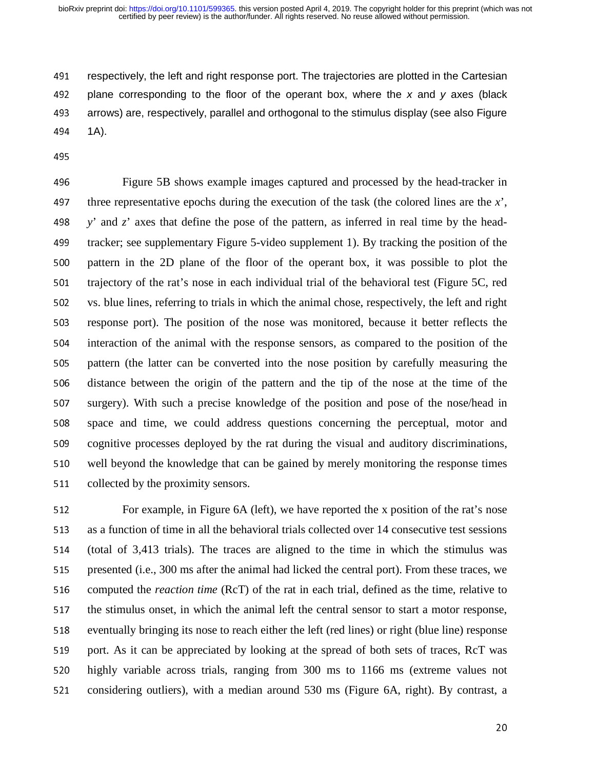certified by peer review) is the author/funder. All rights reserved. No reuse allowed without permission. bioRxiv preprint doi: [https://doi.org/10.1101/599365.](https://doi.org/10.1101/599365) this version posted April 4, 2019. The copyright holder for this preprint (which was not

491 respectively, the left and right response port. The trajectories are plotted in the Cartesian<br>492 plane corresponding to the floor of the operant box, where the x and y axes (black 192 plane corresponding to the floor of the operant box, where the *x* and *y* axes (black<br>193 arrows) are, respectively, parallel and orthogonal to the stimulus display (see also Figure 493 arrows) are, respectively, parallel and orthogonal to the stimulus display (see also Figure 494 1A).  $(A)$ .

 $\frac{1}{2}$ 

<sup>496</sup>Figure 5B shows example images captured and processed by the head-tracker in 497 three representative epochs during the execution of the task (the colored lines are the  $\dot{x}$ ', 498 *y*' and  $z$ ' axes that define the pose of the pattern, as inferred in real time by the head-499 tracker; see supplementary Figure 5-video supplement 1). By tracking the position of the 500 pattern in the 2D plane of the floor of the operant box, it was possible to plot the 501 trajectory of the rat's nose in each individual trial of the behavioral test (Figure 5C, red 502 vs. blue lines, referring to trials in which the animal chose, respectively, the left and right 503 response port). The position of the nose was monitored, because it better reflects the 504 interaction of the animal with the response sensors, as compared to the position of the 505 pattern (the latter can be converted into the nose position by carefully measuring the 506 distance between the origin of the pattern and the tip of the nose at the time of the 507 surgery). With such a precise knowledge of the position and pose of the nose/head in 508 space and time, we could address questions concerning the perceptual, motor and 509 cognitive processes deployed by the rat during the visual and auditory discriminations, 510 well beyond the knowledge that can be gained by merely monitoring the response times 511 collected by the proximity sensors.

512 For example, in Figure 6A (left), we have reported the x position of the rat's nose 513 as a function of time in all the behavioral trials collected over 14 consecutive test sessions 514 (total of 3,413 trials). The traces are aligned to the time in which the stimulus was 515 presented (i.e., 300 ms after the animal had licked the central port). From these traces, we 516 computed the *reaction time* (RcT) of the rat in each trial, defined as the time, relative to 517 the stimulus onset, in which the animal left the central sensor to start a motor response, 518 eventually bringing its nose to reach either the left (red lines) or right (blue line) response 519 port. As it can be appreciated by looking at the spread of both sets of traces, RcT was 520 highly variable across trials, ranging from 300 ms to 1166 ms (extreme values not 521 considering outliers), with a median around 530 ms (Figure 6A, right). By contrast, a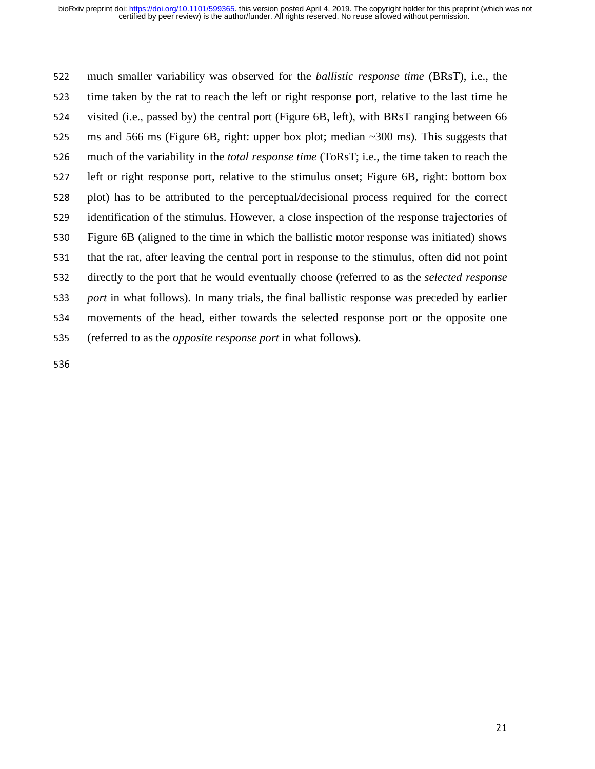<sup>522</sup>much smaller variability was observed for the *ballistic response time* (BRsT), i.e., the 523 time taken by the rat to reach the left or right response port, relative to the last time he 524 visited (i.e., passed by) the central port (Figure 6B, left), with BRsT ranging between 66 525 ms and 566 ms (Figure 6B, right: upper box plot; median  $\sim$ 300 ms). This suggests that <sup>526</sup>much of the variability in the *total response time* (ToRsT; i.e., the time taken to reach the 527 left or right response port, relative to the stimulus onset; Figure 6B, right: bottom box 528 plot) has to be attributed to the perceptual/decisional process required for the correct 529 identification of the stimulus. However, a close inspection of the response trajectories of 530 Figure 6B (aligned to the time in which the ballistic motor response was initiated) shows that the rat, after leaving the central port in response to the stimulus, often did not point<br>532 directly to the port that he would eventually choose (referred to as the *selected response* <sup>532</sup>directly to the port that he would eventually choose (referred to as the *selected response*  <sup>533</sup>*port* in what follows). In many trials, the final ballistic response was preceded by earlier <sup>534</sup>movements of the head, either towards the selected response port or the opposite one <sup>535</sup>(referred to as the *opposite response port* in what follows).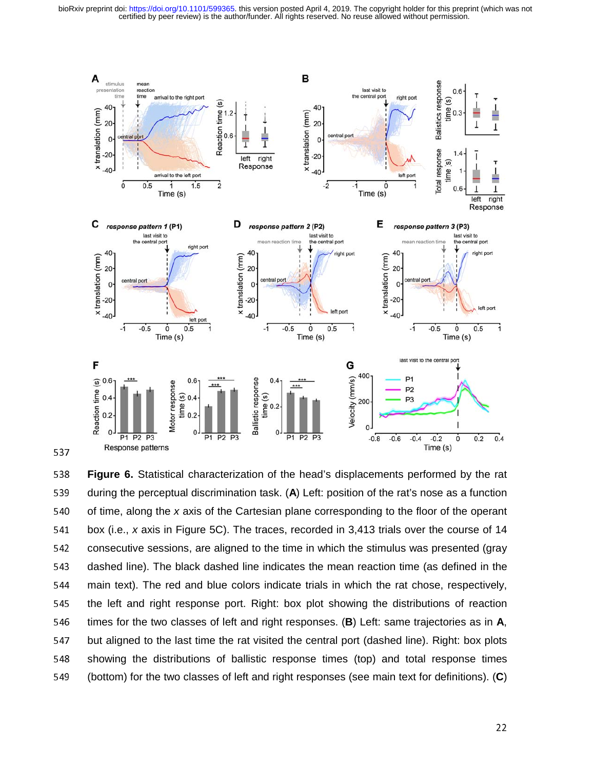certified by peer review) is the author/funder. All rights reserved. No reuse allowed without permission. bioRxiv preprint doi: [https://doi.org/10.1101/599365.](https://doi.org/10.1101/599365) this version posted April 4, 2019. The copyright holder for this preprint (which was not



538 **Figure 6.** Statistical characterization of the head's displacements performed by the rat<br>539 during the perceptual discrimination task. (A) Left: position of the rat's nose as a function 539 during the perceptual discrimination task. (A) Left: position of the rat's nose as a function<br>540 of time, along the x axis of the Cartesian plane corresponding to the floor of the operant 540 of time, along the *x* axis of the Cartesian plane corresponding to the floor of the operant<br>541 box (i.e., *x* axis in Figure 5C). The traces, recorded in 3,413 trials over the course of 14 541 box (i.e., *x* axis in Figure 5C). The traces, recorded in 3,413 trials over the course of 14<br>542 consecutive sessions, are aligned to the time in which the stimulus was presented (grav 542 consecutive sessions, are aligned to the time in which the stimulus was presented (gray<br>543 dashed line). The black dashed line indicates the mean reaction time (as defined in the 543 dashed line). The black dashed line indicates the mean reaction time (as defined in the<br>544 main text). The red and blue colors indicate trials in which the rat chose, respectively, 544 main text). The red and blue colors indicate trials in which the rat chose, respectively,<br>545 the left and right response port. Right: box plot showing the distributions of reaction 545 the left and right response port. Right: box plot showing the distributions of reaction<br>546 times for the two classes of left and right responses. (B) Left: same trajectories as in A, 546 times for the two classes of left and right responses. (**B**) Left: same trajectories as in **A**,<br>547 but aligned to the last time the rat visited the central port (dashed line). Right: box plots 547 but aligned to the last time the rat visited the central port (dashed line). Right: box plots<br>548 Showing the distributions of ballistic response times (top) and total response times 548 showing the distributions of ballistic response times (top) and total response times<br>549 (bottom) for the two classes of left and right responses (see main text for definitions). (C) <sup>549</sup>(bottom) for the two classes of left and right responses (see main text for definitions). (**C**)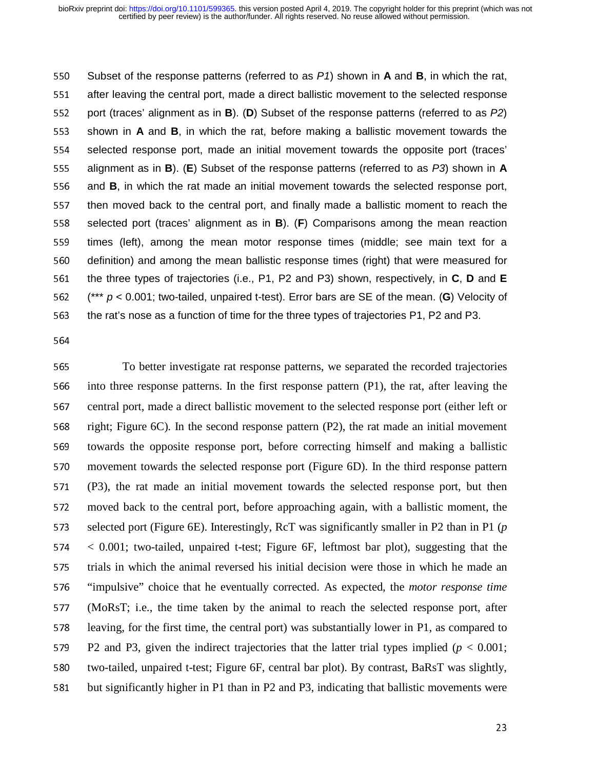550 Subset of the response patterns (referred to as *P1*) shown in **A** and **B**, in which the rat,<br>551 after leaving the central port, made a direct ballistic movement to the selected response 551 after leaving the central port, made a direct ballistic movement to the selected response<br>552 port (traces' alignment as in **B**). (**D**) Subset of the response patterns (referred to as *P2*) 552 port (traces' alignment as in **B**). (**D**) Subset of the response patterns (referred to as *P2*)<br>553 shown in **A** and **B**, in which the rat, before making a ballistic movement towards the 553 shown in **A** and **B**, in which the rat, before making a ballistic movement towards the<br>554 selected response port, made an initial movement towards the opposite port (traces' 554 selected response port, made an initial movement towards the opposite port (traces'  $555$  alignment as in **B**). (**E**) Subset of the response patterns (referred to as  $P3$ ) shown in **A** 555 alignment as in **B**). (**E**) Subset of the response patterns (referred to as *P3*) shown in **A**<br>556 and **B**, in which the rat made an initial movement towards the selected response port, 556 and **B**, in which the rat made an initial movement towards the selected response port,<br>557 then moved back to the central port, and finally made a ballistic moment to reach the 557 then moved back to the central port, and finally made a ballistic moment to reach the sach the senter of the central port (traces' alignment as in  $B$ ). (F) Comparisons among the mean reaction 558 selected port (traces' alignment as in **B**). (**F**) Comparisons among the mean reaction<br>559 times (left). among the mean motor response times (middle: see main text for a 559 times (left), among the mean motor response times (middle; see main text for a<br>560 definition) and among the mean ballistic response times (right) that were measured for 560 definition) and among the mean ballistic response times (right) that were measured for<br>561 the three types of trajectories (i.e., P1, P2 and P3) shown, respectively, in **C**, **D** and **E** 561 the three types of trajectories (i.e., P1, P2 and P3) shown, respectively, in **C**, **D** and **E**<br>562 (\*\*\* p < 0.001; two-tailed, unpaired t-test). Error bars are SE of the mean. (**G**) Velocity of 562  $^*$  (\*\*\* *p* < 0.001; two-tailed, unpaired t-test). Error bars are SE of the mean. (**G**) Velocity of 563 the rat's nose as a function of time for the three types of traiectories P1, P2 and P3. the rat's nose as a function of time for the three types of trajectories P1, P2 and P3.

564

565 To better investigate rat response patterns, we separated the recorded trajectories 566 into three response patterns. In the first response pattern (P1), the rat, after leaving the 567 central port, made a direct ballistic movement to the selected response port (either left or 568 right; Figure 6C). In the second response pattern  $(P2)$ , the rat made an initial movement 569 towards the opposite response port, before correcting himself and making a ballistic 570 movement towards the selected response port (Figure 6D). In the third response pattern <sup>571</sup>(P3), the rat made an initial movement towards the selected response port, but then 572 moved back to the central port, before approaching again, with a ballistic moment, the 573 selected port (Figure 6E). Interestingly, RcT was significantly smaller in P2 than in P1 ( $p$ ) <sup>574</sup>< 0.001; two-tailed, unpaired t-test; Figure 6F, leftmost bar plot), suggesting that the 575 trials in which the animal reversed his initial decision were those in which he made an <sup>576</sup>"impulsive" choice that he eventually corrected. As expected, the *motor response time* <sup>577</sup>(MoRsT; i.e., the time taken by the animal to reach the selected response port, after 578 leaving, for the first time, the central port) was substantially lower in P1, as compared to 579 P2 and P3, given the indirect trajectories that the latter trial types implied ( $p < 0.001$ ; 580 two-tailed, unpaired t-test; Figure 6F, central bar plot). By contrast, BaRsT was slightly, 581 but significantly higher in P1 than in P2 and P3, indicating that ballistic movements were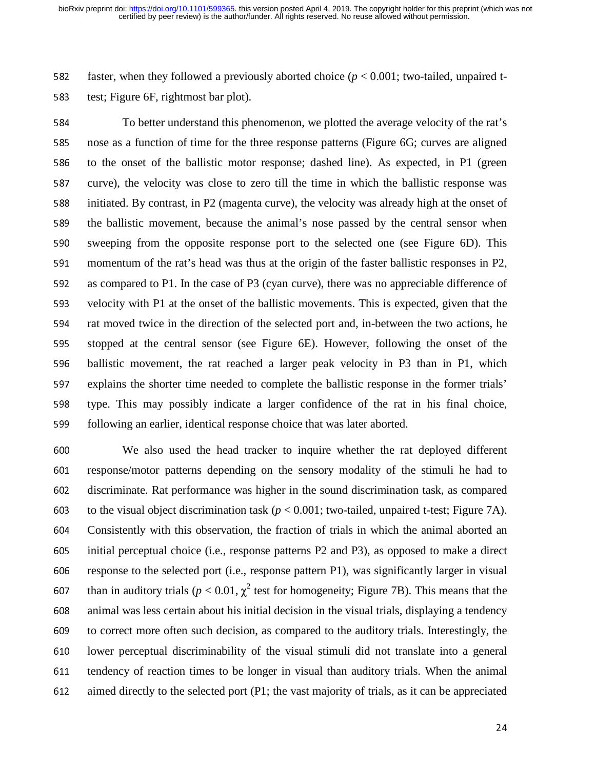582 faster, when they followed a previously aborted choice (*p* < 0.001; two-tailed, unpaired t-583 test; Figure 6F, rightmost bar plot).

584 To better understand this phenomenon, we plotted the average velocity of the rat's 585 nose as a function of time for the three response patterns (Figure 6G; curves are aligned 586 to the onset of the ballistic motor response; dashed line). As expected, in P1 (green 587 curve), the velocity was close to zero till the time in which the ballistic response was 588 initiated. By contrast, in P2 (magenta curve), the velocity was already high at the onset of 589 the ballistic movement, because the animal's nose passed by the central sensor when 590 sweeping from the opposite response port to the selected one (see Figure 6D). This 591 momentum of the rat's head was thus at the origin of the faster ballistic responses in P2,<br>592 as compared to P1. In the case of P3 (cyan curve), there was no appreciable difference of as compared to P1. In the case of P3 (cyan curve), there was no appreciable difference of 593 velocity with P1 at the onset of the ballistic movements. This is expected, given that the 594 rat moved twice in the direction of the selected port and, in-between the two actions, he 595 stopped at the central sensor (see Figure 6E). However, following the onset of the 596 ballistic movement, the rat reached a larger peak velocity in P3 than in P1, which 597 explains the shorter time needed to complete the ballistic response in the former trials' 598 type. This may possibly indicate a larger confidence of the rat in his final choice, 599 following an earlier, identical response choice that was later aborted.

<sup>600</sup>We also used the head tracker to inquire whether the rat deployed different 601 response/motor patterns depending on the sensory modality of the stimuli he had to 602 discriminate. Rat performance was higher in the sound discrimination task, as compared 603 to the visual object discrimination task  $(p < 0.001$ ; two-tailed, unpaired t-test; Figure 7A).<br>604 Consistently with this observation, the fraction of trials in which the animal aborted an Consistently with this observation, the fraction of trials in which the animal aborted an <sup>605</sup>initial perceptual choice (i.e., response patterns P2 and P3), as opposed to make a direct 606 response to the selected port (i.e., response pattern P1), was significantly larger in visual 607 than in auditory trials ( $p < 0.01$ ,  $\chi^2$  test for homogeneity; Figure 7B). This means that the 608 animal was less certain about his initial decision in the visual trials, displaying a tendency<br>609 to correct more often such decision, as compared to the auditory trials. Interestingly, the to correct more often such decision, as compared to the auditory trials. Interestingly, the 610 lower perceptual discriminability of the visual stimuli did not translate into a general 611 tendency of reaction times to be longer in visual than auditory trials. When the animal 612 aimed directly to the selected port (P1; the vast majority of trials, as it can be appreciated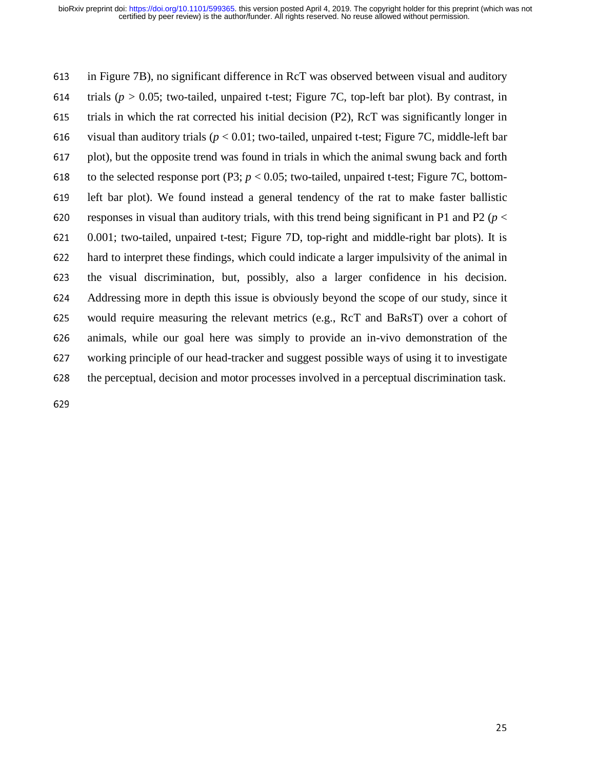613 in Figure 7B), no significant difference in RcT was observed between visual and auditory 614 trials ( $p > 0.05$ ; two-tailed, unpaired t-test; Figure 7C, top-left bar plot). By contrast, in 615 trials in which the rat corrected his initial decision  $(P2)$ , RcT was significantly longer in 616 visual than auditory trials ( $p < 0.01$ ; two-tailed, unpaired t-test; Figure 7C, middle-left bar 617 plot), but the opposite trend was found in trials in which the animal swung back and forth to the selected response port (P3;  $p < 0.05$ ; two-tailed, unpaired t-test; Figure 7C, bottomto the selected response port  $(P3; p < 0.05;$  two-tailed, unpaired t-test; Figure 7C, bottom-619 left bar plot). We found instead a general tendency of the rat to make faster ballistic 620 responses in visual than auditory trials, with this trend being significant in P1 and P2 ( $p <$ <sup>621</sup>0.001; two-tailed, unpaired t-test; Figure 7D, top-right and middle-right bar plots). It is 622 hard to interpret these findings, which could indicate a larger impulsivity of the animal in<br>623 the visual discrimination, but, possibly, also a larger confidence in his decision. the visual discrimination, but, possibly, also a larger confidence in his decision. 624 Addressing more in depth this issue is obviously beyond the scope of our study, since it 625 would require measuring the relevant metrics (e.g., RcT and BaRsT) over a cohort of 626 animals, while our goal here was simply to provide an in-vivo demonstration of the<br>627 working principle of our head-tracker and suggest possible ways of using it to investigate working principle of our head-tracker and suggest possible ways of using it to investigate 628 the perceptual, decision and motor processes involved in a perceptual discrimination task.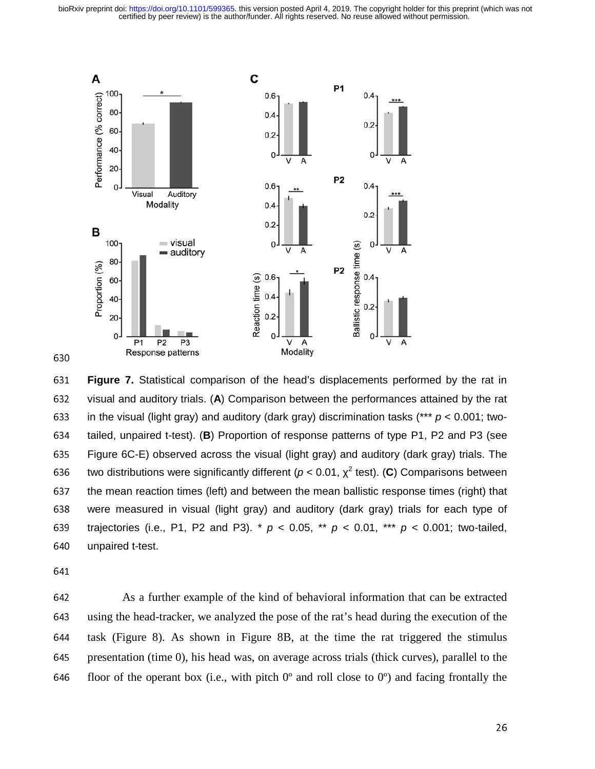certified by peer review) is the author/funder. All rights reserved. No reuse allowed without permission. bioRxiv preprint doi: [https://doi.org/10.1101/599365.](https://doi.org/10.1101/599365) this version posted April 4, 2019. The copyright holder for this preprint (which was not



630

**Figure 7.** Statistical comparison of the head's displacements performed by the rat in<br>632 visual and auditory trials. (A) Comparison between the performances attained by the rat 632 visual and auditory trials. (A) Comparison between the performances attained by the rat 633 in the visual (light gray) and auditory (dark gray) discrimination tasks  $(*** p < 0.001; two-)$ 633 in the visual (light gray) and auditory (dark gray) discrimination tasks (\*\*\*  $p < 0.001$ ; two-<br>634 tailed, unpaired t-test). (**B**) Proportion of response patterns of type P1, P2 and P3 (see 634 tailed, unpaired t-test). (**B**) Proportion of response patterns of type P1, P2 and P3 (see<br>635 Figure 6C-E) observed across the visual (light gray) and auditory (dark gray) trials. The 635 Figure 6C-E) observed across the visual (light gray) and auditory (dark gray) trials. The<br>636 two distributions were significantly different ( $p < 0.01$ ,  $\chi^2$  test). (C) Comparisons between two distributions were significantly different ( $p < 0.01$ ,  $\chi^2$  test). (C) Comparisons between 637 the mean reaction times (left) and between the mean ballistic response times (right) that 637 the mean reaction times (left) and between the mean ballistic response times (right) that<br>638 vere measured in visual (light gray) and auditory (dark gray) trials for each type of 638 were measured in visual (light gray) and auditory (dark gray) trials for each type of 639 trajectories (i.e., P1, P2 and P3). \*  $p < 0.05$ , \*\*  $p < 0.01$ , \*\*\*  $p < 0.001$ ; two-tailed, 639 trajectories (i.e., P1, P2 and P3).  $*$   $p$  < 0.05,  $*$   $*$   $p$  < 0.01,  $**$   $p$  < 0.001; two-tailed, 640 unpaired t-test. unpaired t-test.

<sup>642</sup>As a further example of the kind of behavioral information that can be extracted <sup>643</sup>using the head-tracker, we analyzed the pose of the rat's head during the execution of the 644 task (Figure 8). As shown in Figure 8B, at the time the rat triggered the stimulus 645 presentation (time 0), his head was, on average across trials (thick curves), parallel to the 646 floor of the operant box (i.e., with pitch  $0^{\circ}$  and roll close to  $0^{\circ}$ ) and facing frontally the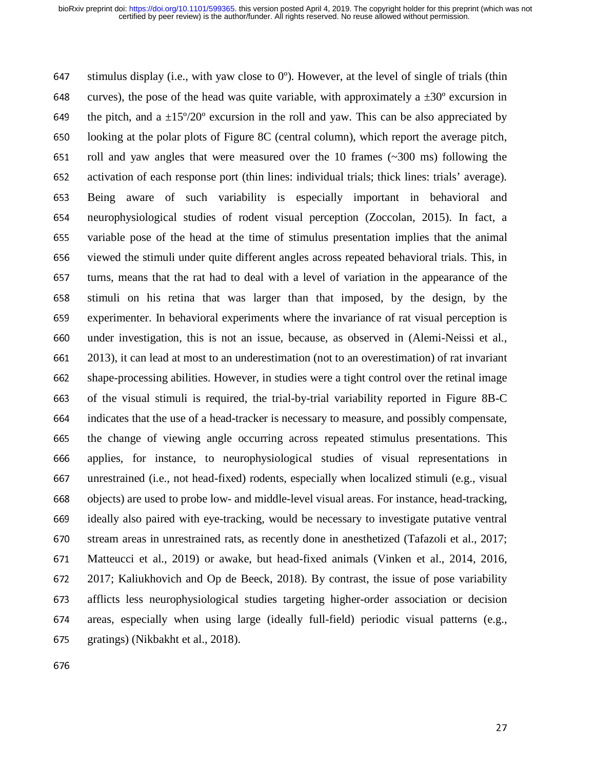647 stimulus display (i.e., with yaw close to  $0^{\circ}$ ). However, at the level of single of trials (thin 648 curves), the pose of the head was quite variable, with approximately a  $\pm 30^\circ$  excursion in 649 the pitch, and a  $\pm 15^{\circ}/20^{\circ}$  excursion in the roll and yaw. This can be also appreciated by 650 looking at the polar plots of Figure 8C (central column), which report the average pitch, 651 roll and yaw angles that were measured over the 10 frames  $(\sim]300 \text{ ms})$  following the activation of each response port (thin lines: individual trials; thick lines: trials' average). activation of each response port (thin lines: individual trials; thick lines: trials' average). 653 Being aware of such variability is especially important in behavioral and 654 neurophysiological studies of rodent visual perception (Zoccolan, 2015). In fact, a <sup>655</sup>variable pose of the head at the time of stimulus presentation implies that the animal 656 viewed the stimuli under quite different angles across repeated behavioral trials. This, in<br>657 turns, means that the rat had to deal with a level of variation in the appearance of the turns, means that the rat had to deal with a level of variation in the appearance of the <sup>658</sup>stimuli on his retina that was larger than that imposed, by the design, by the <sup>659</sup>experimenter. In behavioral experiments where the invariance of rat visual perception is <sup>660</sup>under investigation, this is not an issue, because, as observed in (Alemi-Neissi et al., <sup>661</sup>2013), it can lead at most to an underestimation (not to an overestimation) of rat invariant 662 shape-processing abilities. However, in studies were a tight control over the retinal image 663 of the visual stimuli is required, the trial-by-trial variability reported in Figure 8B-C <sup>664</sup>indicates that the use of a head-tracker is necessary to measure, and possibly compensate, 665 the change of viewing angle occurring across repeated stimulus presentations. This <sup>666</sup>applies, for instance, to neurophysiological studies of visual representations in <sup>667</sup>unrestrained (i.e., not head-fixed) rodents, especially when localized stimuli (e.g., visual 668 objects) are used to probe low- and middle-level visual areas. For instance, head-tracking, 669 ideally also paired with eye-tracking, would be necessary to investigate putative ventral 670 stream areas in unrestrained rats, as recently done in anesthetized (Tafazoli et al., 2017; 671 Matteucci et al., 2019) or awake, but head-fixed animals (Vinken et al., 2014, 2016, 672 2017; Kaliukhovich and Op de Beeck, 2018). By contrast, the issue of pose variability <sup>673</sup>afflicts less neurophysiological studies targeting higher-order association or decision 674 areas, especially when using large (ideally full-field) periodic visual patterns (e.g., 675 gratings) (Nikbakht et al., 2018).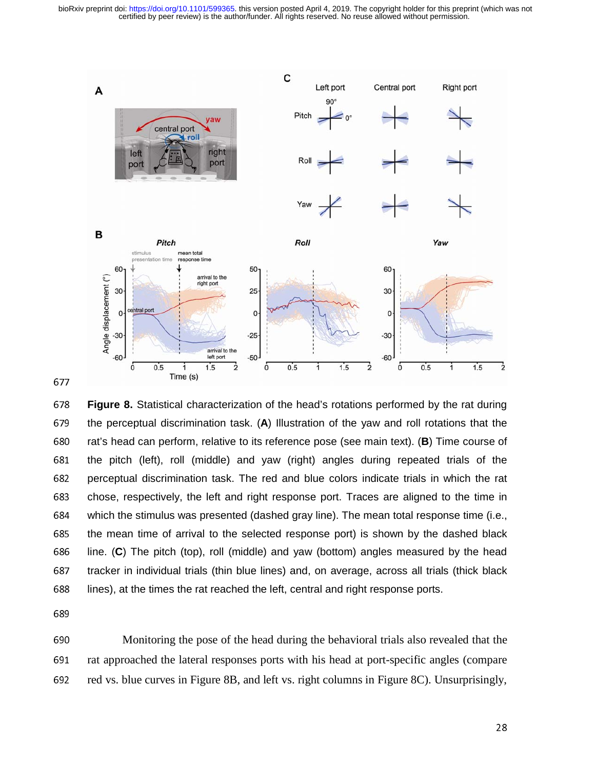certified by peer review) is the author/funder. All rights reserved. No reuse allowed without permission. bioRxiv preprint doi: [https://doi.org/10.1101/599365.](https://doi.org/10.1101/599365) this version posted April 4, 2019. The copyright holder for this preprint (which was not



<sup>678</sup>**Figure 8.** Statistical characterization of the head's rotations performed by the rat during 679 the perceptual discrimination task. (A) Illustration of the yaw and roll rotations that the<br>680 rat's head can perform, relative to its reference pose (see main text). (B) Time course of 680 rat's head can perform, relative to its reference pose (see main text). (**B**) Time course of 681 the pitch (left), roll (middle) and yaw (right) angles during repeated trials of the 681 the pitch (left), roll (middle) and yaw (right) angles during repeated trials of the<br>682 Derceptual discrimination task. The red and blue colors indicate trials in which the rat 682 perceptual discrimination task. The red and blue colors indicate trials in which the rat<br>683 chose, respectively, the left and right response port. Traces are aligned to the time in 683 chose, respectively, the left and right response port. Traces are aligned to the time in<br>684 which the stimulus was presented (dashed gray line). The mean total response time (i.e., 684 which the stimulus was presented (dashed gray line). The mean total response time (i.e., 685 the mean time of arrival to the selected response port) is shown by the dashed black 685 the mean time of arrival to the selected response port) is shown by the dashed black<br>686 line. (C) The pitch (top), roll (middle) and yaw (bottom) angles measured by the head 686 line. (C) The pitch (top), roll (middle) and yaw (bottom) angles measured by the head<br>687 tracker in individual trials (thin blue lines) and, on average, across all trials (thick black 687 tracker in individual trials (thin blue lines) and, on average, across all trials (thick black<br>688 lines), at the times the rat reached the left, central and right response ports. lines), at the times the rat reached the left, central and right response ports.

690 Monitoring the pose of the head during the behavioral trials also revealed that the 691 rat approached the lateral responses ports with his head at port-specific angles (compare 692 red vs. blue curves in Figure 8B, and left vs. right columns in Figure 8C). Unsurprisingly,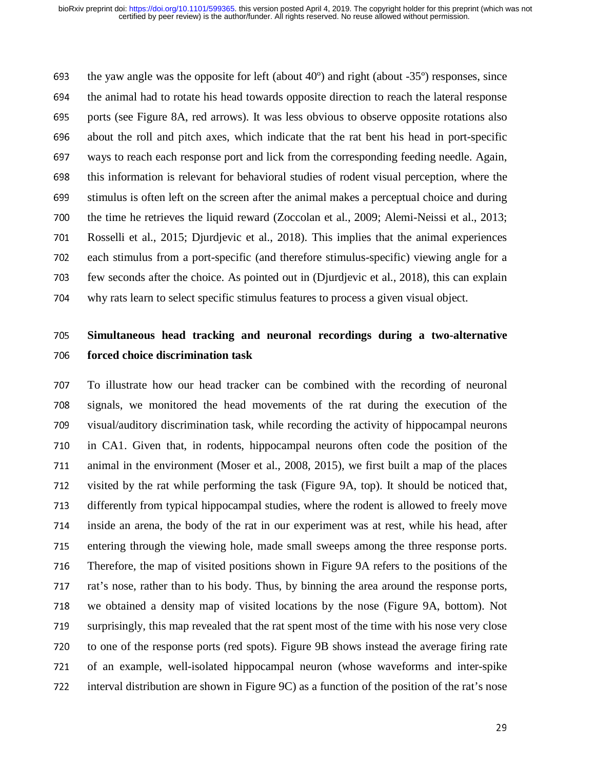693 the yaw angle was the opposite for left (about  $40^{\circ}$ ) and right (about  $-35^{\circ}$ ) responses, since<br>694 the animal had to rotate his head towards opposite direction to reach the lateral response the animal had to rotate his head towards opposite direction to reach the lateral response 695 ports (see Figure 8A, red arrows). It was less obvious to observe opposite rotations also <sup>696</sup>about the roll and pitch axes, which indicate that the rat bent his head in port-specific 697 ways to reach each response port and lick from the corresponding feeding needle. Again,<br>698 this information is relevant for behavioral studies of rodent visual perception, where the this information is relevant for behavioral studies of rodent visual perception, where the 699 stimulus is often left on the screen after the animal makes a perceptual choice and during 700 the time he retrieves the liquid reward (Zoccolan et al., 2009; Alemi-Neissi et al., 2013; <sup>701</sup>Rosselli et al., 2015; Djurdjevic et al., 2018). This implies that the animal experiences zoffice ach stimulus from a port-specific (and therefore stimulus-specific) viewing angle for a<br>703 few seconds after the choice. As pointed out in (Diurdievic et al., 2018), this can explain few seconds after the choice. As pointed out in (Djurdjevic et al., 2018), this can explain 704 why rats learn to select specific stimulus features to process a given visual object.

# <sup>705</sup>**Simultaneous head tracking and neuronal recordings during a two-alternative**  <sup>706</sup>**forced choice discrimination task**

<sup>707</sup>To illustrate how our head tracker can be combined with the recording of neuronal 708 signals, we monitored the head movements of the rat during the execution of the 709 visual/auditory discrimination task, while recording the activity of hippocampal neurons 710 in CA1. Given that, in rodents, hippocampal neurons often code the position of the<br>711 animal in the environment (Moser et al., 2008, 2015), we first built a map of the places animal in the environment (Moser et al., 2008, 2015), we first built a map of the places 712 visited by the rat while performing the task (Figure 9A, top). It should be noticed that, 713 differently from typical hippocampal studies, where the rodent is allowed to freely move 714 inside an arena, the body of the rat in our experiment was at rest, while his head, after 715 entering through the viewing hole, made small sweeps among the three response ports.<br>716 Therefore, the map of visited positions shown in Figure 9A refers to the positions of the Therefore, the map of visited positions shown in Figure 9A refers to the positions of the 717 rat's nose, rather than to his body. Thus, by binning the area around the response ports, 718 we obtained a density map of visited locations by the nose (Figure 9A, bottom). Not 719 surprisingly, this map revealed that the rat spent most of the time with his nose very close 720 to one of the response ports (red spots). Figure 9B shows instead the average firing rate <sup>721</sup>of an example, well-isolated hippocampal neuron (whose waveforms and inter-spike 722 interval distribution are shown in Figure 9C) as a function of the position of the rat's nose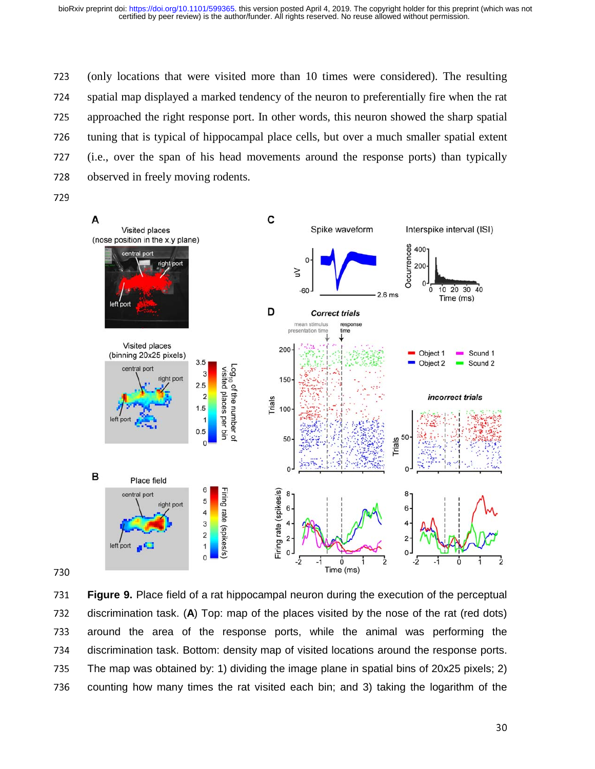<sup>723</sup>(only locations that were visited more than 10 times were considered). The resulting 724 spatial map displayed a marked tendency of the neuron to preferentially fire when the rat <sup>725</sup>approached the right response port. In other words, this neuron showed the sharp spatial 726 tuning that is typical of hippocampal place cells, but over a much smaller spatial extent <sup>727</sup>(i.e., over the span of his head movements around the response ports) than typically 728 observed in freely moving rodents.



731 **Figure 9.** Place field of a rat hippocampal neuron during the execution of the perceptual<br>732 discrimination task. (A) Top: map of the places visited by the nose of the rat (red dots) 732 discrimination task. (**A**) Top: map of the places visited by the nose of the rat (red dots)<br>733 around the area of the response ports, while the animal was performing the 733 around the area of the response ports, while the animal was performing the 734 discrimination task. Bottom: density map of visited locations around the response ports. 734 discrimination task. Bottom: density map of visited locations around the response ports.<br>735 The map was obtained by: 1) dividing the image plane in spatial bins of 20x25 pixels: 2) 735 The map was obtained by: 1) dividing the image plane in spatial bins of 20x25 pixels; 2)<br>736 Counting how many times the rat visited each bin; and 3) taking the logarithm of the counting how many times the rat visited each bin; and 3) taking the logarithm of the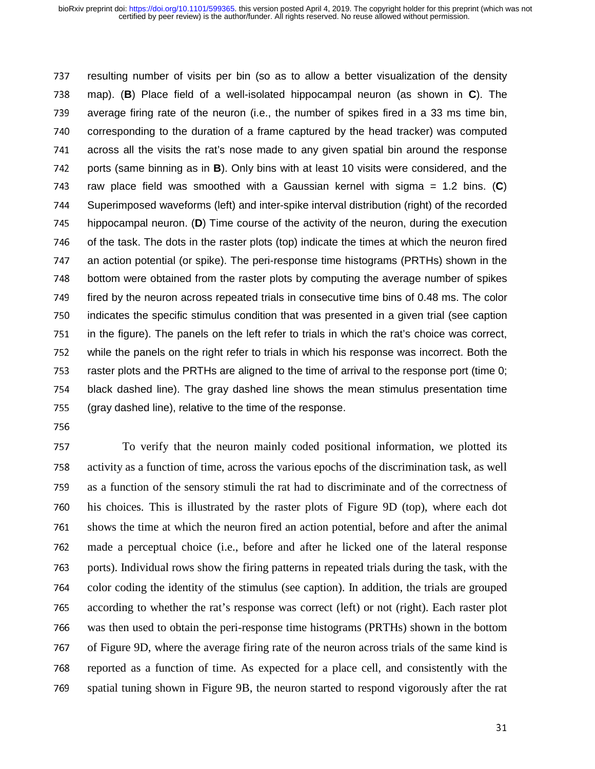737 resulting number of visits per bin (so as to allow a better visualization of the density<br>738 map). (B) Place field of a well-isolated hippocampal neuron (as shown in C). The 738 map). (**B**) Place field of a well-isolated hippocampal neuron (as shown in **C**). The<br>739 average firing rate of the neuron (i.e., the number of spikes fired in a 33 ms time bin, 739 average firing rate of the neuron (i.e., the number of spikes fired in a 33 ms time bin,<br>740 corresponding to the duration of a frame captured by the head tracker) was computed 740 corresponding to the duration of a frame captured by the head tracker) was computed<br>741 across all the visits the rat's nose made to any given spatial bin around the response 741 across all the visits the rat's nose made to any given spatial bin around the response<br>742 ports (same binning as in **B**). Only bins with at least 10 visits were considered, and the 742 ports (same binning as in **B**). Only bins with at least 10 visits were considered, and the 743 raw place field was smoothed with a Gaussian kernel with sigma = 1.2 bins. (C) 743 raw place field was smoothed with a Gaussian kernel with sigma = 1.2 bins. (C)<br>744 Superimposed waveforms (left) and inter-spike interval distribution (right) of the recorded 744 Superimposed waveforms (left) and inter-spike interval distribution (right) of the recorded<br>745 hippocampal neuron. (D) Time course of the activity of the neuron, during the execution 745 hippocampal neuron. (**D**) Time course of the activity of the neuron, during the execution<br>746 of the task. The dots in the raster plots (top) indicate the times at which the neuron fired 746 of the task. The dots in the raster plots (top) indicate the times at which the neuron fired<br>747 an action potential (or spike). The peri-response time histograms (PRTHs) shown in the 747 an action potential (or spike). The peri-response time histograms (PRTHs) shown in the<br>748 bottom were obtained from the raster plots by computing the average number of spikes 748 bottom were obtained from the raster plots by computing the average number of spikes<br>749 fired by the neuron across repeated trials in consecutive time bins of 0.48 ms. The color 749 fired by the neuron across repeated trials in consecutive time bins of 0.48 ms. The color<br>750 indicates the specific stimulus condition that was presented in a given trial (see caption 750 indicates the specific stimulus condition that was presented in a given trial (see caption<br>751 in the figure). The panels on the left refer to trials in which the rat's choice was correct, 751 in the figure). The panels on the left refer to trials in which the rat's choice was correct,<br>752 while the panels on the right refer to trials in which his response was incorrect. Both the 752 while the panels on the right refer to trials in which his response was incorrect. Both the<br>753 raster plots and the PRTHs are aligned to the time of arrival to the response port (time 0; 753 raster plots and the PRTHs are aligned to the time of arrival to the response port (time 0;<br>754 black dashed line). The gray dashed line shows the mean stimulus presentation time 754 black dashed line). The gray dashed line shows the mean stimulus presentation time<br>755 (gray dashed line), relative to the time of the response. 755 (gray dashed line), relative to the time of the response.<br>756

<sup>757</sup>To verify that the neuron mainly coded positional information, we plotted its <sup>758</sup>activity as a function of time, across the various epochs of the discrimination task, as well 759 as a function of the sensory stimuli the rat had to discriminate and of the correctness of 760 his choices. This is illustrated by the raster plots of Figure 9D (top), where each dot 761 shows the time at which the neuron fired an action potential, before and after the animal <sup>762</sup>made a perceptual choice (i.e., before and after he licked one of the lateral response <sup>763</sup>ports). Individual rows show the firing patterns in repeated trials during the task, with the 764 color coding the identity of the stimulus (see caption). In addition, the trials are grouped 765 according to whether the rat's response was correct (left) or not (right). Each raster plot <sup>766</sup>was then used to obtain the peri-response time histograms (PRTHs) shown in the bottom 767 of Figure 9D, where the average firing rate of the neuron across trials of the same kind is 768 reported as a function of time. As expected for a place cell, and consistently with the 769 spatial tuning shown in Figure 9B, the neuron started to respond vigorously after the rat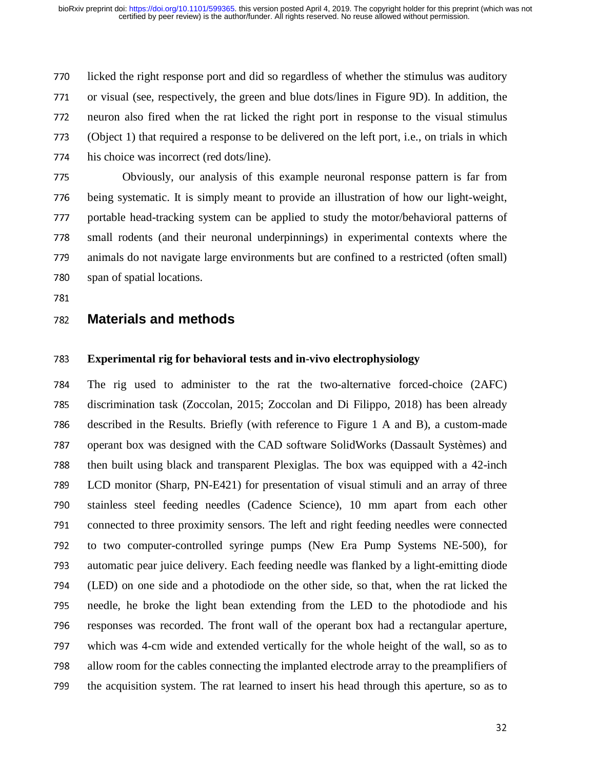770 licked the right response port and did so regardless of whether the stimulus was auditory 771 or visual (see, respectively, the green and blue dots/lines in Figure 9D). In addition, the 772 neuron also fired when the rat licked the right port in response to the visual stimulus <sup>773</sup>(Object 1) that required a response to be delivered on the left port, i.e., on trials in which 774 his choice was incorrect (red dots/line).

<sup>775</sup>Obviously, our analysis of this example neuronal response pattern is far from 776 being systematic. It is simply meant to provide an illustration of how our light-weight, 777 portable head-tracking system can be applied to study the motor/behavioral patterns of <sup>778</sup>small rodents (and their neuronal underpinnings) in experimental contexts where the 779 animals do not navigate large environments but are confined to a restricted (often small)<br>780 span of spatial locations. span of spatial locations.

## <sup>782</sup>**Materials and methods**

#### <sup>783</sup>**Experimental rig for behavioral tests and in-vivo electrophysiology**

<sup>784</sup>The rig used to administer to the rat the two-alternative forced-choice (2AFC) 785 discrimination task (Zoccolan, 2015; Zoccolan and Di Filippo, 2018) has been already 786 described in the Results. Briefly (with reference to Figure 1 A and B), a custom-made 787 operant box was designed with the CAD software SolidWorks (Dassault Systèmes) and 788 then built using black and transparent Plexiglas. The box was equipped with a 42-inch <sup>789</sup>LCD monitor (Sharp, PN-E421) for presentation of visual stimuli and an array of three 790 stainless steel feeding needles (Cadence Science), 10 mm apart from each other 791 connected to three proximity sensors. The left and right feeding needles were connected 792 to two computer-controlled syringe pumps (New Era Pump Systems NE-500), for 793 automatic pear juice delivery. Each feeding needle was flanked by a light-emitting diode <sup>794</sup>(LED) on one side and a photodiode on the other side, so that, when the rat licked the 795 needle, he broke the light bean extending from the LED to the photodiode and his 796 responses was recorded. The front wall of the operant box had a rectangular aperture, 797 which was 4-cm wide and extended vertically for the whole height of the wall, so as to 798 allow room for the cables connecting the implanted electrode array to the preamplifiers of 799 the acquisition system. The rat learned to insert his head through this aperture, so as to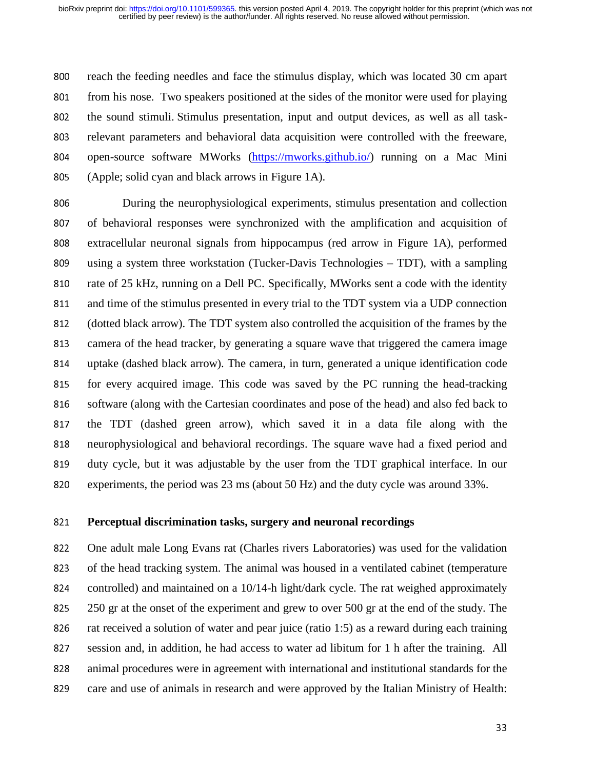800 reach the feeding needles and face the stimulus display, which was located 30 cm apart<br>801 from his nose. Two speakers positioned at the sides of the monitor were used for playing from his nose. Two speakers positioned at the sides of the monitor were used for playing 802 the sound stimuli. Stimulus presentation, input and output devices, as well as all task-803 relevant parameters and behavioral data acquisition were controlled with the freeware, 804 open-source software MWorks (https://mworks.github.io/) running on a Mac Mini<br>805 (Apple: solid cyan and black arrows in Figure 1A).  $(A^{\text{pole}})$ ; solid cyan and black arrows in Figure 1A).

806 During the neurophysiological experiments, stimulus presentation and collection 807 of behavioral responses were synchronized with the amplification and acquisition of 808 extracellular neuronal signals from hippocampus (red arrow in Figure 1A), performed<br>809 using a system three workstation (Tucker-Davis Technologies – TDT), with a sampling 809 using a system three workstation (Tucker-Davis Technologies – TDT), with a sampling<br>810 rate of 25 kHz, running on a Dell PC. Specifically, MWorks sent a code with the identity rate of 25 kHz, running on a Dell PC. Specifically, MWorks sent a code with the identity 811 and time of the stimulus presented in every trial to the TDT system via a UDP connection 812 (dotted black arrow). The TDT system also controlled the acquisition of the frames by the 813 camera of the head tracker, by generating a square wave that triggered the camera image 814 uptake (dashed black arrow). The camera, in turn, generated a unique identification code<br>815 for every acquired image. This code was saved by the PC running the head-tracking for every acquired image. This code was saved by the PC running the head-tracking 816 software (along with the Cartesian coordinates and pose of the head) and also fed back to 817 the TDT (dashed green arrow), which saved it in a data file along with the 818 neurophysiological and behavioral recordings. The square wave had a fixed period and 819 duty cycle, but it was adjustable by the user from the TDT graphical interface. In our 820 experiments, the period was  $23 \text{ ms}$  (about 50 Hz) and the duty cycle was around  $33\%$ .

#### <sup>821</sup>**Perceptual discrimination tasks, surgery and neuronal recordings**

822 One adult male Long Evans rat (Charles rivers Laboratories) was used for the validation 823 of the head tracking system. The animal was housed in a ventilated cabinet (temperature 824 controlled) and maintained on a  $10/14$ -h light/dark cycle. The rat weighed approximately 825 250 gr at the onset of the experiment and grew to over 500 gr at the end of the study. The 826 rat received a solution of water and pear juice (ratio 1:5) as a reward during each training<br>827 session and. in addition, he had access to water ad libitum for 1 h after the training. All session and, in addition, he had access to water ad libitum for 1 h after the training. All 828 animal procedures were in agreement with international and institutional standards for the 829 care and use of animals in research and were approved by the Italian Ministry of Health: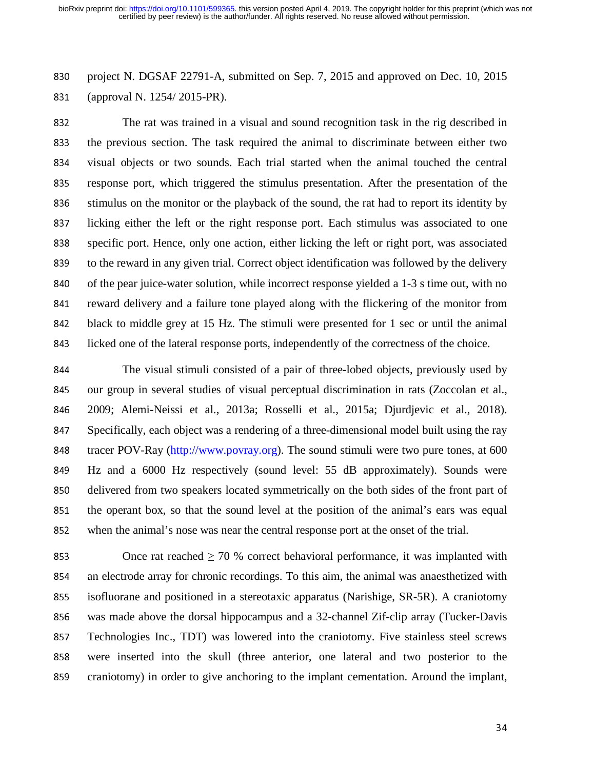830 project N. DGSAF 22791-A, submitted on Sep. 7, 2015 and approved on Dec. 10, 2015<br>831 (approval N. 1254/ 2015-PR). (approval N. 1254/ 2015-PR).

<sup>832</sup>The rat was trained in a visual and sound recognition task in the rig described in 833 the previous section. The task required the animal to discriminate between either two 834 visual objects or two sounds. Each trial started when the animal touched the central<br>835 response port, which triggered the stimulus presentation. After the presentation of the response port, which triggered the stimulus presentation. After the presentation of the 836 stimulus on the monitor or the playback of the sound, the rat had to report its identity by 837 licking either the left or the right response port. Each stimulus was associated to one 838 specific port. Hence, only one action, either licking the left or right port, was associated 839 to the reward in any given trial. Correct object identification was followed by the delivery<br>840 of the pear juice-water solution, while incorrect response vielded a 1-3 s time out, with no of the pear juice-water solution, while incorrect response yielded a 1-3 s time out, with no 841 reward delivery and a failure tone played along with the flickering of the monitor from 842 black to middle grey at 15 Hz. The stimuli were presented for 1 sec or until the animal 843 licked one of the lateral response ports, independently of the correctness of the choice.

844 The visual stimuli consisted of a pair of three-lobed objects, previously used by<br>845 our group in several studies of visual perceptual discrimination in rats (Zoccolan et al., our group in several studies of visual perceptual discrimination in rats (Zoccolan et al., <sup>846</sup>2009; Alemi-Neissi et al., 2013a; Rosselli et al., 2015a; Djurdjevic et al., 2018). <sup>847</sup>Specifically, each object was a rendering of a three-dimensional model built using the ray 848 tracer POV-Ray (http://www.povray.org). The sound stimuli were two pure tones, at 600 849 Hz and a 6000 Hz respectively (sound level: 55 dB approximately). Sounds were 850 delivered from two speakers located symmetrically on the both sides of the front part of 851 the operant box, so that the sound level at the position of the animal's ears was equal<br>852 when the animal's nose was near the central response port at the onset of the trial. when the animal's nose was near the central response port at the onset of the trial.

853 Once rat reached  $\geq 70$  % correct behavioral performance, it was implanted with <sup>854</sup>an electrode array for chronic recordings. To this aim, the animal was anaesthetized with <sup>855</sup>isofluorane and positioned in a stereotaxic apparatus (Narishige, SR-5R). A craniotomy 856 was made above the dorsal hippocampus and a 32-channel Zif-clip array (Tucker-Davis 857 Technologies Inc., TDT) was lowered into the craniotomy. Five stainless steel screws 858 were inserted into the skull (three anterior, one lateral and two posterior to the 859 craniotomy) in order to give anchoring to the implant cementation. Around the implant,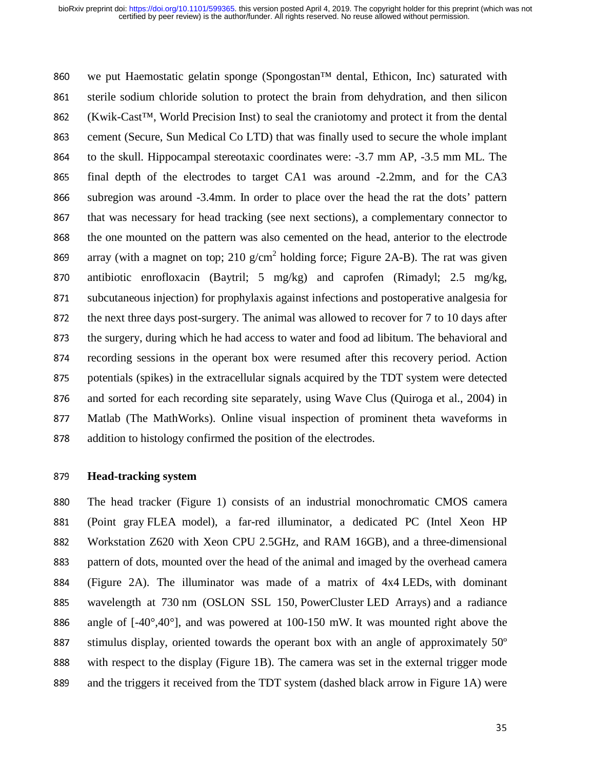860 we put Haemostatic gelatin sponge (Spongostan™ dental, Ethicon, Inc) saturated with 861 sterile sodium chloride solution to protect the brain from dehydration, and then silicon 862 (Kwik-Cast™, World Precision Inst) to seal the craniotomy and protect it from the dental 863 cement (Secure, Sun Medical Co LTD) that was finally used to secure the whole implant 864 to the skull. Hippocampal stereotaxic coordinates were: -3.7 mm AP, -3.5 mm ML. The<br>865 final depth of the electrodes to target CA1 was around -2.2mm, and for the CA3 final depth of the electrodes to target CA1 was around  $-2.2$ mm, and for the CA3 866 subregion was around -3.4mm. In order to place over the head the rat the dots' pattern 867 that was necessary for head tracking (see next sections), a complementary connector to 868 the one mounted on the pattern was also cemented on the head, anterior to the electrode array (with a magnet on top; 210 g/cm<sup>2</sup> holding force; Figure 2A-B). The rat was given<br>870 antibiotic enrofloxacin (Baytril; 5 mg/kg) and caprofen (Rimadyl; 2.5 mg/kg, antibiotic enrofloxacin (Baytril; 5 mg/kg) and caprofen (Rimadyl; 2.5 mg/kg, 871 subcutaneous injection) for prophylaxis against infections and postoperative analgesia for 872 the next three days post-surgery. The animal was allowed to recover for 7 to 10 days after 873 the surgery, during which he had access to water and food ad libitum. The behavioral and<br>874 ecording sessions in the operant box were resumed after this recovery period. Action recording sessions in the operant box were resumed after this recovery period. Action 875 potentials (spikes) in the extracellular signals acquired by the TDT system were detected 876 and sorted for each recording site separately, using Wave Clus (Quiroga et al., 2004) in 877 Matlab (The MathWorks). Online visual inspection of prominent theta waveforms in 878 addition to histology confirmed the position of the electrodes.

#### <sup>879</sup>**Head-tracking system**

880 The head tracker (Figure 1) consists of an industrial monochromatic CMOS camera 881 (Point gray FLEA model), a far-red illuminator, a dedicated PC (Intel Xeon HP 882 Workstation Z620 with Xeon CPU 2.5GHz, and RAM 16GB), and a three-dimensional 883 pattern of dots, mounted over the head of the animal and imaged by the overhead camera <sup>884</sup>(Figure 2A). The illuminator was made of a matrix of 4x4 LEDs, with dominant 885 wavelength at 730 nm (OSLON SSL 150, PowerCluster LED Arrays) and a radiance 886 angle of  $[-40^{\circ}, 40^{\circ}]$ , and was powered at 100-150 mW. It was mounted right above the 887 stimulus display, oriented towards the operant box with an angle of approximately  $50^\circ$ 888 with respect to the display (Figure 1B). The camera was set in the external trigger mode 889 and the triggers it received from the TDT system (dashed black arrow in Figure 1A) were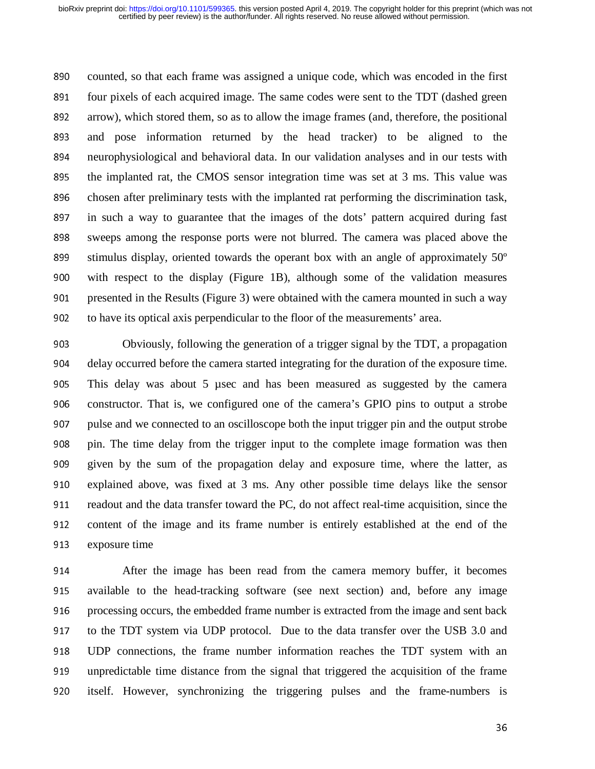890 counted, so that each frame was assigned a unique code, which was encoded in the first<br>891 four pixels of each acquired image. The same codes were sent to the TDT (dashed green four pixels of each acquired image. The same codes were sent to the TDT (dashed green 892 arrow), which stored them, so as to allow the image frames (and, therefore, the positional 893 and pose information returned by the head tracker) to be aligned to the 894 neurophysiological and behavioral data. In our validation analyses and in our tests with<br>895 the implanted rat, the CMOS sensor integration time was set at 3 ms. This value was the implanted rat, the CMOS sensor integration time was set at 3 ms. This value was 896 chosen after preliminary tests with the implanted rat performing the discrimination task, 897 in such a way to guarantee that the images of the dots' pattern acquired during fast 898 sweeps among the response ports were not blurred. The camera was placed above the 899 stimulus display, oriented towards the operant box with an angle of approximately  $50^\circ$ <br>900 with respect to the display (Figure 1B), although some of the validation measures with respect to the display (Figure 1B), although some of the validation measures 901 presented in the Results (Figure 3) were obtained with the camera mounted in such a way 902 to have its optical axis perpendicular to the floor of the measurements' area.

<sup>903</sup>Obviously, following the generation of a trigger signal by the TDT, a propagation 904 delay occurred before the camera started integrating for the duration of the exposure time.<br>905 This delay was about 5 usec and has been measured as suggested by the camera This delay was about 5 µsec and has been measured as suggested by the camera 906 constructor. That is, we configured one of the camera's GPIO pins to output a strobe 907 pulse and we connected to an oscilloscope both the input trigger pin and the output strobe 908 pin. The time delay from the trigger input to the complete image formation was then 909 given by the sum of the propagation delay and exposure time, where the latter, as 910 explained above, was fixed at 3 ms. Any other possible time delays like the sensor 911 readout and the data transfer toward the PC, do not affect real-time acquisition, since the<br>912 content of the image and its frame number is entirely established at the end of the content of the image and its frame number is entirely established at the end of the 913 exposure time

914 After the image has been read from the camera memory buffer, it becomes<br>915 available to the head-tracking software (see next section) and, before any image available to the head-tracking software (see next section) and, before any image 916 processing occurs, the embedded frame number is extracted from the image and sent back<br>917 to the TDT system via UDP protocol. Due to the data transfer over the USB 3.0 and to the TDT system via UDP protocol. Due to the data transfer over the USB 3.0 and <sup>918</sup>UDP connections, the frame number information reaches the TDT system with an 919 unpredictable time distance from the signal that triggered the acquisition of the frame 920 itself. However, synchronizing the triggering pulses and the frame-numbers is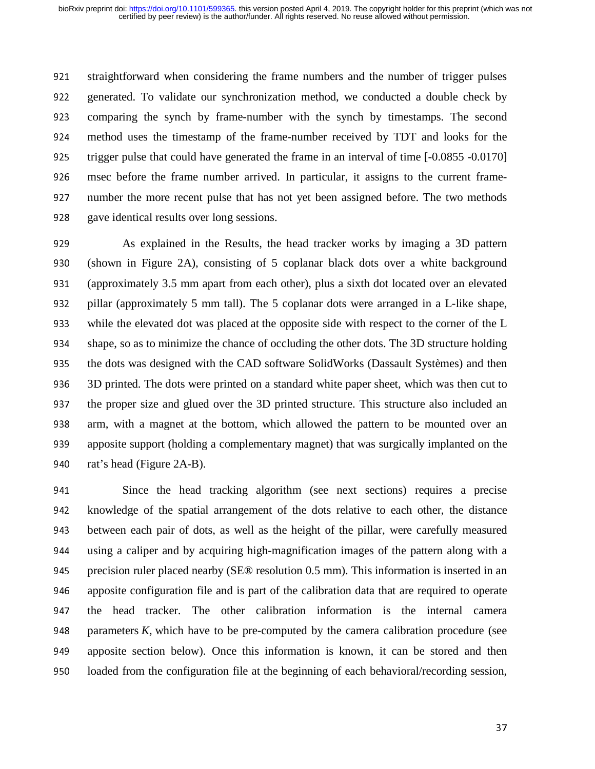921 straightforward when considering the frame numbers and the number of trigger pulses<br>922 generated. To validate our synchronization method, we conducted a double check by <sup>922</sup>generated. To validate our synchronization method, we conducted a double check by 923 comparing the synch by frame-number with the synch by timestamps. The second 924 method uses the timestamp of the frame-number received by TDT and looks for the 925 trigger pulse that could have generated the frame in an interval of time [-0.0855 -0.0170]<br>926 msec before the frame number arrived. In particular, it assigns to the current framemsec before the frame number arrived. In particular, it assigns to the current frame-927 number the more recent pulse that has not yet been assigned before. The two methods 928 gave identical results over long sessions.

929 As explained in the Results, the head tracker works by imaging a 3D pattern 930 (shown in Figure 2A), consisting of 5 coplanar black dots over a white background<br>931 (approximately 3.5 mm apart from each other), plus a sixth dot located over an elevated (approximately 3.5 mm apart from each other), plus a sixth dot located over an elevated 932 pillar (approximately 5 mm tall). The 5 coplanar dots were arranged in a L-like shape, 933 while the elevated dot was placed at the opposite side with respect to the corner of the L 934 shape, so as to minimize the chance of occluding the other dots. The 3D structure holding 935 the dots was designed with the CAD software SolidWorks (Dassault Systèmes) and then<br>936 3D printed. The dots were printed on a standard white paper sheet, which was then cut to 3D printed. The dots were printed on a standard white paper sheet, which was then cut to 937 the proper size and glued over the 3D printed structure. This structure also included an 938 arm, with a magnet at the bottom, which allowed the pattern to be mounted over an 939 apposite support (holding a complementary magnet) that was surgically implanted on the 940 rat's head (Figure 2A-B).

941 Since the head tracking algorithm (see next sections) requires a precise 942 knowledge of the spatial arrangement of the dots relative to each other, the distance<br>943 between each pair of dots, as well as the height of the pillar, were carefully measured between each pair of dots, as well as the height of the pillar, were carefully measured <sup>944</sup>using a caliper and by acquiring high-magnification images of the pattern along with a 945 precision ruler placed nearby (SE® resolution 0.5 mm). This information is inserted in an 946 apposite configuration file and is part of the calibration data that are required to operate 947 the head tracker. The other calibration information is the internal camera<br>948 parameters  $K$ , which have to be pre-computed by the camera calibration procedure (see parameters  $K$ , which have to be pre-computed by the camera calibration procedure (see 949 apposite section below). Once this information is known, it can be stored and then 950 loaded from the configuration file at the beginning of each behavioral/recording session,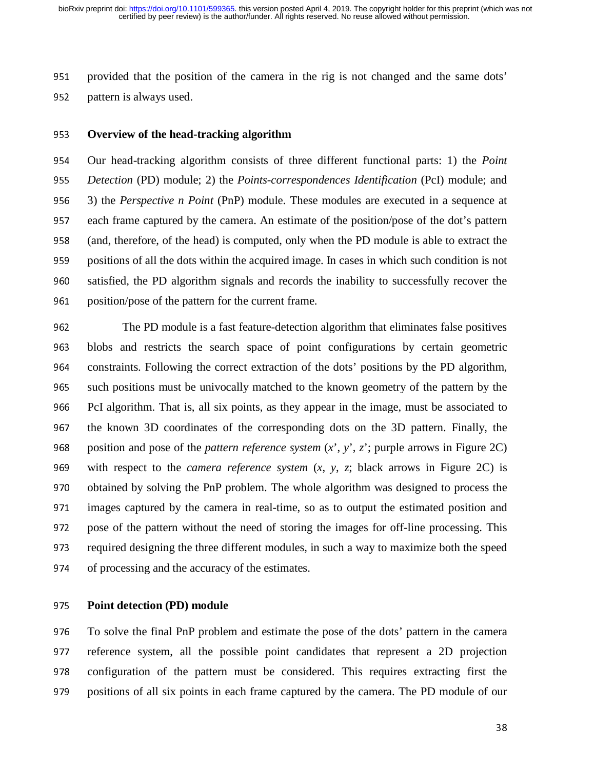951 provided that the position of the camera in the rig is not changed and the same dots' pattern is always used.

pattern is always used.

#### <sup>953</sup>**Overview of the head-tracking algorithm**

954 Our head-tracking algorithm consists of three different functional parts: 1) the *Point* 955 *Detection* (PD) module; 2) the *Points-correspondences Identification* (PcI) module; and<br>956 3) the *Perspective n Point* (PnP) module. These modules are executed in a sequence at <sup>956</sup>3) the *Perspective n Point* (PnP) module. These modules are executed in a sequence at 957 each frame captured by the camera. An estimate of the position/pose of the dot's pattern<br>958 (and, therefore, of the head) is computed, only when the PD module is able to extract the (and, therefore, of the head) is computed, only when the PD module is able to extract the 959 positions of all the dots within the acquired image. In cases in which such condition is not 960 satisfied, the PD algorithm signals and records the inability to successfully recover the position/pose of the pattern for the current frame. position/pose of the pattern for the current frame.

<sup>962</sup>The PD module is a fast feature-detection algorithm that eliminates false positives <sup>963</sup>blobs and restricts the search space of point configurations by certain geometric 964 constraints. Following the correct extraction of the dots' positions by the PD algorithm, 965 such positions must be univocally matched to the known geometry of the pattern by the<br>966 PcI algorithm. That is, all six points, as they appear in the image, must be associated to PcI algorithm. That is, all six points, as they appear in the image, must be associated to 967 the known 3D coordinates of the corresponding dots on the 3D pattern. Finally, the 968 position and pose of the *pattern reference system*  $(x', y', z')$ ; purple arrows in Figure 2C) 969 with respect to the *camera reference system*  $(x, y, z)$ ; black arrows in Figure 2C) is 970 obtained by solving the PnP problem. The whole algorithm was designed to process the<br>971 images captured by the camera in real-time, so as to output the estimated position and images captured by the camera in real-time, so as to output the estimated position and 972 pose of the pattern without the need of storing the images for off-line processing. This<br>973 required designing the three different modules, in such a way to maximize both the speed required designing the three different modules, in such a way to maximize both the speed 974 of processing and the accuracy of the estimates.

#### <sup>975</sup>**Point detection (PD) module**

976 To solve the final PnP problem and estimate the pose of the dots' pattern in the camera 977 reference system, all the possible point candidates that represent a 2D projection 978 configuration of the pattern must be considered. This requires extracting first the 979 positions of all six points in each frame captured by the camera. The PD module of our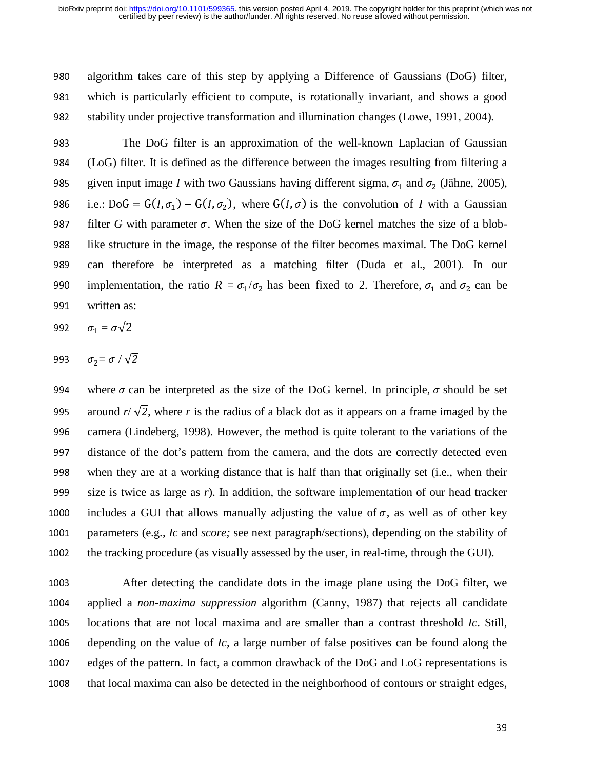980 algorithm takes care of this step by applying a Difference of Gaussians (DoG) filter, 981 which is particularly efficient to compute, is rotationally invariant, and shows a good 982 stability under projective transformation and illumination changes (Lowe, 1991, 2004).

983 The DoG filter is an approximation of the well-known Laplacian of Gaussian <sup>984</sup>(LoG) filter. It is defined as the difference between the images resulting from filtering a given input image *I* with two Gaussians having different sigma,  $\sigma_1$  and  $\sigma_2$  (Jähne, 2005),<br>986 i.e.: DoG = G(*I*,  $\sigma_1$ ) – G(*I*,  $\sigma_2$ ), where G(*I*,  $\sigma$ ) is the convolution of *I* with a Gaussian 986 i.e.:  $D \circ G = G(I, \sigma_1) - G(I, \sigma_2)$ , where  $G(I, \sigma)$  is the convolution of *I* with a Gaussian<br>987 filter *G* with parameter  $\sigma$ . When the size of the DoG kernel matches the size of a blob- $\overline{G}$  wit 987 filter *G* with parameter  $\sigma$ . When the size of the DoG kernel matches the size of a blob-<br>988 like structure in the image the response of the filter becomes maximal. The DoG kernel 988 like structure in the image, the response of the filter becomes maximal. The DoG kernel 989 can therefore be interpreted as a matching filter (Duda et al., 2001). In our 990 implementation, the ratio  $R = \sigma_1 / \sigma_2$  has been fixed to 2. Therefore,  $\sigma_1$  and  $\sigma_2$  can be 991 written as: written as:

$$
992 \qquad \sigma_1 = \sigma \sqrt{2}
$$

$$
993 \qquad \sigma_2 = \sigma / \sqrt{2}
$$

994 where  $\sigma$  can be interpreted as the size of the DoG kernel. In principle,  $\sigma$  should be set around  $r/\sqrt{2}$ , where r is the radius of a black dot as it appears on a frame imaged by the 995 around  $r/\sqrt{2}$ , where *r* is the radius of a black dot as it appears on a frame imaged by the camera (Lindeberg, 1998). However, the method is quite tolerant to the variations of the camera (Lindeberg, 1998). However, the method is quite tolerant to the variations of the 997 distance of the dot's pattern from the camera, and the dots are correctly detected even 998 when they are at a working distance that is half than that originally set (i.e., when their 999 size is twice as large as  $r$ ). In addition, the software implementation of our head tracker 1000 includes a GUI that allows manually adjusting the value of  $\sigma$ , as well as of other key<br>1001 parameters (e.g., *Ic* and *score*; see next paragraph/sections), depending on the stability of parameters (e.g., *Ic* and *score*; see next paragraph/sections), depending on the stability of 1002 the tracking procedure (as visually assessed by the user, in real-time, through the GUI).

<sup>1003</sup>After detecting the candidate dots in the image plane using the DoG filter, we 1004 applied a *non-maxima suppression* algorithm (Canny, 1987) that rejects all candidate 1005 locations that are not local maxima and are smaller than a contrast threshold *Ic*. Still, 1006 depending on the value of *Ic*, a large number of false positives can be found along the 1007 edges of the pattern. In fact, a common drawback of the DoG and LoG representations is<br>1008 that local maxima can also be detected in the neighborhood of contours or straight edges, that local maxima can also be detected in the neighborhood of contours or straight edges,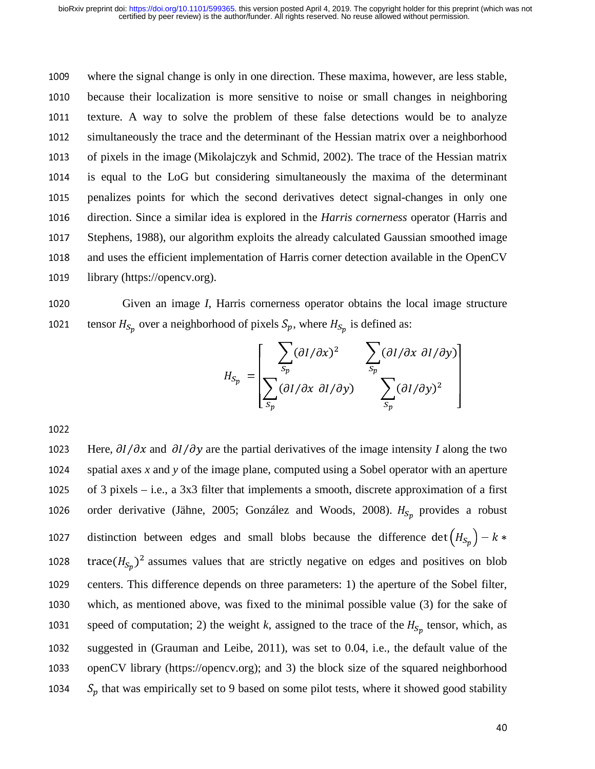1009 where the signal change is only in one direction. These maxima, however, are less stable, <sup>1010</sup>because their localization is more sensitive to noise or small changes in neighboring 1011 texture. A way to solve the problem of these false detections would be to analyze 1012 simultaneously the trace and the determinant of the Hessian matrix over a neighborhood 1013 of pixels in the image (Mikolajczyk and Schmid, 2002). The trace of the Hessian matrix 1014 is equal to the LoG but considering simultaneously the maxima of the determinant 1015 penalizes points for which the second derivatives detect signal-changes in only one 1016 direction. Since a similar idea is explored in the *Harris cornerness* operator (Harris and 1017 Stephens, 1988), our algorithm exploits the already calculated Gaussian smoothed image 1018 and uses the efficient implementation of Harris corner detection available in the OpenCV<br>1019 library (https://opency.org). library (https://opencv.org).

1020 Given an image *I*, Harris cornerness operator obtains the local image structure 1021 tensor  $H_{S_p}$  over a neighborhood of pixels  $S_p$ , where  $H_{S_p}$  is defined as:

$$
H_{S_p} = \left[ \begin{array}{ccc} \sum_{S_p} (\partial I/\partial x)^2 & \sum_{S_p} (\partial I/\partial x \ \partial I/\partial y) \\ \sum_{S_p} (\partial I/\partial x \ \partial I/\partial y) & \sum_{S_p} (\partial I/\partial y)^2 \end{array} \right]
$$

1023 Here,  $\partial I/\partial x$  and  $\partial I/\partial y$  are the partial derivatives of the image intensity *I* along the two spatial axes *x* and *y* of the image plane, computed using a Sobel operator with an aperture spatial axes  $x$  and  $y$  of the image plane, computed using a Sobel operator with an aperture 1025 of 3 pixels – i.e., a 3x3 filter that implements a smooth, discrete approximation of a first 1026 order derivative (Jähne, 2005; González and Woods, 2008).  $H_{S_p}$  provides a robust distinction between edges and small blobs because the difference det  $(H_{S_p})$  $10^{27}$   $10^{27}$   $10^{27}$   $10^{27}$   $10^{27}$   $10^{27}$   $10^{27}$   $10^{27}$   $10^{27}$   $10^{27}$   $10^{27}$   $10^{27}$ trace  $(H_{Sp})^2$  assumes values that are strictly negative on edges and positives on blob<br>1029 contage. This difference depends on three perspectives 1) the enertying of the Sobel filter 1029 centers. This difference depends on three parameters: 1) the aperture of the Sobel filter, 1030 which, as mentioned above, was fixed to the minimal possible value (3) for the sake of 1031 speed of computation; 2) the weight *k*, assigned to the trace of the  $H_{S_p}$  tensor, which, as 1032 suggested in (Grauman and Leibe, 2011), was set to 0.04, i.e., the default value of the 1033 openCV library (https://opencv.org); and 3) the block size of the squared neighborhood 1034  $S_p$  that was empirically set to 9 based on some pilot tests, where it showed good stability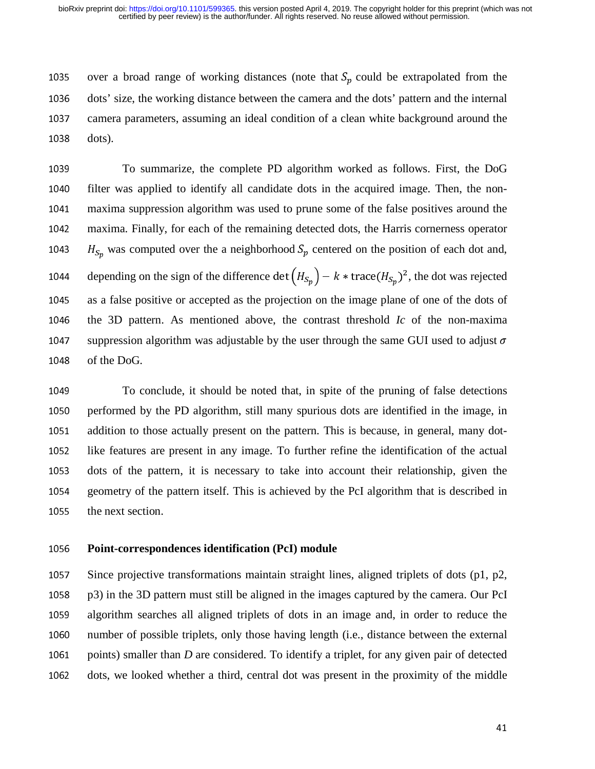1035 over a broad range of working distances (note that  $S_p$  could be extrapolated from the 1036 dots' size, the working distance between the camera and the dots' pattern and the internal <sup>1036</sup>dots' size, the working distance between the camera and the dots' pattern and the internal 1037 camera parameters, assuming an ideal condition of a clean white background around the 1038 dots).

1039 To summarize, the complete PD algorithm worked as follows. First, the DoG 1040 filter was applied to identify all candidate dots in the acquired image. Then, the non-1041 maxima suppression algorithm was used to prune some of the false positives around the <sup>1042</sup>maxima. Finally, for each of the remaining detected dots, the Harris cornerness operator 1043  $H_{S_p}$  was computed over the a neighborhood  $S_p$  centered on the position of each dot and, 1044 depending on the sign of the difference det  $(H_{S_p}) - k * \text{trace}(H_{S_p})^2$ , the dot was rejected 1045 as a false positive or accepted as the projection on the image plane of one of the dots of 1046 the 3D pattern. As mentioned above, the contrast threshold *Ic* of the non-maxima 1047 suppression algorithm was adjustable by the user through the same GUI used to adjust  $\sigma$  1048 of the DoG. of the DoG.

<sup>1049</sup>To conclude, it should be noted that, in spite of the pruning of false detections 1050 performed by the PD algorithm, still many spurious dots are identified in the image, in 1051 addition to those actually present on the pattern. This is because, in general, many dot-<sup>1052</sup>like features are present in any image. To further refine the identification of the actual 1053 dots of the pattern, it is necessary to take into account their relationship, given the 1054 geometry of the pattern itself. This is achieved by the PcI algorithm that is described in geometry of the pattern itself. This is achieved by the PcI algorithm that is described in 1055 the next section.

#### <sup>1056</sup>**Point-correspondences identification (PcI) module**

1057 Since projective transformations maintain straight lines, aligned triplets of dots  $(p1, p2, q3)$  $1058$  p3) in the 3D pattern must still be aligned in the images captured by the camera. Our PcI 1059 algorithm searches all aligned triplets of dots in an image and, in order to reduce the 1060 number of possible triplets, only those having length (i.e., distance between the external 1061 points) smaller than *D* are considered. To identify a triplet, for any given pair of detected 1062 dots, we looked whether a third, central dot was present in the proximity of the middle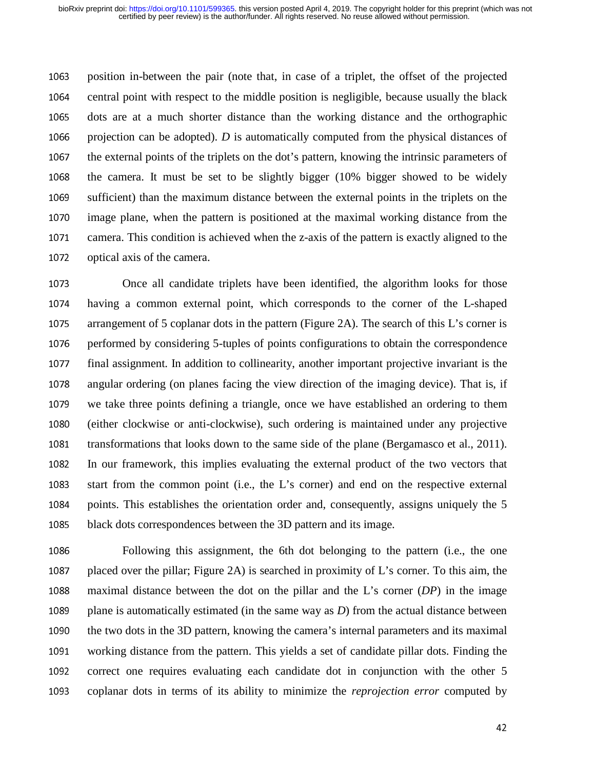1063 position in-between the pair (note that, in case of a triplet, the offset of the projected 1064 central point with respect to the middle position is negligible, because usually the black 1065 dots are at a much shorter distance than the working distance and the orthographic 1066 projection can be adopted). *D* is automatically computed from the physical distances of 1067 the external points of the triplets on the dot's pattern, knowing the intrinsic parameters of 1068 the camera. It must be set to be slightly bigger  $(10\%$  bigger showed to be widely 1069 sufficient) than the maximum distance between the external points in the triplets on the 1070 image plane, when the pattern is positioned at the maximal working distance from the 1071 camera. This condition is achieved when the z-axis of the pattern is exactly aligned to the 1072 optical axis of the camera.

1073 Once all candidate triplets have been identified, the algorithm looks for those 1074 having a common external point, which corresponds to the corner of the L-shaped 1075 arrangement of 5 coplanar dots in the pattern (Figure 2A). The search of this L's corner is 1076 performed by considering 5-tuples of points configurations to obtain the correspondence 1077 final assignment. In addition to collinearity, another important projective invariant is the<br>1078 angular ordering (on planes facing the view direction of the imaging device). That is, if angular ordering (on planes facing the view direction of the imaging device). That is, if 1079 we take three points defining a triangle, once we have established an ordering to them <sup>1080</sup>(either clockwise or anti-clockwise), such ordering is maintained under any projective 1081 transformations that looks down to the same side of the plane (Bergamasco et al., 2011). 1082 In our framework, this implies evaluating the external product of the two vectors that 1083 start from the common point (i.e., the L's corner) and end on the respective external 1084 points. This establishes the orientation order and, consequently, assigns uniquely the 5 1085 black dots correspondences between the 3D pattern and its image.

1086 Following this assignment, the 6th dot belonging to the pattern (i.e., the one 1087 placed over the pillar; Figure 2A) is searched in proximity of L's corner. To this aim, the 1088 maximal distance between the dot on the pillar and the L's corner (*DP*) in the image 1089 plane is automatically estimated (in the same way as  $D$ ) from the actual distance between<br>1090 the two dots in the 3D pattern, knowing the camera's internal parameters and its maximal the two dots in the 3D pattern, knowing the camera's internal parameters and its maximal 1091 working distance from the pattern. This yields a set of candidate pillar dots. Finding the 1092 correct one requires evaluating each candidate dot in conjunction with the other 5 1093 coplanar dots in terms of its ability to minimize the *reprojection error* computed by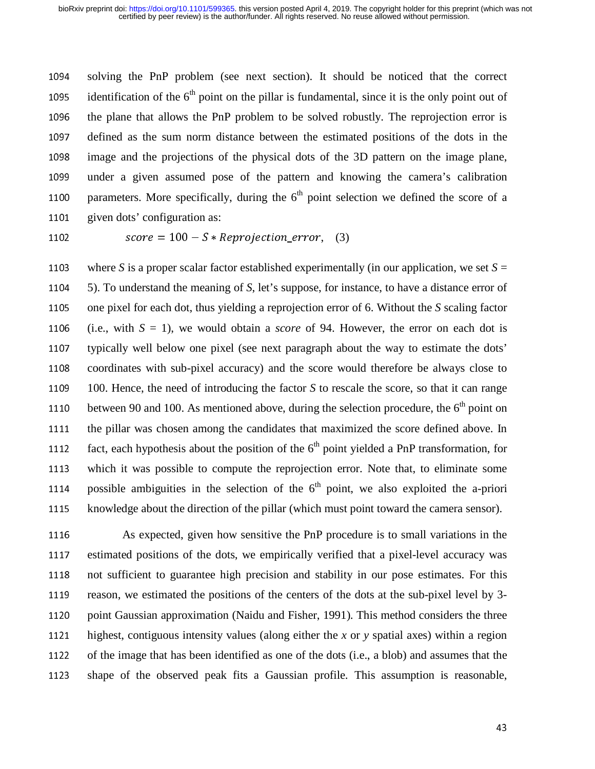1094 solving the PnP problem (see next section). It should be noticed that the correct 1095 identification of the  $6<sup>th</sup>$  point on the pillar is fundamental, since it is the only point out of 1096 the plane that allows the PnP problem to be solved robustly. The reprojection error is 1097 defined as the sum norm distance between the estimated positions of the dots in the 1098 image and the projections of the physical dots of the 3D pattern on the image plane, 1099 under a given assumed pose of the pattern and knowing the camera's calibration 1100 parameters. More specifically, during the  $6<sup>th</sup>$  point selection we defined the score of a 1101 given dots' configuration as:

$$
score = 100 - S * Reprojection_error, \quad (3)
$$

1103 where *S* is a proper scalar factor established experimentally (in our application, we set  $S = 1104$  5). To understand the meaning of *S*, let's suppose, for instance, to have a distance error of 5). To understand the meaning of *S*, let's suppose, for instance, to have a distance error of 1105 one pixel for each dot, thus yielding a reprojection error of 6. Without the *S* scaling factor 1106 (i.e., with  $S = 1$ ), we would obtain a *score* of 94. However, the error on each dot is 1107 typically well below one pixel (see next paragraph about the way to estimate the dots' 1108 coordinates with sub-pixel accuracy) and the score would therefore be always close to 1109 100. Hence, the need of introducing the factor *S* to rescale the score, so that it can range 1110 between 90 and 100. As mentioned above, during the selection procedure, the  $6<sup>th</sup>$  point on 1111 the pillar was chosen among the candidates that maximized the score defined above. In 1112 fact, each hypothesis about the position of the  $6<sup>th</sup>$  point yielded a PnP transformation, for 1113 which it was possible to compute the reprojection error. Note that, to eliminate some 1114 possible ambiguities in the selection of the  $6<sup>th</sup>$  point, we also exploited the a-priori 1115 knowledge about the direction of the pillar (which must point toward the camera sensor).

1116 As expected, given how sensitive the PnP procedure is to small variations in the 1117 estimated positions of the dots, we empirically verified that a pixel-level accuracy was 1118 not sufficient to guarantee high precision and stability in our pose estimates. For this 1119 reason, we estimated the positions of the centers of the dots at the sub-pixel level by 3-1120 point Gaussian approximation (Naidu and Fisher, 1991). This method considers the three 1121 highest, contiguous intensity values (along either the  $x$  or  $y$  spatial axes) within a region 1122 of the image that has been identified as one of the dots (i.e., a blob) and assumes that the 1123 shape of the observed peak fits a Gaussian profile. This assumption is reasonable,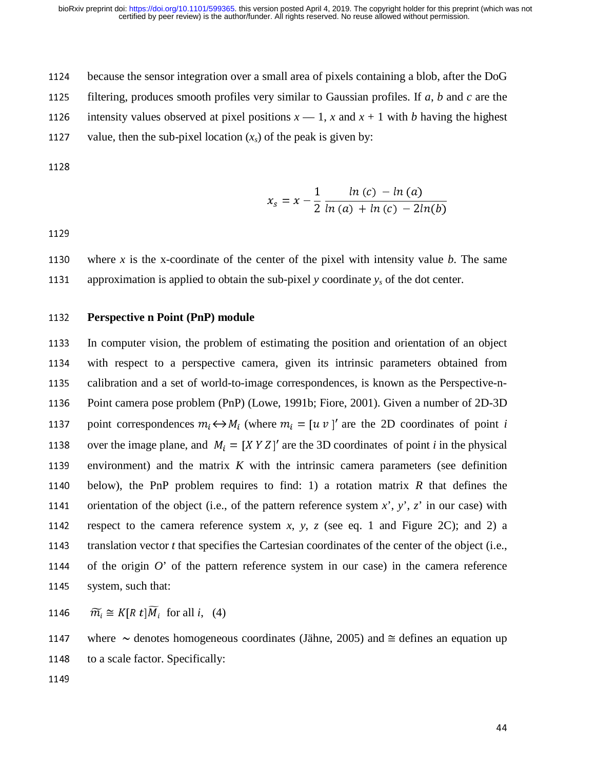<sup>1124</sup>because the sensor integration over a small area of pixels containing a blob, after the DoG

1125 filtering, produces smooth profiles very similar to Gaussian profiles. If  $a$ ,  $b$  and  $c$  are the

1126 intensity values observed at pixel positions  $x - 1$ ,  $x$  and  $x + 1$  with *b* having the highest

1127 value, then the sub-pixel location  $(x<sub>s</sub>)$  of the peak is given by:

$$
x_s = x - \frac{1}{2} \frac{\ln{(c)} - \ln{(a)}}{\ln{(a)} + \ln{(c)} - 2\ln{(b)}}
$$

1129

1130 where *x* is the x-coordinate of the center of the pixel with intensity value *b*. The same 1131 approximation is applied to obtain the sub-pixel *y* coordinate  $y<sub>s</sub>$  of the dot center.

#### <sup>1132</sup>**Perspective n Point (PnP) module**

1133 In computer vision, the problem of estimating the position and orientation of an object 1134 with respect to a perspective camera, given its intrinsic parameters obtained from 1135 calibration and a set of world-to-image correspondences, is known as the Perspective-n-1136 Point camera pose problem (PnP) (Lowe, 1991b; Fiore, 2001). Given a number of 2D-3D 1137 point correspondences  $m_i \leftrightarrow M_i$  (where  $m_i = [u \ v]$  are the 2D coordinates of point *i* 1138 over the image plane, and  $M_i = [XY Z]$  are the 3D coordinates of point *i* in the physical 1139 environment) and the matrix  $K$  with the intrinsic camera parameters (see definition 1140 below), the PnP problem requires to find: 1) a rotation matrix  $R$  that defines the 1141 orientation of the object (i.e., of the pattern reference system  $x^2$ ,  $y^2$ ,  $z^2$  in our case) with 1142 respect to the camera reference system *x*, *y*, *z* (see eq. 1 and Figure 2C); and 2) a 1143 translation vector *t* that specifies the Cartesian coordinates of the center of the object (i.e., 1144 of the origin  $O'$  of the pattern reference system in our case) in the camera reference 1145 system, such that:

1146  $\widetilde{m_i} \cong K[R \ t] \widetilde{M}_i$  for all *i*, (4)

1147 where  $\sim$  denotes homogeneous coordinates (Jähne, 2005) and  $\approx$  defines an equation up 1148 to a scale factor. Specifically: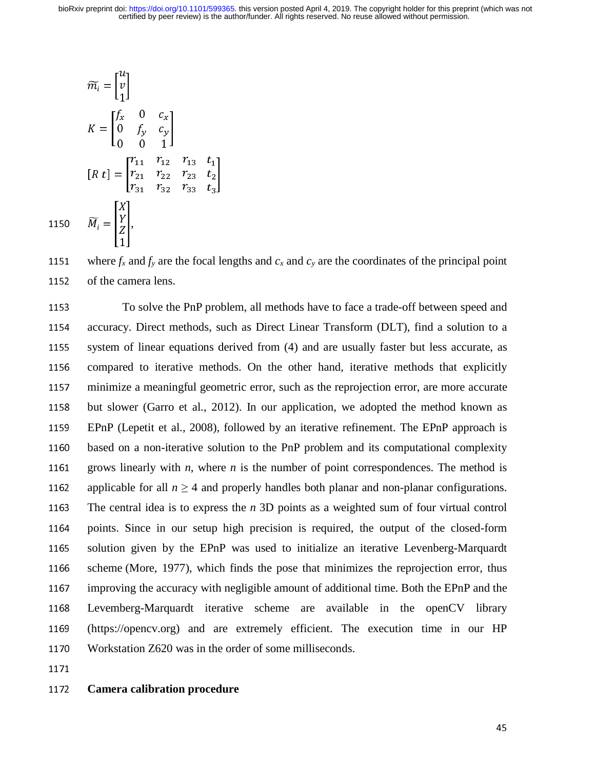$$
\widetilde{m_i} = \begin{bmatrix} u \\ v \\ 1 \end{bmatrix}
$$
\n
$$
K = \begin{bmatrix} f_x & 0 & c_x \\ 0 & f_y & c_y \\ 0 & 0 & 1 \end{bmatrix}
$$
\n
$$
[R \ t] = \begin{bmatrix} r_{11} & r_{12} & r_{13} & t_1 \\ r_{21} & r_{22} & r_{23} & t_2 \\ r_{31} & r_{32} & r_{33} & t_3 \end{bmatrix}
$$
\n1150\n
$$
\widetilde{M_i} = \begin{bmatrix} X \\ Y \\ Z \\ 1 \end{bmatrix},
$$

1151 where  $f_x$  and  $f_y$  are the focal lengths and  $c_x$  and  $c_y$  are the coordinates of the principal point 1152 of the camera lens.

<sup>1153</sup>To solve the PnP problem, all methods have to face a trade-off between speed and 1154 accuracy. Direct methods, such as Direct Linear Transform (DLT), find a solution to a 1155 system of linear equations derived from (4) and are usually faster but less accurate, as 1156 compared to iterative methods. On the other hand, iterative methods that explicitly 1157 minimize a meaningful geometric error, such as the reprojection error, are more accurate 1158 but slower (Garro et al., 2012). In our application, we adopted the method known as <sup>1159</sup>EPnP (Lepetit et al., 2008), followed by an iterative refinement. The EPnP approach is 1160 based on a non-iterative solution to the PnP problem and its computational complexity 1161 grows linearly with *n*, where *n* is the number of point correspondences. The method is 1162 applicable for all  $n \ge 4$  and properly handles both planar and non-planar configurations.<br>1163 The central idea is to express the *n* 3D points as a weighted sum of four virtual control The central idea is to express the  $n$  3D points as a weighted sum of four virtual control 1164 points. Since in our setup high precision is required, the output of the closed-form 1165 solution given by the EPnP was used to initialize an iterative Levenberg-Marquardt 1166 scheme (More, 1977), which finds the pose that minimizes the reprojection error, thus 1167 improving the accuracy with negligible amount of additional time. Both the EPnP and the<br>1168 Levemberg-Marquardt iterative scheme are available in the openCV library Levemberg-Marquardt iterative scheme are available in the openCV library <sup>1169</sup>(https://opencv.org) and are extremely efficient. The execution time in our HP 1170 Workstation Z620 was in the order of some milliseconds.

## <sup>1172</sup>**Camera calibration procedure**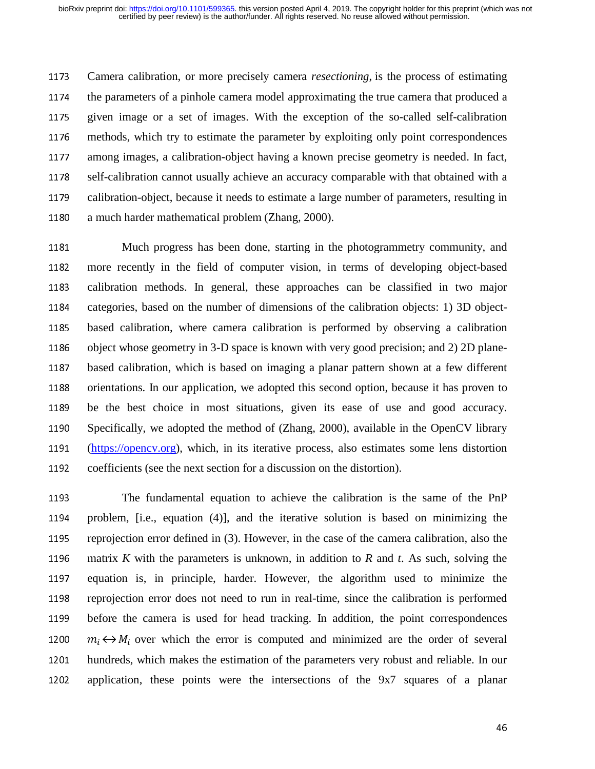<sup>1173</sup>Camera calibration, or more precisely camera *resectioning*, is the process of estimating 1174 the parameters of a pinhole camera model approximating the true camera that produced a 1175 given image or a set of images. With the exception of the so-called self-calibration 1176 methods, which try to estimate the parameter by exploiting only point correspondences 1177 among images, a calibration-object having a known precise geometry is needed. In fact, 1178 self-calibration cannot usually achieve an accuracy comparable with that obtained with a 1179 calibration-object, because it needs to estimate a large number of parameters, resulting in 1180 a much harder mathematical problem (Zhang, 2000).

1181 Much progress has been done, starting in the photogrammetry community, and 1182 more recently in the field of computer vision, in terms of developing object-based 1183 calibration methods. In general, these approaches can be classified in two major 1184 categories, based on the number of dimensions of the calibration objects: 1) 3D object-1185 based calibration, where camera calibration is performed by observing a calibration<br>1186 object whose geometry in 3-D space is known with very good precision; and 2) 2D planeobject whose geometry in 3-D space is known with very good precision; and 2) 2D plane-1187 based calibration, which is based on imaging a planar pattern shown at a few different 1188 orientations. In our application, we adopted this second option, because it has proven to 1189 be the best choice in most situations, given its ease of use and good accuracy. 1190 Specifically, we adopted the method of (Zhang, 2000), available in the OpenCV library<br>1191 (https://opency.org), which, in its iterative process, also estimates some lens distortion (https://opency.org), which, in its iterative process, also estimates some lens distortion 1192 coefficients (see the next section for a discussion on the distortion).

<sup>1193</sup>The fundamental equation to achieve the calibration is the same of the PnP 1194 problem, [i.e., equation (4)], and the iterative solution is based on minimizing the 1195 reprojection error defined in (3). However, in the case of the camera calibration, also the 1196 matrix *K* with the parameters is unknown, in addition to *R* and *t*. As such, solving the 1197 equation is, in principle, harder. However, the algorithm used to minimize the 1198 reprojection error does not need to run in real-time, since the calibration is performed 1199 before the camera is used for head tracking. In addition, the point correspondences 1200  $m_i \leftrightarrow M_i$  over which the error is computed and minimized are the order of several 1201 hundreds, which makes the estimation of the parameters very robust and reliable. In our 1202 application, these points were the intersections of the 9x7 squares of a planar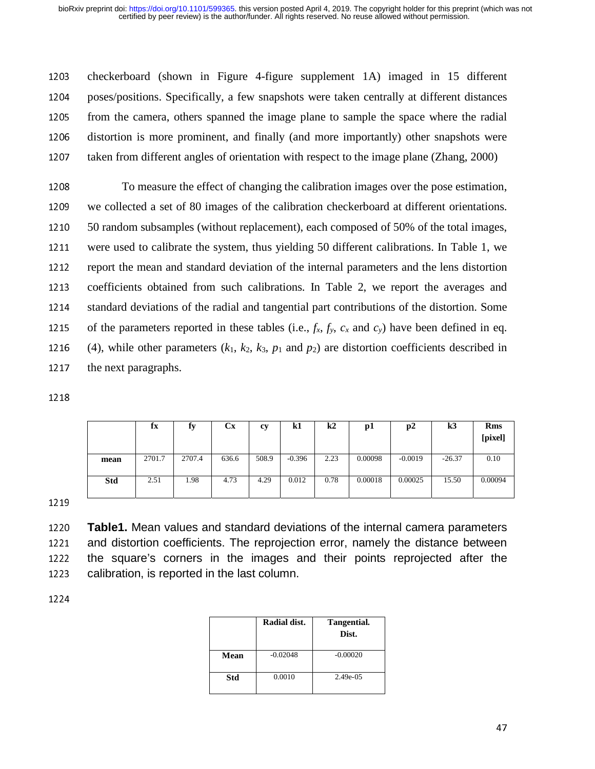1203 checkerboard (shown in Figure 4-figure supplement 1A) imaged in 15 different 1204 poses/positions. Specifically, a few snapshots were taken centrally at different distances 1205 from the camera, others spanned the image plane to sample the space where the radial 1206 distortion is more prominent, and finally (and more importantly) other snapshots were 1207 taken from different angles of orientation with respect to the image plane (Zhang, 2000)

<sup>1208</sup>To measure the effect of changing the calibration images over the pose estimation, 1209 we collected a set of 80 images of the calibration checkerboard at different orientations. 1210 50 random subsamples (without replacement), each composed of 50% of the total images, 1211 were used to calibrate the system, thus yielding 50 different calibrations. In Table 1, we 1212 report the mean and standard deviation of the internal parameters and the lens distortion 1213 coefficients obtained from such calibrations. In Table 2, we report the averages and 1214 standard deviations of the radial and tangential part contributions of the distortion. Some 1215 of the parameters reported in these tables (i.e.,  $f_x$ ,  $f_y$ ,  $c_x$  and  $c_y$ ) have been defined in eq.<br>1216 (4), while other parameters  $(k_1, k_2, k_3, p_1$  and  $p_2$ ) are distortion coefficients described in (4), while other parameters  $(k_1, k_2, k_3, p_1 \text{ and } p_2)$  are distortion coefficients described in 1217 the next paragraphs.

|      | fx     | fy     | Cх    | cy    | k1       | $\mathbf{k}$ | рl      | p2        | k3       | <b>Rms</b><br>[pixel] |
|------|--------|--------|-------|-------|----------|--------------|---------|-----------|----------|-----------------------|
| mean | 2701.7 | 2707.4 | 636.6 | 508.9 | $-0.396$ | 2.23         | 0.00098 | $-0.0019$ | $-26.37$ | 0.10                  |
| Std  | 2.51   | 1.98   | 4.73  | 4.29  | 0.012    | 0.78         | 0.00018 | 0.00025   | 15.50    | 0.00094               |

1219

<sup>1220</sup>**Table1.** Mean values and standard deviations of the internal camera parameters 1221 and distortion coefficients. The reprojection error, namely the distance between<br>1222 the square's corners in the images and their points reprojected after the 1222 the square's corners in the images and their points reprojected after the 1223 calibration, is reported in the last column. calibration, is reported in the last column.

|      | Radial dist. | Tangential.<br>Dist. |
|------|--------------|----------------------|
| Mean | $-0.02048$   | $-0.00020$           |
| Std  | 0.0010       | 2.49e-05             |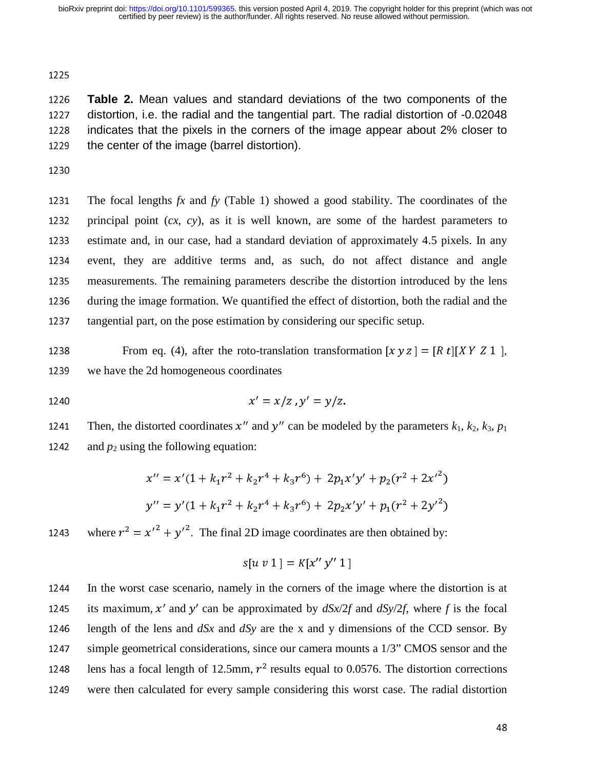1225

<sup>1226</sup>**Table 2.** Mean values and standard deviations of the two components of the 1227 distortion, i.e. the radial and the tangential part. The radial distortion of -0.02048<br>1228 indicates that the pixels in the corners of the image appear about 2% closer to 1228 indicates that the pixels in the corners of the image appear about 2% closer to 1229 the center of the image (barrel distortion). the center of the image (barrel distortion).

1231 The focal lengths  $fx$  and  $fy$  (Table 1) showed a good stability. The coordinates of the 1232 principal point  $(cx, cy)$ , as it is well known, are some of the hardest parameters to 1233 estimate and, in our case, had a standard deviation of approximately 4.5 pixels. In any 1234 event, they are additive terms and, as such, do not affect distance and angle 1235 measurements. The remaining parameters describe the distortion introduced by the lens<br>1236 during the image formation. We quantified the effect of distortion, both the radial and the during the image formation. We quantified the effect of distortion, both the radial and the 1237 tangential part, on the pose estimation by considering our specific setup.

1238 From eq. (4), after the roto-translation transformation  $[x y z] = [R t][XY Z 1]$ , 1239 we have the 2d homogeneous coordinates

1240 
$$
x' = x/z
$$
,  $y' = y/z$ .

Then, the distorted coordinates  $x''$  and  $y''$  can be modeled by the parameters  $k_1$ ,  $k_2$ ,  $k_3$ ,  $p_1$ 1242 and  $p_2$  using the following equation:

$$
x'' = x'(1 + k_1r^2 + k_2r^4 + k_3r^6) + 2p_1x'y' + p_2(r^2 + 2x'^2)
$$
  

$$
y'' = y'(1 + k_1r^2 + k_2r^4 + k_3r^6) + 2p_2x'y' + p_1(r^2 + 2y'^2)
$$

1243 where  $r^2 = x'^2 + y'^2$ . The final 2D image coordinates are then obtained by:

$$
s[u\;v\;1\;]=K[x^{\prime\prime}\;y^{\prime\prime}\;1\;]
$$

1244 In the worst case scenario, namely in the corners of the image where the distortion is at 1245 its maximum, x' and y' can be approximated by  $dSx/2f$  and  $dSy/2f$ , where f is the focal 1246 length of the lens and  $dSx$  and  $dSy$  are the x and y dimensions of the CCD sensor. By 1247 simple geometrical considerations, since our camera mounts a 1/3" CMOS sensor and the 1248 lens has a focal length of 12.5mm,  $r^2$  results equal to 0.0576. The distortion corrections 1249 were then calculated for every sample considering this worst case. The radial distortion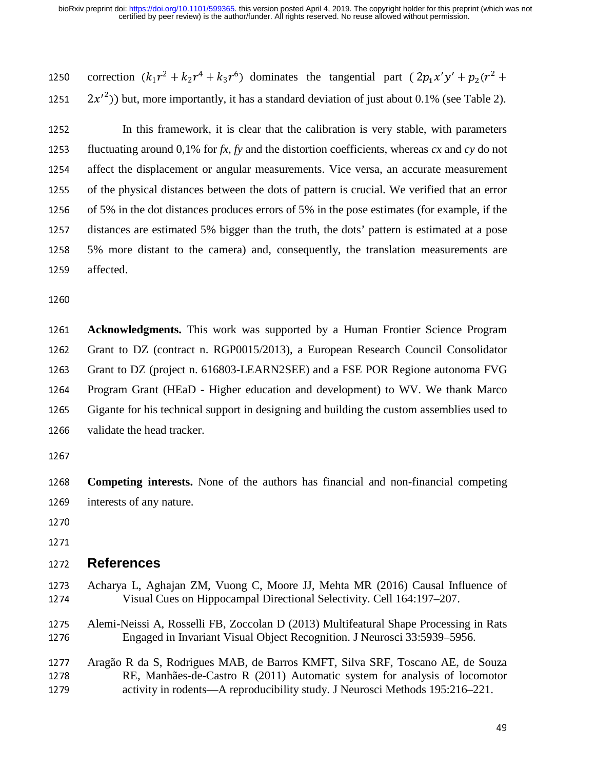1250 correction  $(k_1r^2 + k_2r^4 + k_3r^6)$  dominates the tangential part  $(2p_1x'y' + p_2(r^2 +$ 1251  $2x'^2$ ) but, more importantly, it has a standard deviation of just about 0.1% (see Table 2).

1252 In this framework, it is clear that the calibration is very stable, with parameters 1253 fluctuating around 0,1% for  $fx$ ,  $fy$  and the distortion coefficients, whereas  $cx$  and  $cy$  do not 1254 affect the displacement or angular measurements. Vice versa, an accurate measurement 1255 of the physical distances between the dots of pattern is crucial. We verified that an error 1256 of 5% in the dot distances produces errors of 5% in the pose estimates (for example, if the 1257 distances are estimated 5% bigger than the truth, the dots' pattern is estimated at a pose 1258 5% more distant to the camera) and, consequently, the translation measurements are 1259 affected.

1260

<sup>1261</sup>**Acknowledgments.** This work was supported by a Human Frontier Science Program 1262 Grant to DZ (contract n. RGP0015/2013), a European Research Council Consolidator 1263 Grant to DZ (project n. 616803-LEARN2SEE) and a FSE POR Regione autonoma FVG 1264 Program Grant (HEaD - Higher education and development) to WV. We thank Marco 1265 Gigante for his technical support in designing and building the custom assemblies used to 1266 validate the head tracker.

1267

<sup>1268</sup>**Competing interests.** None of the authors has financial and non-financial competing 1269 interests of any nature.

- 
- 1271

## <sup>1272</sup>**References**

1273 Acharya L, Aghajan ZM, Vuong C, Moore JJ, Mehta MR (2016) Causal Influence of Visual Cues on Hippocampal Directional Selectivity. Cell 164:197–207. Visual Cues on Hippocampal Directional Selectivity. Cell 164:197–207.

1275 Alemi-Neissi A, Rosselli FB, Zoccolan D (2013) Multifeatural Shape Processing in Rats<br>1276 Engaged in Invariant Visual Object Recognition. J Neurosci 33:5939–5956. <sup>1276</sup>Engaged in Invariant Visual Object Recognition. J Neurosci 33:5939–5956.

1277 Aragão R da S, Rodrigues MAB, de Barros KMFT, Silva SRF, Toscano AE, de Souza<br>1278 RE, Manhães-de-Castro R (2011) Automatic system for analysis of locomotor 1278 RE, Manhães-de-Castro R (2011) Automatic system for analysis of locomotor<br>1279 activity in rodents—A reproducibility study. J Neurosci Methods 195:216–221. activity in rodents—A reproducibility study. J Neurosci Methods 195:216–221.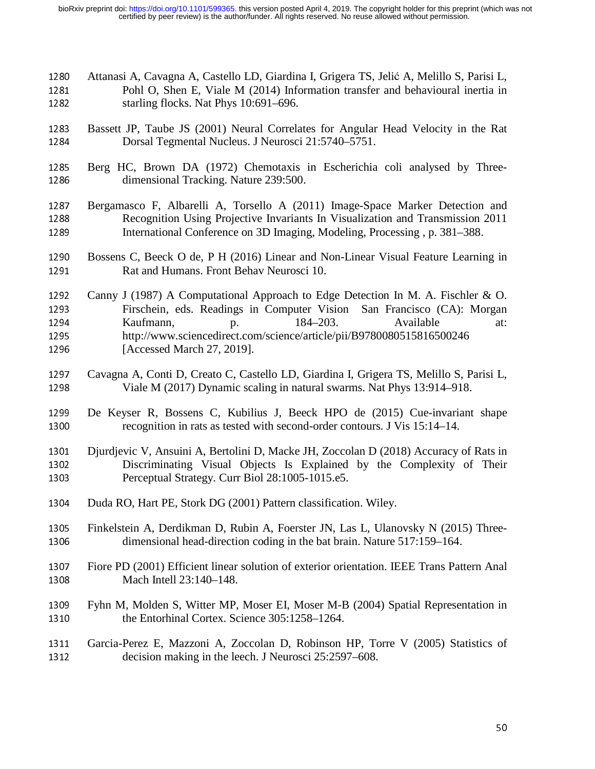- 1280 Attanasi A, Cavagna A, Castello LD, Giardina I, Grigera TS, Jelić A, Melillo S, Parisi L, Pohl O, Shen E, Viale M (2014) Information transfer and behavioural inertia in 1281 Pohl O, Shen E, Viale M (2014) Information transfer and behavioural inertia in starling flocks. Nat Phys 10:691–696. starling flocks. Nat Phys  $10:691-696$ .
- 1283 Bassett JP, Taube JS (2001) Neural Correlates for Angular Head Velocity in the Rat<br>1284 Dorsal Tegmental Nucleus. J Neurosci 21:5740–5751. Dorsal Tegmental Nucleus. J Neurosci 21:5740–5751.
- 1285 Berg HC, Brown DA (1972) Chemotaxis in Escherichia coli analysed by Three-<br>1286 dimensional Tracking. Nature 239:500. dimensional Tracking. Nature 239:500.
- 1287 Bergamasco F, Albarelli A, Torsello A (2011) Image-Space Marker Detection and Recognition Using Projective Invariants In Visualization and Transmission 2011 1288 Recognition Using Projective Invariants In Visualization and Transmission 2011<br>1289 International Conference on 3D Imaging, Modeling, Processing, p. 381–388. International Conference on 3D Imaging, Modeling, Processing, p. 381–388.
- 1290 Bossens C, Beeck O de, P H (2016) Linear and Non-Linear Visual Feature Learning in<br>1291 Rat and Humans. Front Behav Neurosci 10. Rat and Humans. Front Behav Neurosci 10.
- 1292 Canny J (1987) A Computational Approach to Edge Detection In M. A. Fischler & O.<br>1293 Firschein, eds. Readings in Computer Vision San Francisco (CA): Morgan 1293 Firschein, eds. Readings in Computer Vision San Francisco (CA): Morgan<br>1294 Kaufmann. 184–203. Available at: 1294 Kaufmann, p. 184–203. Available at:<br>1295 http://www.sciancedirect.com/science/article/pii/B0780080515816500246 <sup>1295</sup>http://www.sciencedirect.com/science/article/pii/B9780080515816500246 1296 [Accessed March 27, 2019].
- 1297 Cavagna A, Conti D, Creato C, Castello LD, Giardina I, Grigera TS, Melillo S, Parisi L,<br>1298 Viale M (2017) Dynamic scaling in natural swarms. Nat Phys 13:914–918. Viale M (2017) Dynamic scaling in natural swarms. Nat Phys 13:914–918.
- 1299 De Keyser R, Bossens C, Kubilius J, Beeck HPO de (2015) Cue-invariant shape recognition in rats as tested with second-order contours. J Vis 15:14–14. recognition in rats as tested with second-order contours. J Vis 15:14–14.
- 1301 Djurdjevic V, Ansuini A, Bertolini D, Macke JH, Zoccolan D (2018) Accuracy of Rats in<br>1302 Discriminating Visual Objects Is Explained by the Complexity of Their 1302 Discriminating Visual Objects Is Explained by the Complexity of Their<br>1303 Perceptual Strategy. Curr Biol 28:1005-1015.e5. Perceptual Strategy. Curr Biol 28:1005-1015.e5.
- 1304 Duda RO, Hart PE, Stork DG (2001) Pattern classification. Wiley.
- 1305 Finkelstein A, Derdikman D, Rubin A, Foerster JN, Las L, Ulanovsky N (2015) Three-<br>1306 dimensional head-direction coding in the bat brain. Nature 517:159–164. dimensional head-direction coding in the bat brain. Nature 517:159–164.
- 1307 Fiore PD (2001) Efficient linear solution of exterior orientation. IEEE Trans Pattern Anal<br>1308 Mach Intell 23:140–148. Mach Intell 23:140-148.
- 1309 Fyhn M, Molden S, Witter MP, Moser EI, Moser M-B (2004) Spatial Representation in the Entorhinal Cortex. Science 305:1258–1264. the Entorhinal Cortex. Science 305:1258-1264.

## 1311 Garcia-Perez E, Mazzoni A, Zoccolan D, Robinson HP, Torre V (2005) Statistics of decision making in the leech. J Neurosci 25:2597–608. decision making in the leech. J Neurosci 25:2597–608.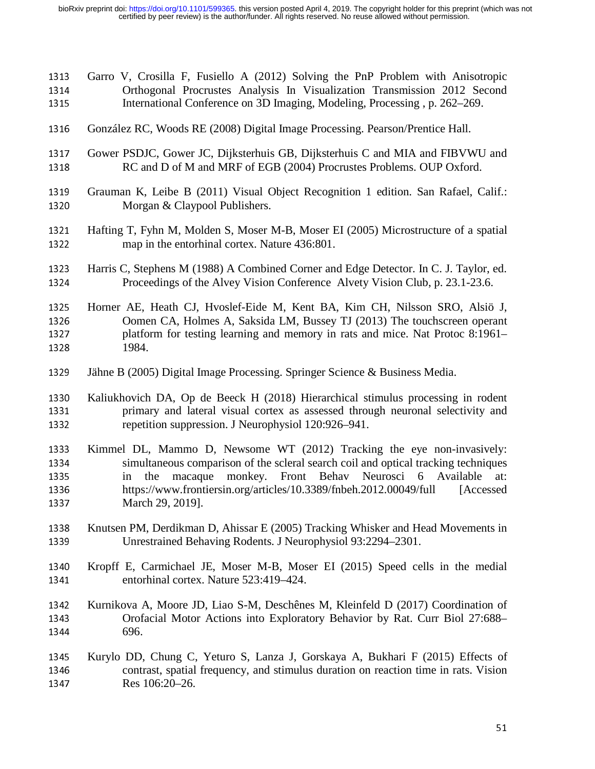- 1313 Garro V, Crosilla F, Fusiello A (2012) Solving the PnP Problem with Anisotropic<br>1314 Orthogonal Procrustes Analysis In Visualization Transmission 2012 Second 1314 Orthogonal Procrustes Analysis In Visualization Transmission 2012 Second<br>1315 International Conference on 3D Imaging Modeling Processing p. 262–269. International Conference on 3D Imaging, Modeling, Processing, p. 262–269. 1316 González RC, Woods RE (2008) Digital Image Processing. Pearson/Prentice Hall. 1317 Gower PSDJC, Gower JC, Dijksterhuis GB, Dijksterhuis C and MIA and FIBVWU and 1318 RC and D of M and MRF of EGB (2004) Procrustes Problems. OUP Oxford. RC and D of M and MRF of EGB (2004) Procrustes Problems. OUP Oxford. 1319 Grauman K, Leibe B (2011) Visual Object Recognition 1 edition. San Rafael, Calif.:<br>1320 Morgan & Claypool Publishers. Morgan & Claypool Publishers. 1321 Hafting T, Fyhn M, Molden S, Moser M-B, Moser EI (2005) Microstructure of a spatial map in the entorhinal cortex. Nature 436:801. map in the entorhinal cortex. Nature 436:801. 1323 Harris C, Stephens M (1988) A Combined Corner and Edge Detector. In C. J. Taylor, ed.<br>1324 Proceedings of the Alvey Vision Conference Alvety Vision Club, p. 23.1-23.6. Proceedings of the Alvey Vision Conference Alvety Vision Club, p. 23.1-23.6. 1325 Horner AE, Heath CJ, Hvoslef-Eide M, Kent BA, Kim CH, Nilsson SRO, Alsiö J, Oomen CA, Holmes A, Saksida LM, Bussey TJ (2013) The touchscreen operant 1326 Oomen CA, Holmes A, Saksida LM, Bussey TJ (2013) The touchscreen operant<br>1327 had platform for testing learning and memory in rats and mice. Nat Protoc 8:1961– 1327 platform for testing learning and memory in rats and mice. Nat Protoc 8:1961–<br>1328 1984. 1984. 1329 Jähne B (2005) Digital Image Processing. Springer Science & Business Media. 1330 Kaliukhovich DA, Op de Beeck H (2018) Hierarchical stimulus processing in rodent primary and lateral visual cortex as assessed through neuronal selectivity and 1331 primary and lateral visual cortex as assessed through neuronal selectivity and repetition suppression. J Neurophysiol 120:926–941. repetition suppression. J Neurophysiol 120:926–941. 1333 Kimmel DL, Mammo D, Newsome WT (2012) Tracking the eye non-invasively:<br>1334 simultaneous comparison of the scleral search coil and optical tracking techniques 1334 simultaneous comparison of the scleral search coil and optical tracking techniques<br>1335 in the macaque monkey. Front Behav Neurosci 6 Available at: 1335 in the macaque monkey. Front Behav Neurosci 6 Available at:<br>1336 https://www.frontiersin.org/articles/10.3389/fnbeh.2012.00049/full [Accessed 1336 https://www.frontiersin.org/articles/10.3389/fnbeh.2012.00049/full 1337 March 29, 2019]. March 29, 2019]. 1338 Knutsen PM, Derdikman D, Ahissar E (2005) Tracking Whisker and Head Movements in<br>1339 Unrestrained Behaving Rodents. J Neurophysiol 93:2294–2301. Unrestrained Behaving Rodents. J Neurophysiol 93:2294–2301. 1340 Kropff E, Carmichael JE, Moser M-B, Moser EI (2015) Speed cells in the medial entorhinal cortex. Nature 523:419–424. entorhinal cortex. Nature 523:419-424. 1342 Kurnikova A, Moore JD, Liao S-M, Deschênes M, Kleinfeld D (2017) Coordination of Orofacial Motor Actions into Exploratory Behavior by Rat. Curr Biol 27:688– 1343 Orofacial Motor Actions into Exploratory Behavior by Rat. Curr Biol 27:688–<br>1344 696. 696.
- 1345 Kurylo DD, Chung C, Yeturo S, Lanza J, Gorskaya A, Bukhari F (2015) Effects of contrast, spatial frequency, and stimulus duration on reaction time in rats. Vision 1346 contrast, spatial frequency, and stimulus duration on reaction time in rats. Vision<br>1347 Res 106:20–26. Res 106:20–26.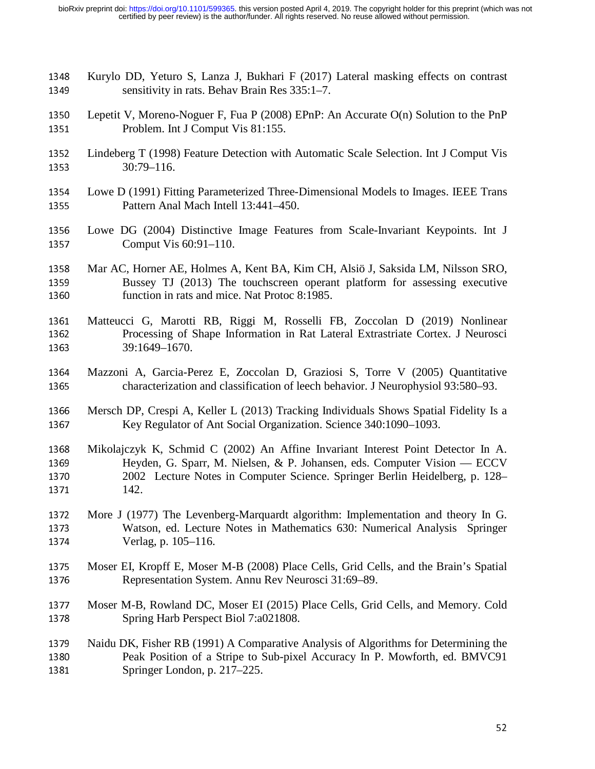- 1348 Kurylo DD, Yeturo S, Lanza J, Bukhari F (2017) Lateral masking effects on contrast sensitivity in rats. Behav Brain Res 335:1–7. sensitivity in rats. Behav Brain Res 335:1–7.
- 1350 Lepetit V, Moreno-Noguer F, Fua P (2008) EPnP: An Accurate O(n) Solution to the PnP<br>1351 Problem. Int J Comput Vis 81:155. Problem. Int J Comput Vis 81:155.
- 1352 Lindeberg T (1998) Feature Detection with Automatic Scale Selection. Int J Comput Vis<br>1353 30:79–116.  $30:79-116.$
- 1354 Lowe D (1991) Fitting Parameterized Three-Dimensional Models to Images. IEEE Trans<br>1355 Pattern Anal Mach Intell 13:441–450. Pattern Anal Mach Intell 13:441–450.
- 1356 Lowe DG (2004) Distinctive Image Features from Scale-Invariant Keypoints. Int J<br>1357 Comput Vis 60:91–110. Comput Vis  $60:91-110$ .
- 1358 Mar AC, Horner AE, Holmes A, Kent BA, Kim CH, Alsiö J, Saksida LM, Nilsson SRO,<br>1359 Bussey TJ (2013) The touchscreen operant platform for assessing executive 1359 Bussey TJ (2013) The touchscreen operant platform for assessing executive function in rats and mice. Nat Protoc 8:1985. function in rats and mice. Nat Protoc 8:1985.
- 1361 Matteucci G, Marotti RB, Riggi M, Rosselli FB, Zoccolan D (2019) Nonlinear<br>1362 Processing of Shape Information in Rat Lateral Extrastriate Cortex. J Neurosci 1362 Processing of Shape Information in Rat Lateral Extrastriate Cortex. J Neurosci<br>1363 39:1649–1670. <sup>1363</sup>39:1649–1670.
- 1364 Mazzoni A, Garcia-Perez E, Zoccolan D, Graziosi S, Torre V (2005) Quantitative characterization and classification of leech behavior. J Neurophysiol 93:580–93. <sup>1365</sup>characterization and classification of leech behavior. J Neurophysiol 93:580–93.
- 1366 Mersch DP, Crespi A, Keller L (2013) Tracking Individuals Shows Spatial Fidelity Is a<br>1367 Key Regulator of Ant Social Organization. Science 340:1090–1093. Key Regulator of Ant Social Organization. Science 340:1090–1093.
- 1368 Mikolajczyk K, Schmid C (2002) An Affine Invariant Interest Point Detector In A.<br>1369 Heyden, G. Sparr, M. Nielsen, & P. Johansen, eds. Computer Vision ECCV 1369 Heyden, G. Sparr, M. Nielsen, & P. Johansen, eds. Computer Vision — ECCV<br>1370 2002 Lecture Notes in Computer Science. Springer Berlin Heidelberg, p. 128– 1370 2002 Lecture Notes in Computer Science. Springer Berlin Heidelberg, p. 128–1371 142.
- 1372 More J (1977) The Levenberg-Marquardt algorithm: Implementation and theory In G.<br>1373 Watson, ed. Lecture Notes in Mathematics 630: Numerical Analysis Springer 1373 Watson, ed. Lecture Notes in Mathematics 630: Numerical Analysis Springer<br>1374 Verlag, p. 105–116. Verlag, p. 105–116.
- 1375 Moser EI, Kropff E, Moser M-B (2008) Place Cells, Grid Cells, and the Brain's Spatial<br>1376 Representation System. Annu Rev Neurosci 31:69–89. Representation System. Annu Rev Neurosci 31:69–89.
- 1377 Moser M-B, Rowland DC, Moser EI (2015) Place Cells, Grid Cells, and Memory. Cold Spring Harb Perspect Biol 7:a021808. Spring Harb Perspect Biol 7:a021808.

## 1379 Naidu DK, Fisher RB (1991) A Comparative Analysis of Algorithms for Determining the<br>1380 Peak Position of a Stripe to Sub-pixel Accuracy In P. Mowforth, ed. BMVC91 1380 Peak Position of a Stripe to Sub-pixel Accuracy In P. Mowforth, ed. BMVC91<br>1381 Springer London, p. 217–225. Springer London, p. 217–225.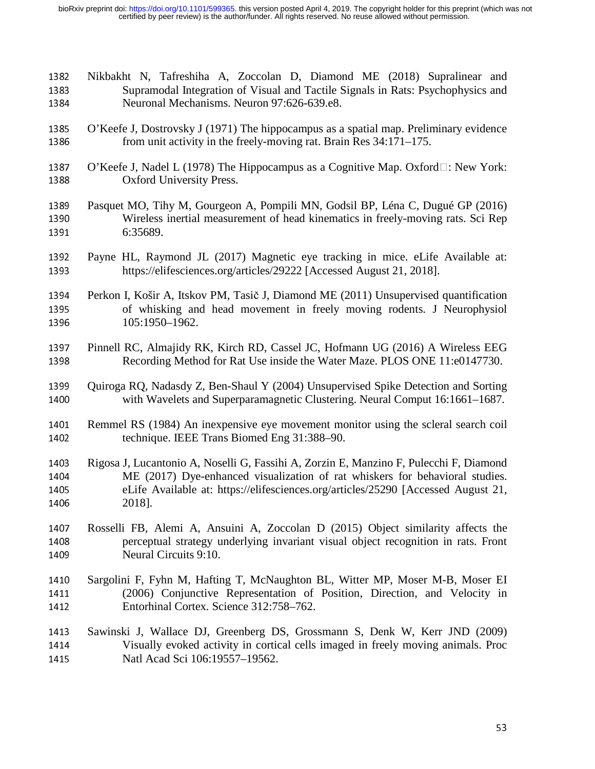- 1382 Nikbakht N, Tafreshiha A, Zoccolan D, Diamond ME (2018) Supralinear and Supramodal Integration of Visual and Tactile Signals in Rats: Psychophysics and 1383 Supramodal Integration of Visual and Tactile Signals in Rats: Psychophysics and<br>1384 Neuronal Mechanisms. Neuron 97:626-639.e8. Neuronal Mechanisms. Neuron 97:626-639.e8.
- 1385 O'Keefe J, Dostrovsky J (1971) The hippocampus as a spatial map. Preliminary evidence<br>1386 from unit activity in the freely-moving rat. Brain Res 34:171–175. from unit activity in the freely-moving rat. Brain Res 34:171–175.
- 1387 O'Keefe J, Nadel L (1978) The Hippocampus as a Cognitive Map. Oxford $\Box$ : New York: 0xford University Press. Oxford University Press.
- 1389 Pasquet MO, Tihy M, Gourgeon A, Pompili MN, Godsil BP, Léna C, Dugué GP (2016)<br>1390 Wireless inertial measurement of head kinematics in freely-moving rats. Sci Rep 1390 Wireless inertial measurement of head kinematics in freely-moving rats. Sci Rep<br>1391 6:35689. 6:35689.
- 1392 Payne HL, Raymond JL (2017) Magnetic eye tracking in mice. eLife Available at:<br>1393 https://elifesciences.org/articles/29222 [Accessed August 21, 2018]. https://elifesciences.org/articles/29222 [Accessed August 21, 2018].
- 1394 Perkon I, Košir A, Itskov PM, Tasič J, Diamond ME (2011) Unsupervised quantification<br>1395 of whisking and head movement in freely moving rodents. J Neurophysiol 1395 of whisking and head movement in freely moving rodents. J Neurophysiol 1396 105:1950–1962. 105:1950-1962.
- 1397 Pinnell RC, Almajidy RK, Kirch RD, Cassel JC, Hofmann UG (2016) A Wireless EEG<br>1398 Recording Method for Rat Use inside the Water Maze. PLOS ONE 11:e0147730. Recording Method for Rat Use inside the Water Maze. PLOS ONE 11:e0147730.
- 1399 Quiroga RQ, Nadasdy Z, Ben-Shaul Y (2004) Unsupervised Spike Detection and Sorting<br>1400 with Wavelets and Superparamagnetic Clustering. Neural Comput 16:1661–1687. with Wavelets and Superparamagnetic Clustering. Neural Comput 16:1661–1687.
- 1401 Remmel RS (1984) An inexpensive eye movement monitor using the scleral search coil<br>1402 technique. IEEE Trans Biomed Eng 31:388–90. technique. IEEE Trans Biomed Eng 31:388–90.
- 1403 Rigosa J, Lucantonio A, Noselli G, Fassihi A, Zorzin E, Manzino F, Pulecchi F, Diamond<br>1404 ME (2017) Dye-enhanced visualization of rat whiskers for behavioral studies. 1404 ME (2017) Dye-enhanced visualization of rat whiskers for behavioral studies.<br>1405 eLife Available at: https://elifesciences.org/articles/25290 [Accessed August 21, 1405 eLife Available at: https://elifesciences.org/articles/25290 [Accessed August 21, 1406 2018]. 2018].
- 1407 Rosselli FB, Alemi A, Ansuini A, Zoccolan D (2015) Object similarity affects the perceptual strategy underlying invariant visual object recognition in rats. Front 1408 perceptual strategy underlying invariant visual object recognition in rats. Front 1409 Neural Circuits 9:10. Neural Circuits 9:10.
- 1410 Sargolini F, Fyhn M, Hafting T, McNaughton BL, Witter MP, Moser M-B, Moser EI<br>1411 (2006) Conjunctive Representation of Position, Direction, and Velocity in 1411 (2006) Conjunctive Representation of Position, Direction, and Velocity in Entorhinal Cortex. Science 312:758–762. Entorhinal Cortex. Science 312:758–762.
- 1413 Sawinski J, Wallace DJ, Greenberg DS, Grossmann S, Denk W, Kerr JND (2009)<br>1414 Visually evoked activity in cortical cells imaged in freely moving animals. Proc 1414 Visually evoked activity in cortical cells imaged in freely moving animals. Proc<br>1415 Matl Acad Sci 106:19557–19562. Natl Acad Sci 106:19557-19562.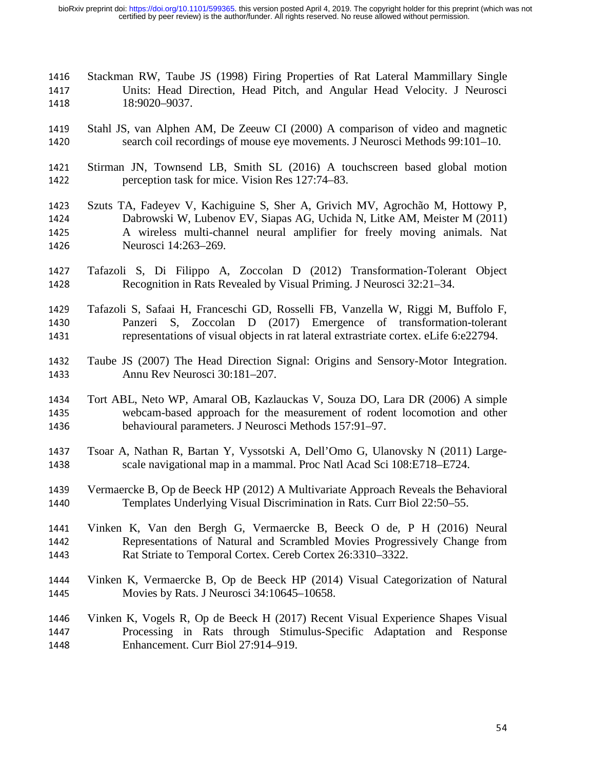- 1416 Stackman RW, Taube JS (1998) Firing Properties of Rat Lateral Mammillary Single<br>1417 Units: Head Direction. Head Pitch. and Angular Head Velocity. J Neurosci 1417 Units: Head Direction, Head Pitch, and Angular Head Velocity. J Neurosci<br>1418 18:9020–9037. 18:9020-9037.
- 1419 Stahl JS, van Alphen AM, De Zeeuw CI (2000) A comparison of video and magnetic search coil recordings of mouse eye movements. J Neurosci Methods 99:101–10. search coil recordings of mouse eye movements. J Neurosci Methods 99:101–10.
- 1421 Stirman JN, Townsend LB, Smith SL (2016) A touchscreen based global motion perception task for mice. Vision Res 127:74–83. perception task for mice. Vision Res 127:74–83.
- 1423 Szuts TA, Fadeyev V, Kachiguine S, Sher A, Grivich MV, Agrochão M, Hottowy P, Dabrowski W, Lubenov EV, Siapas AG, Uchida N, Litke AM, Meister M (2011) 1424 Dabrowski W, Lubenov EV, Siapas AG, Uchida N, Litke AM, Meister M (2011)<br>1425 A wireless multi-channel neural amplifier for freely moving animals. Nat 1425 A wireless multi-channel neural amplifier for freely moving animals. Nat 1426 Neurosci 14:263–269. Neurosci 14:263-269.
- 1427 Tafazoli S, Di Filippo A, Zoccolan D (2012) Transformation-Tolerant Object<br>1428 Recognition in Rats Revealed by Visual Priming. J Neurosci 32:21–34. Recognition in Rats Revealed by Visual Priming. J Neurosci 32:21–34.
- 1429 Tafazoli S, Safaai H, Franceschi GD, Rosselli FB, Vanzella W, Riggi M, Buffolo F, 1430 Panzeri S, Zoccolan D (2017) Emergence of transformation-tolerant 1430 Panzeri S, Zoccolan D (2017) Emergence of transformation-tolerant representations of visual objects in rat lateral extrastriate cortex. eLife 6:e22794. representations of visual objects in rat lateral extrastriate cortex. eLife 6:e22794.
- 1432 Taube JS (2007) The Head Direction Signal: Origins and Sensory-Motor Integration.<br>1433 Annu Rev Neurosci 30:181–207. Annu Rev Neurosci 30:181–207.
- 1434 Tort ABL, Neto WP, Amaral OB, Kazlauckas V, Souza DO, Lara DR (2006) A simple<br>1435 webcam-based approach for the measurement of rodent locomotion and other 1435 webcam-based approach for the measurement of rodent locomotion and other<br>1436 behavioural parameters. J Neurosci Methods 157:91–97. behavioural parameters. J Neurosci Methods 157:91–97.
- 1437 Tsoar A, Nathan R, Bartan Y, Vyssotski A, Dell'Omo G, Ulanovsky N (2011) Largescale navigational map in a mammal. Proc Natl Acad Sci 108:E718–E724.
- 1439 Vermaercke B, Op de Beeck HP (2012) A Multivariate Approach Reveals the Behavioral<br>1440 Templates Underlying Visual Discrimination in Rats. Curr Biol 22:50–55. Templates Underlying Visual Discrimination in Rats. Curr Biol 22:50–55.
- 1441 Vinken K, Van den Bergh G, Vermaercke B, Beeck O de, P H (2016) Neural 1442 Representations of Natural and Scrambled Movies Progressively Change from 1442 Representations of Natural and Scrambled Movies Progressively Change from<br>1443 Rat Striate to Temporal Cortex. Cereb Cortex 26:3310–3322. Rat Striate to Temporal Cortex. Cereb Cortex 26:3310–3322.
- 1444 Vinken K, Vermaercke B, Op de Beeck HP (2014) Visual Categorization of Natural 1445 Movies by Rats. J Neurosci 34:10645–10658. Movies by Rats. J Neurosci 34:10645–10658.
- 1446 Vinken K, Vogels R, Op de Beeck H (2017) Recent Visual Experience Shapes Visual 1447 Processing in Rats through Stimulus-Specific Adaptation and Response 1447 Processing in Rats through Stimulus-Specific Adaptation and Response<br>1448 Enhancement. Curr Biol 27:914–919. Enhancement. Curr Biol 27:914–919.